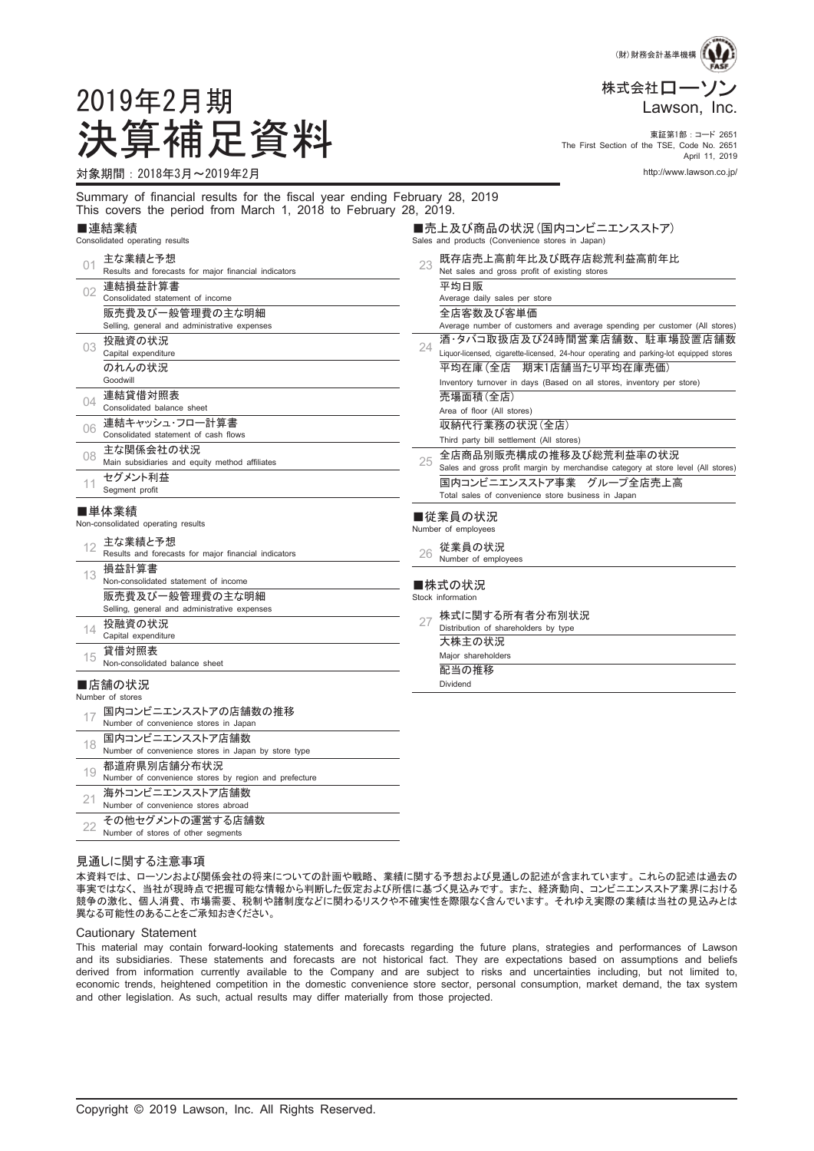

The First Section of the TSE, Code No. 2651 April 11, 2019

# 2019年2月期 決算補足資料 東証第1部:コード <sup>2651</sup>

対象期間:2018年3月~2019年2月 http://www.lawson.co.jp/

Summary of financial results for the fiscal year ending February 28, 2019 This covers the period from March 1, 2018 to February 28, 2019. ■売上及び商品の状況 (国内コンビニエンスストア)

# ■連結業績<br><sub>Consolidated.one</sub>

| Consolidated operating results |                                                                 | Sales and products (Convenience stores in Japan) |                                                                                                                        |  |  |  |
|--------------------------------|-----------------------------------------------------------------|--------------------------------------------------|------------------------------------------------------------------------------------------------------------------------|--|--|--|
| 01                             | 主な業績と予想<br>Results and forecasts for major financial indicators | 23                                               | 既存店売上高前年比及び既存店総荒利益高前年比<br>Net sales and gross profit of existing stores                                                |  |  |  |
| 02                             | 連結損益計算書<br>Consolidated statement of income                     |                                                  | 平均日販<br>Average daily sales per store                                                                                  |  |  |  |
|                                | 販売費及び一般管理費の主な明細<br>Selling, general and administrative expenses |                                                  | 全店客数及び客単価<br>Average number of customers and average spending per customer (All stores)                                |  |  |  |
| 03                             | 投融資の状況<br>Capital expenditure                                   | 24                                               | 酒・タバコ取扱店及び24時間営業店舗数、駐車場設置店舗数<br>Liquor-licensed, cigarette-licensed, 24-hour operating and parking-lot equipped stores |  |  |  |
|                                | のれんの状況<br>Goodwill                                              |                                                  | 平均在庫 (全店 期末1店舗当たり平均在庫売価)<br>Inventory turnover in days (Based on all stores, inventory per store)                      |  |  |  |
| $\Omega$                       | 連結貸借対照表<br>Consolidated balance sheet                           |                                                  | 売場面積(全店)<br>Area of floor (All stores)                                                                                 |  |  |  |
| 06                             | 連結キャッシュ・フロー計算書<br>Consolidated statement of cash flows          |                                                  | 収納代行業務の状況(全店)<br>Third party bill settlement (All stores)                                                              |  |  |  |
| 08                             | 主な関係会社の状況<br>Main subsidiaries and equity method affiliates     | 25                                               | 全店商品別販売構成の推移及び総荒利益率の状況<br>Sales and gross profit margin by merchandise category at store level (All stores)            |  |  |  |
|                                | セグメント利益<br>Seament profit                                       |                                                  | 国内コンビニエンスストア事業 グループ全店売上高<br>Total sales of convenience store business in Japan                                         |  |  |  |
|                                | ■単体業績<br>Non-consolidated operating results                     |                                                  | ■従業員の状況<br>Number of employees                                                                                         |  |  |  |
|                                | …。主な業績と予想                                                       |                                                  | ᄮᄴᇢᇫᄔᄓ                                                                                                                 |  |  |  |

26 従業員の状況

Number of employees

■株式の状況<br><sup>Stock\_information</sup>

| Stock information |  |  |
|-------------------|--|--|
|                   |  |  |

27 株式に関する所有者分布別状況 Distribution of shareholders by type

大株主の状況

Major shareholders

配当の推移 Dividend

■店舗の状況 Number of stor

13

14

15

損益計算書

投融資の状況 Capital expenditure

貸借対照表

|    | 国内コンビニエンスストアの店舗数の推移<br>Number of convenience stores in Japan           |
|----|------------------------------------------------------------------------|
| 18 | 国内コンビニエンスストア店舗数<br>Number of convenience stores in Japan by store type |
| 19 | 都道府県別店舗分布状況<br>Number of convenience stores by region and prefecture   |
| 21 | 海外コンビニエンスストア店舗数<br>Number of convenience stores abroad                 |
|    | その他ゎゲメントん酒労オス庄錨粉                                                       |

12 EXTRED TO AND THE RESULTS AND RESULTS AND RESULTS AND RESULTS TO THE RESULTS TO THE RESULTS OF THE RESULTS OF THE RESULTS OF THE RESULTS OF THE RESULTS OF THE RESULTS OF THE RESULTS OF THE RESULTS OF THE RESULTS OF THE

Non-consolidated statement of income 販売費及び一般管理費の主な明細 Selling, general and administrative expenses

Non-consolidated balance sheet

22 その他セグメントの運営する店舗数<br>22 Number of stores of other\_seqments Number of stores of other segments

#### 見通しに関する注意事項

本資料では、 ローソンおよび関係会社の将来についての計画や戦略、 業績に関する予想および見通しの記述が含まれています。 これらの記述は過去の 事実ではなく、 当社が現時点で把握可能な情報から判断した仮定および所信に基づく見込みです。 また、 経済動向、 コンビニエンスストア業界における 競争の激化、 個人消費、 市場需要、 税制や諸制度などに関わるリスクや不確実性を際限なく含んでいます。 それゆえ実際の業績は当社の見込みとは 異なる可能性のあることをご承知おきください。

#### Cautionary Statement

This material may contain forward-looking statements and forecasts regarding the future plans, strategies and performances of Lawson and its subsidiaries. These statements and forecasts are not historical fact. They are expectations based on assumptions and beliefs derived from information currently available to the Company and are subject to risks and uncertainties including, but not limited to, economic trends, heightened competition in the domestic convenience store sector, personal consumption, market demand, the tax system and other legislation. As such, actual results may differ materially from those projected.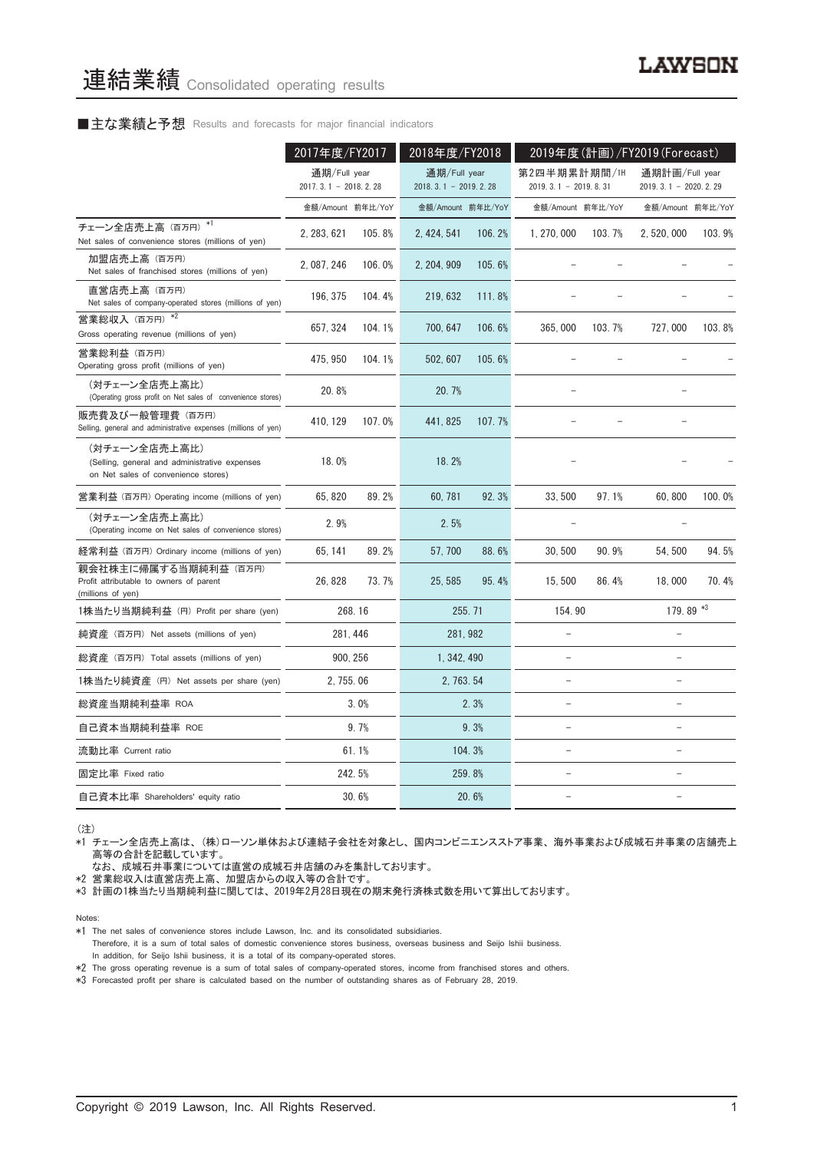## ■主な業績と予想 Results and forecasts for major financial indicators

|                                                                                                       | 2017年度/FY2017                            |        | 2018年度/FY2018                            |          | 2019年度(計画)/FY2019 (Forecast)           |        |                                            |        |
|-------------------------------------------------------------------------------------------------------|------------------------------------------|--------|------------------------------------------|----------|----------------------------------------|--------|--------------------------------------------|--------|
|                                                                                                       | 通期/Full year<br>2017. 3. 1 - 2018. 2. 28 |        | 通期/Full year<br>2018. 3. 1 - 2019. 2. 28 |          | 第2四半期累計期間/1H<br>$2019.3.1 - 2019.8.31$ |        | 通期計画/Full year<br>2019. 3. 1 - 2020. 2. 29 |        |
|                                                                                                       | 金額/Amount 前年比/YoY                        |        | 金額/Amount 前年比/YoY                        |          | 金額/Amount 前年比/YoY                      |        | 金額/Amount 前年比/YoY                          |        |
| チェーン全店売上高 (百万円) *1<br>Net sales of convenience stores (millions of yen)                               | 2, 283, 621                              | 105.8% | 2, 424, 541                              | 106.2%   | 1, 270, 000                            | 103.7% | 2, 520, 000                                | 103.9% |
| 加盟店売上高 (百万円)<br>Net sales of franchised stores (millions of yen)                                      | 2, 087, 246                              | 106.0% | 2, 204, 909                              | 105.6%   |                                        |        |                                            |        |
| 直営店売上高 (百万円)<br>Net sales of company-operated stores (millions of yen)                                | 196, 375                                 | 104.4% | 219, 632                                 | 111.8%   |                                        |        |                                            |        |
| 営業総収入(百万円) *2<br>Gross operating revenue (millions of yen)                                            | 657, 324                                 | 104.1% | 700, 647                                 | 106.6%   | 365,000                                | 103.7% | 727,000                                    | 103.8% |
| 営業総利益 (百万円)<br>Operating gross profit (millions of yen)                                               | 475, 950                                 | 104.1% | 502.607                                  | 105.6%   |                                        |        |                                            |        |
| (対チェーン全店売上高比)<br>(Operating gross profit on Net sales of convenience stores)                          | 20.8%                                    |        | 20.7%                                    |          |                                        |        |                                            |        |
| 販売費及び一般管理費 (百万円)<br>Selling, general and administrative expenses (millions of yen)                    | 410, 129                                 | 107.0% | 441, 825                                 | 107.7%   |                                        |        |                                            |        |
| (対チェーン全店売上高比)<br>(Selling, general and administrative expenses<br>on Net sales of convenience stores) | 18.0%                                    |        | 18.2%                                    |          |                                        |        |                                            |        |
| 営業利益 (百万円) Operating income (millions of yen)                                                         | 65.820                                   | 89.2%  | 60.781                                   | 92.3%    | 33.500                                 | 97.1%  | 60.800                                     | 100.0% |
| (対チェーン全店売上高比)<br>(Operating income on Net sales of convenience stores)                                | 2.9%                                     |        | 2.5%                                     |          |                                        |        |                                            |        |
| 経常利益 (百万円) Ordinary income (millions of yen)                                                          | 65, 141                                  | 89.2%  | 57,700                                   | 88.6%    | 30.500                                 | 90.9%  | 54.500                                     | 94.5%  |
| 親会社株主に帰属する当期純利益 (百万円)<br>Profit attributable to owners of parent<br>(millions of yen)                 | 26, 828                                  | 73.7%  | 25, 585                                  | 95.4%    | 15, 500                                | 86.4%  | 18,000                                     | 70.4%  |
| 1株当たり当期純利益 (円) Profit per share (yen)                                                                 | 268.16                                   |        |                                          | 255.71   | 154.90                                 |        | 179.89 *3                                  |        |
| 純資産 (百万円) Net assets (millions of yen)                                                                | 281, 446                                 |        |                                          | 281, 982 |                                        |        |                                            |        |
| 総資産 (百万円) Total assets (millions of yen)                                                              | 900, 256                                 |        | 1, 342, 490                              |          |                                        |        |                                            |        |
| 1株当たり純資産 (円) Net assets per share (yen)                                                               | 2, 755.06                                |        | 2, 763, 54                               |          |                                        |        |                                            |        |
| 総資産当期純利益率 ROA                                                                                         |                                          | 3.0%   |                                          | 2.3%     |                                        |        | $\equiv$                                   |        |
| 自己資本当期純利益率 ROE                                                                                        |                                          | 9.7%   |                                          | 9.3%     |                                        |        |                                            |        |
| 流動比率 Current ratio                                                                                    |                                          | 61.1%  |                                          | 104.3%   |                                        |        |                                            |        |
| 固定比率 Fixed ratio                                                                                      | 242.5%                                   |        |                                          | 259.8%   |                                        |        | ÷                                          |        |
| 自己資本比率 Shareholders' equity ratio                                                                     |                                          | 30.6%  |                                          | 20.6%    |                                        |        |                                            |        |

(注)

\*1 チェーン全店売上高は、 (株)ローソン単体および連結子会社を対象とし、 国内コンビニエンスストア事業、 海外事業および成城石井事業の店舗売上 高等の合計を記載しています。

なお、 成城石井事業については直営の成城石井店舗のみを集計しております。

\*2 営業総収入は直営店売上高、 加盟店からの収入等の合計です。

\*3 計画の1株当たり当期純利益に関しては、 2019年2月28日現在の期末発行済株式数を用いて算出しております。

Notes:

Therefore, it is a sum of total sales of domestic convenience stores business, overseas business and Seijo Ishii business. In addition, for Seijo Ishii business, it is a total of its company-operated stores.

\*3 Forecasted profit per share is calculated based on the number of outstanding shares as of February 28, 2019.

<sup>\*1</sup> The net sales of convenience stores include Lawson, Inc. and its consolidated subsidiaries.

<sup>\*2</sup> The gross operating revenue is a sum of total sales of company-operated stores, income from franchised stores and others.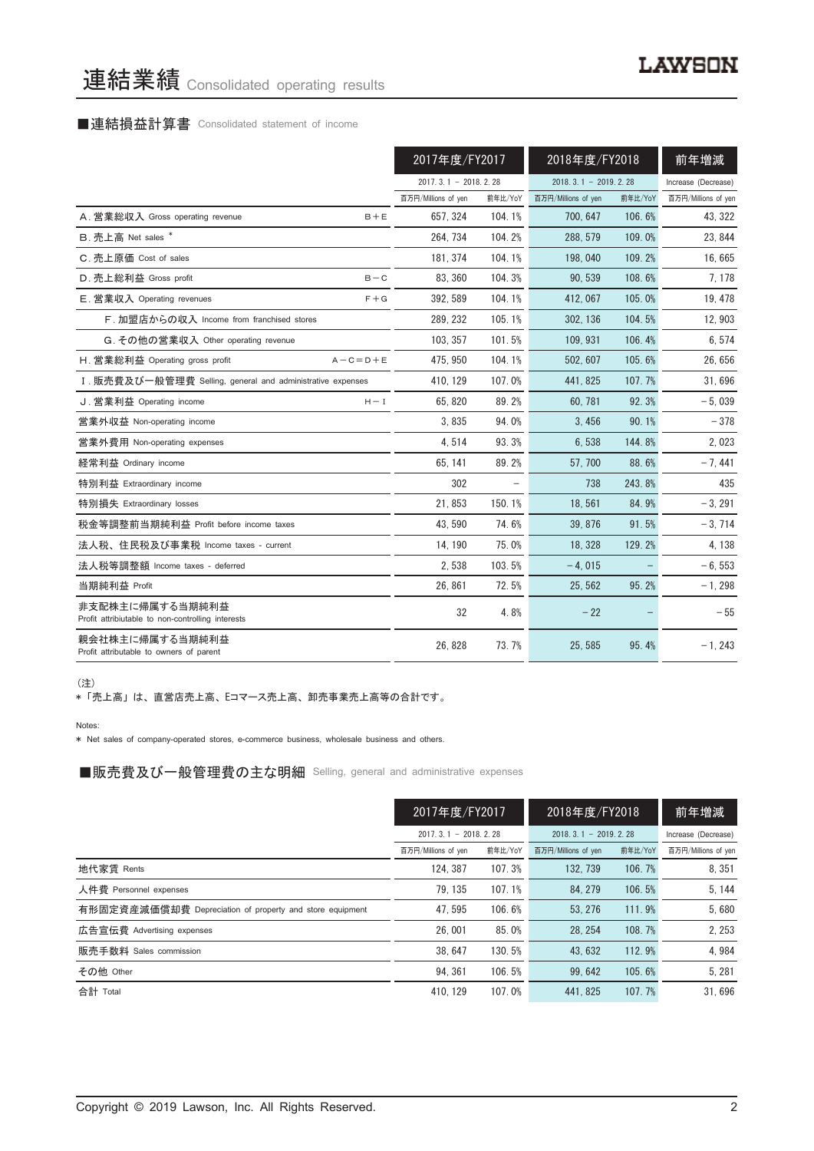# 連結業績 Consolidated operating results

# ■連結損益計算書 Consolidated statement of income

|                                                                      | 2017年度/FY2017          |         | 2018年度/FY2018          |         | 前年増減                |
|----------------------------------------------------------------------|------------------------|---------|------------------------|---------|---------------------|
|                                                                      | $2017.3.1 - 2018.2.28$ |         | $2018.3.1 - 2019.2.28$ |         | Increase (Decrease) |
|                                                                      | 百万円/Millions of yen    | 前年比/YoY | 百万円/Millions of yen    | 前年比/YoY | 百万円/Millions of yen |
| A. 営業総収入 Gross operating revenue<br>$B + E$                          | 657.324                | 104.1%  | 700.647                | 106.6%  | 43, 322             |
| B. 売上高 Net sales *                                                   | 264, 734               | 104.2%  | 288, 579               | 109.0%  | 23, 844             |
| C. 売上原価 Cost of sales                                                | 181.374                | 104.1%  | 198,040                | 109.2%  | 16,665              |
| D. 売上総利益 Gross profit<br>$B - C$                                     | 83, 360                | 104.3%  | 90, 539                | 108.6%  | 7, 178              |
| E. 営業収入 Operating revenues<br>$F + G$                                | 392, 589               | 104.1%  | 412, 067               | 105.0%  | 19, 478             |
| F. 加盟店からの収入 Income from franchised stores                            | 289, 232               | 105.1%  | 302.136                | 104.5%  | 12,903              |
| G. その他の営業収入 Other operating revenue                                  | 103, 357               | 101.5%  | 109, 931               | 106.4%  | 6,574               |
| H. 営業総利益 Operating gross profit<br>$A - C = D + E$                   | 475, 950               | 104.1%  | 502, 607               | 105.6%  | 26,656              |
| I. 販売費及び一般管理費 Selling, general and administrative expenses           | 410.129                | 107.0%  | 441.825                | 107.7%  | 31,696              |
| J. 営業利益 Operating income<br>$H - I$                                  | 65,820                 | 89.2%   | 60,781                 | 92.3%   | $-5,039$            |
| 営業外収益 Non-operating income                                           | 3,835                  | 94.0%   | 3,456                  | 90.1%   | $-378$              |
| 営業外費用 Non-operating expenses                                         | 4,514                  | 93.3%   | 6,538                  | 144.8%  | 2,023               |
| 経常利益 Ordinary income                                                 | 65.141                 | 89.2%   | 57, 700                | 88.6%   | $-7,441$            |
| 特別利益 Extraordinary income                                            | 302                    |         | 738                    | 243.8%  | 435                 |
| 特別損失 Extraordinary losses                                            | 21.853                 | 150.1%  | 18.561                 | 84.9%   | $-3, 291$           |
| 税金等調整前当期純利益 Profit before income taxes                               | 43,590                 | 74.6%   | 39, 876                | 91.5%   | $-3,714$            |
| 法人税、住民税及び事業税 Income taxes - current                                  | 14, 190                | 75.0%   | 18.328                 | 129.2%  | 4, 138              |
| 法人税等調整額 Income taxes - deferred                                      | 2,538                  | 103.5%  | $-4.015$               |         | $-6, 553$           |
| 当期純利益 Profit                                                         | 26,861                 | 72.5%   | 25, 562                | 95.2%   | $-1, 298$           |
| 非支配株主に帰属する当期純利益<br>Profit attribiutable to non-controlling interests | 32                     | 4.8%    | $-22$                  |         | $-55$               |
| 親会社株主に帰属する当期純利益<br>Profit attributable to owners of parent           | 26.828                 | 73.7%   | 25.585                 | 95.4%   | $-1, 243$           |

(注)

\* 「売上高」 は、 直営店売上高、 Eコマース売上高、 卸売事業売上高等の合計です。

Notes:

\* Net sales of company-operated stores, e-commerce business, wholesale business and others.

■販売費及び一般管理費の主な明細 Selling, general and administrative expenses

|                                                          | 2017年度/FY2017       |                        | 2018年度/FY2018       |                            | 前年増減                |
|----------------------------------------------------------|---------------------|------------------------|---------------------|----------------------------|---------------------|
|                                                          |                     | $2017.3.1 - 2018.2.28$ |                     | $2018, 3, 1 - 2019, 2, 28$ |                     |
|                                                          | 百万円/Millions of yen | 前年比/YoY                | 百万円/Millions of yen | 前年比/YoY                    | 百万円/Millions of yen |
| 地代家賃 Rents                                               | 124.387             | 107.3%                 | 132.739             | 106.7%                     | 8,351               |
| 人件費 Personnel expenses                                   | 79.135              | 107.1%                 | 84.279              | 106.5%                     | 5, 144              |
| 有形固定資産減価償却費 Depreciation of property and store equipment | 47.595              | 106.6%                 | 53.276              | 111.9%                     | 5,680               |
| 広告宣伝費 Advertising expenses                               | 26,001              | 85.0%                  | 28.254              | 108.7%                     | 2, 253              |
| 販売手数料 Sales commission                                   | 38.647              | 130.5%                 | 43.632              | 112.9%                     | 4.984               |
| その他 Other                                                | 94.361              | 106.5%                 | 99.642              | 105.6%                     | 5, 281              |
| 合計 Total                                                 | 410.129             | 107.0%                 | 441.825             | 107.7%                     | 31.696              |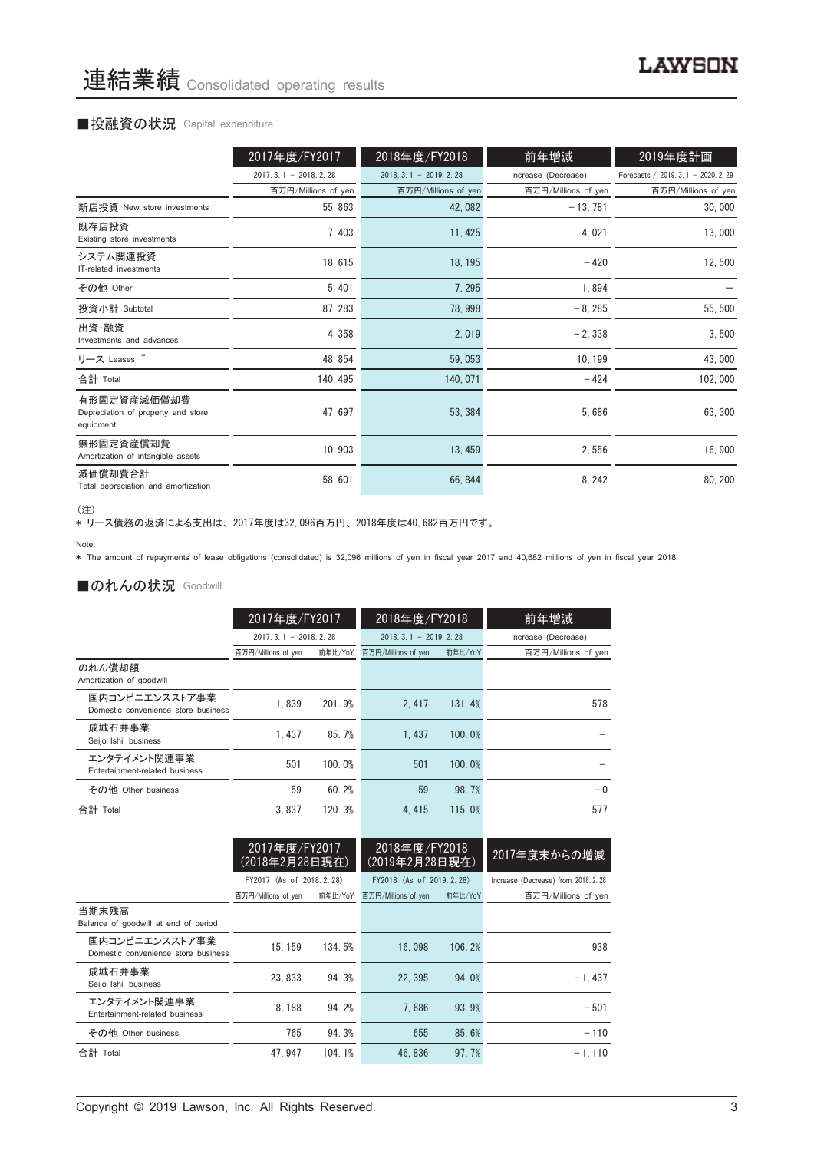#### ■投融資の状況 Capital expenditure

|                                                                | 2017年度/FY2017          | 2018年度/FY2018              | 前年増減                | 2019年度計画                             |
|----------------------------------------------------------------|------------------------|----------------------------|---------------------|--------------------------------------|
|                                                                | $2017.3.1 - 2018.2.28$ | $2018, 3, 1 - 2019, 2, 28$ | Increase (Decrease) | Forecasts / 2019. 3. 1 - 2020. 2. 29 |
|                                                                | 百万円/Millions of yen    | 百万円/Millions of yen        | 百万円/Millions of yen | 百万円/Millions of yen                  |
| 新店投資 New store investments                                     | 55, 863                | 42,082                     | $-13,781$           | 30,000                               |
| 既存店投資<br>Existing store investments                            | 7,403                  | 11, 425                    | 4,021               | 13,000                               |
| システム関連投資<br>IT-related investments                             | 18,615                 | 18, 195                    | $-420$              | 12,500                               |
| その他 Other                                                      | 5,401                  | 7,295                      | 1,894               |                                      |
| 投資小計 Subtotal                                                  | 87, 283                | 78, 998                    | $-8,285$            | 55, 500                              |
| 出資・融資<br>Investments and advances                              | 4,358                  | 2,019                      | $-2,338$            | 3,500                                |
| リース Leases *                                                   | 48, 854                | 59,053                     | 10, 199             | 43,000                               |
| 合計 Total                                                       | 140, 495               | 140, 071                   | $-424$              | 102,000                              |
| 有形固定資産減価償却費<br>Depreciation of property and store<br>equipment | 47, 697                | 53, 384                    | 5,686               | 63, 300                              |
| 無形固定資産償却費<br>Amortization of intangible assets                 | 10, 903                | 13, 459                    | 2,556               | 16,900                               |
| 減価償却費合計<br>Total depreciation and amortization                 | 58,601                 | 66, 844                    | 8, 242              | 80, 200                              |

<sup>(</sup>注)

、一。<br>\* リース債務の返済による支出は、2017年度は32,096百万円、2018年度は40,682百万円です。

\* The amount of repayments of lease obligations (consolidated) is 32,096 millions of yen in fiscal year 2017 and 40,682 millions of yen in fiscal year 2018.

#### ■のれんの状況 Goodwill

|                                                       | 2017年度/FY2017          |         | 2018年度/FY2018          |         | 前年増減                |  |
|-------------------------------------------------------|------------------------|---------|------------------------|---------|---------------------|--|
|                                                       | $2017.3.1 - 2018.2.28$ |         | $2018.3.1 - 2019.2.28$ |         | Increase (Decrease) |  |
|                                                       | 百万円/Millions of yen    | 前年比/YoY | 百万円/Millions of yen    | 前年比/YoY | 百万円/Millions of yen |  |
| のれん償却額<br>Amortization of goodwill                    |                        |         |                        |         |                     |  |
| 国内コンビニエンスストア事業<br>Domestic convenience store business | 1.839                  | 201.9%  | 2.417                  | 131.4%  | 578                 |  |
| 成城石井事業<br>Seijo Ishii business                        | 1.437                  | 85.7%   | 1.437                  | 100.0%  |                     |  |
| エンタテイメント関連事業<br>Entertainment-related business        | 501                    | 100.0%  | 501                    | 100.0%  |                     |  |
| その他 Other business                                    | 59                     | 60.2%   | 59                     | 98.7%   | $-0$                |  |
| 合計 Total                                              | 3.837                  | 120.3%  | 4.415                  | 115.0%  | 577                 |  |

|                                                       | 2017年度/FY2017<br>(2018年2月28日現在) |         | 2018年度/FY2018<br>(2019年2月28日現在) |         | 2017年度末からの増減                         |
|-------------------------------------------------------|---------------------------------|---------|---------------------------------|---------|--------------------------------------|
|                                                       | FY2017 (As of 2018.2.28)        |         | FY2018 (As of 2019, 2, 28)      |         | Increase (Decrease) from 2018. 2. 28 |
|                                                       | 百万円/Millions of yen             | 前年比/YoY | 百万円/Millions of yen             | 前年比/YoY | 百万円/Millions of yen                  |
| 当期末残高<br>Balance of goodwill at end of period         |                                 |         |                                 |         |                                      |
| 国内コンビニエンスストア事業<br>Domestic convenience store business | 15.159                          | 134.5%  | 16,098                          | 106.2%  | 938                                  |
| 成城石井事業<br>Seijo Ishii business                        | 23.833                          | 94.3%   | 22.395                          | 94.0%   | $-1.437$                             |
| エンタテイメント関連事業<br>Entertainment-related business        | 8.188                           | 94.2%   | 7.686                           | 93.9%   | $-501$                               |
| その他 Other business                                    | 765                             | 94.3%   | 655                             | 85.6%   | $-110$                               |
| 合計 Total                                              | 47.947                          | 104.1%  | 46.836                          | 97.7%   | $-1.110$                             |

Note: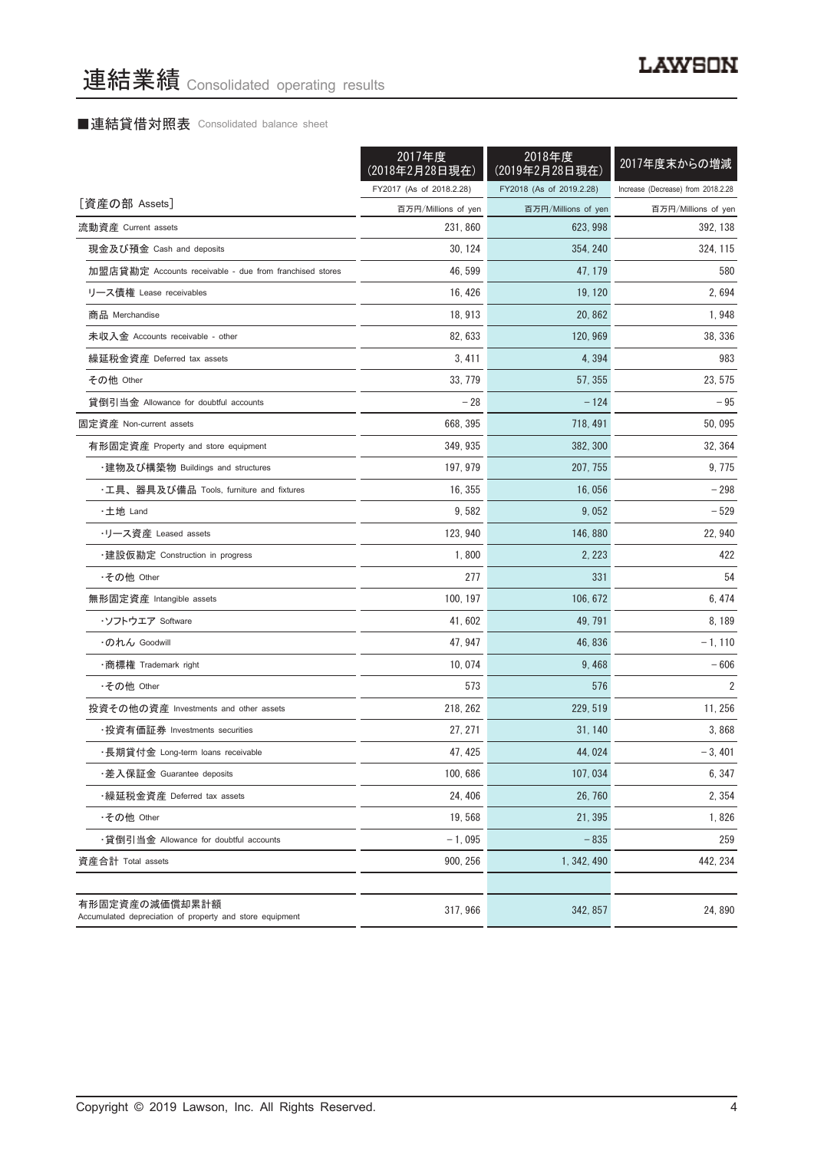### ■連結貸借対照表 Consolidated balance sheet

|                                                                            | 2017年度<br>(2018年2月28日現在) | 2018年度<br>(2019年2月28日現在) | 2017年度末からの増減                       |
|----------------------------------------------------------------------------|--------------------------|--------------------------|------------------------------------|
|                                                                            | FY2017 (As of 2018.2.28) | FY2018 (As of 2019.2.28) | Increase (Decrease) from 2018.2.28 |
| [資産の部 Assets]                                                              | 百万円/Millions of yen      | 百万円/Millions of yen      | 百万円/Millions of yen                |
| 流動資産 Current assets                                                        | 231, 860                 | 623, 998                 | 392, 138                           |
| 現金及び預金 Cash and deposits                                                   | 30, 124                  | 354, 240                 | 324, 115                           |
| 加盟店貸勘定 Accounts receivable - due from franchised stores                    | 46, 599                  | 47, 179                  | 580                                |
| リース債権 Lease receivables                                                    | 16, 426                  | 19, 120                  | 2,694                              |
| 商品 Merchandise                                                             | 18, 913                  | 20.862                   | 1,948                              |
| 未収入金 Accounts receivable - other                                           | 82, 633                  | 120, 969                 | 38, 336                            |
| 繰延税金資産 Deferred tax assets                                                 | 3,411                    | 4,394                    | 983                                |
| その他 Other                                                                  | 33, 779                  | 57, 355                  | 23, 575                            |
| 貸倒引当金 Allowance for doubtful accounts                                      | $-28$                    | $-124$                   | $-95$                              |
| 固定資産 Non-current assets                                                    | 668, 395                 | 718, 491                 | 50,095                             |
| 有形固定資産 Property and store equipment                                        | 349, 935                 | 382, 300                 | 32, 364                            |
| ・建物及び構築物 Buildings and structures                                          | 197, 979                 | 207, 755                 | 9, 775                             |
| ・工具、器具及び備品 Tools, furniture and fixtures                                   | 16, 355                  | 16,056                   | $-298$                             |
| ・土地 Land                                                                   | 9,582                    | 9,052                    | $-529$                             |
| ・リース資産 Leased assets                                                       | 123, 940                 | 146, 880                 | 22, 940                            |
| ・建設仮勘定 Construction in progress                                            | 1,800                    | 2, 223                   | 422                                |
| ・その他 Other                                                                 | 277                      | 331                      | 54                                 |
| 無形固定資産 Intangible assets                                                   | 100, 197                 | 106, 672                 | 6, 474                             |
| ・ソフトウエア Soffware                                                           | 41, 602                  | 49, 791                  | 8, 189                             |
| ・のれん Goodwill                                                              | 47, 947                  | 46, 836                  | $-1,110$                           |
| ・商標権 Trademark right                                                       | 10,074                   | 9,468                    | $-606$                             |
| ・その他 Other                                                                 | 573                      | 576                      | $\overline{2}$                     |
| 投資その他の資産 Investments and other assets                                      | 218, 262                 | 229, 519                 | 11, 256                            |
| ・投資有価証券 Investments securities                                             | 27, 271                  | 31.140                   | 3,868                              |
| ・長期貸付金 Long-term loans receivable                                          | 47.425                   | 44,024                   | $-3,401$                           |
| ・差入保証金 Guarantee deposits                                                  | 100.686                  | 107,034                  | 6, 347                             |
| ・繰延税金資産 Deferred tax assets                                                | 24, 406                  | 26,760                   | 2,354                              |
| ・その他 Other                                                                 | 19,568                   | 21, 395                  | 1,826                              |
| ・貸倒引当金 Allowance for doubtful accounts                                     | $-1,095$                 | $-835$                   | 259                                |
| 資産合計 Total assets                                                          | 900, 256                 | 1, 342, 490              | 442, 234                           |
| 有形固定資産の減価償却累計額<br>Accumulated depreciation of property and store equipment | 317, 966                 | 342, 857                 | 24,890                             |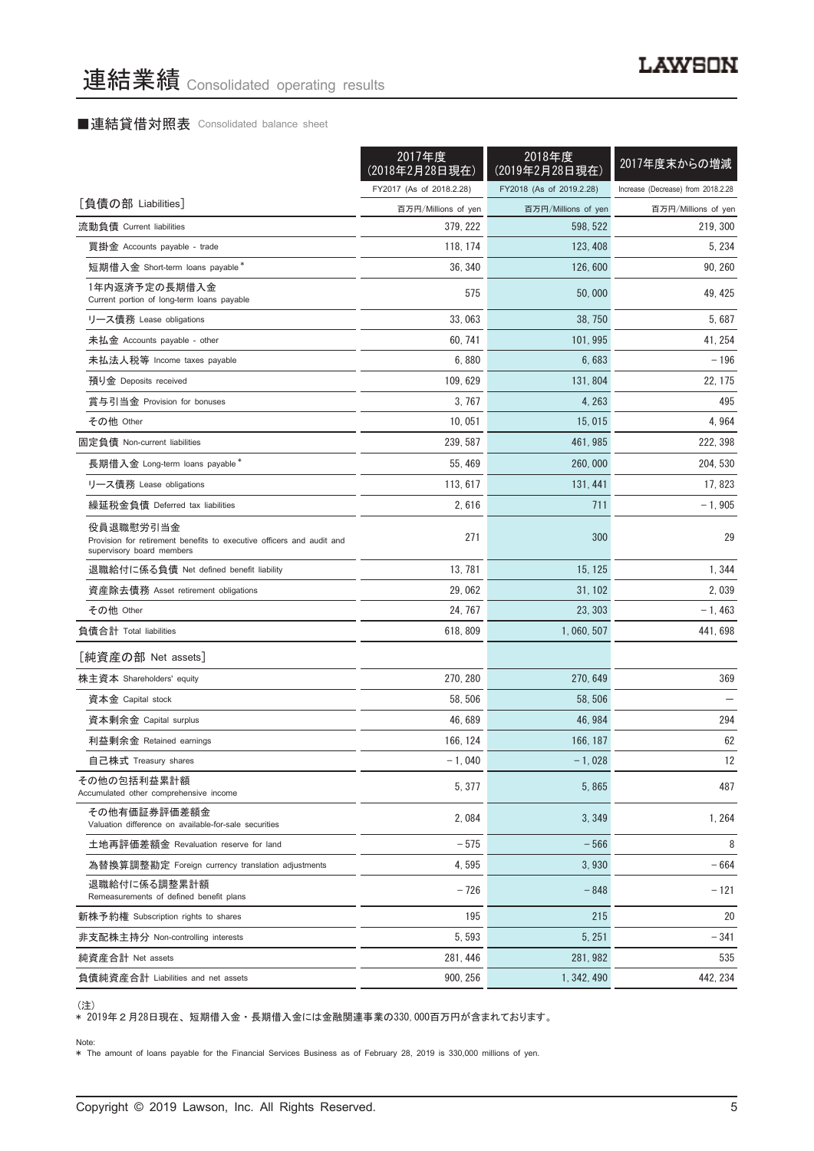# ■連結貸借対照表 Consolidated balance sheet

|                                                                                                                 | 2017年度<br>(2018年2月28日現在) | 2018年度<br>(2019年2月28日現在) | 2017年度末からの増減                       |
|-----------------------------------------------------------------------------------------------------------------|--------------------------|--------------------------|------------------------------------|
|                                                                                                                 | FY2017 (As of 2018.2.28) | FY2018 (As of 2019.2.28) | Increase (Decrease) from 2018.2.28 |
| [負債の部 Liabilities]                                                                                              | 百万円/Millions of yen      | 百万円/Millions of yen      | 百万円/Millions of yen                |
| 流動負債 Current liabilities                                                                                        | 379, 222                 | 598, 522                 | 219, 300                           |
| 買掛金 Accounts payable - trade                                                                                    | 118, 174                 | 123, 408                 | 5, 234                             |
| 短期借入金 Short-term loans payable*                                                                                 | 36, 340                  | 126, 600                 | 90, 260                            |
| 1年内返済予定の長期借入金<br>Current portion of long-term loans payable                                                     | 575                      | 50,000                   | 49, 425                            |
| リース債務 Lease obligations                                                                                         | 33,063                   | 38, 750                  | 5,687                              |
| 未払金 Accounts payable - other                                                                                    | 60, 741                  | 101.995                  | 41, 254                            |
| 未払法人税等 Income taxes payable                                                                                     | 6,880                    | 6,683                    | $-196$                             |
| 預り金 Deposits received                                                                                           | 109, 629                 | 131, 804                 | 22, 175                            |
| 賞与引当金 Provision for bonuses                                                                                     | 3, 767                   | 4, 263                   | 495                                |
| その他 Other                                                                                                       | 10,051                   | 15,015                   | 4,964                              |
| 固定負債 Non-current liabilities                                                                                    | 239, 587                 | 461, 985                 | 222, 398                           |
| 長期借入金 Long-term loans payable*                                                                                  | 55, 469                  | 260,000                  | 204, 530                           |
| リース債務 Lease obligations                                                                                         | 113, 617                 | 131, 441                 | 17, 823                            |
| 繰延税金負債 Deferred tax liabilities                                                                                 | 2,616                    | 711                      | $-1,905$                           |
| 役員退職慰労引当金<br>Provision for retirement benefits to executive officers and audit and<br>supervisory board members | 271                      | 300                      | 29                                 |
| 退職給付に係る負債 Net defined benefit liability                                                                         | 13, 781                  | 15, 125                  | 1,344                              |
| 資産除去債務 Asset retirement obligations                                                                             | 29,062                   | 31, 102                  | 2,039                              |
| その他 Other                                                                                                       | 24, 767                  | 23, 303                  | $-1,463$                           |
| 負債合計 Total liabilities                                                                                          | 618, 809                 | 1, 060, 507              | 441, 698                           |
| [純資産の部 Net assets]                                                                                              |                          |                          |                                    |
| 株主資本 Shareholders' equity                                                                                       | 270, 280                 | 270, 649                 | 369                                |
| 資本金 Capital stock                                                                                               | 58, 506                  | 58, 506                  |                                    |
| 資本剰余金 Capital surplus                                                                                           | 46, 689                  | 46, 984                  | 294                                |
| 利益剰余金 Retained earnings                                                                                         | 166, 124                 | 166, 187                 | 62                                 |
| 自己株式 Treasury shares                                                                                            | $-1,040$                 | $-1,028$                 | $12\,$                             |
| その他の包括利益累計額<br>Accumulated other comprehensive income                                                           | 5,377                    | 5,865                    | 487                                |
| その他有価証券評価差額金<br>Valuation difference on available-for-sale securities                                           | 2,084                    | 3,349                    | 1, 264                             |
| 土地再評価差額金 Revaluation reserve for land                                                                           | $-575$                   | $-566$                   | 8                                  |
| 為替換算調整勘定 Foreign currency translation adjustments                                                               | 4,595                    | 3.930                    | $-664$                             |
| 退職給付に係る調整累計額<br>Remeasurements of defined benefit plans                                                         | $-726$                   | $-848$                   | $-121$                             |
| 新株予約権 Subscription rights to shares                                                                             | 195                      | 215                      | 20                                 |
| 非支配株主持分 Non-controlling interests                                                                               | 5,593                    | 5, 251                   | $-341$                             |
| 純資産合計 Net assets                                                                                                | 281, 446                 | 281, 982                 | 535                                |
| 負債純資産合計 Liabilities and net assets                                                                              | 900, 256                 | 1, 342, 490              | 442, 234                           |

<sup>(</sup>注)

\* 2019年2月28日現在、 短期借入金 ・ 長期借入金には金融関連事業の330,000百万円が含まれております。

Note: \* The amount of loans payable for the Financial Services Business as of February 28, 2019 is 330,000 millions of yen.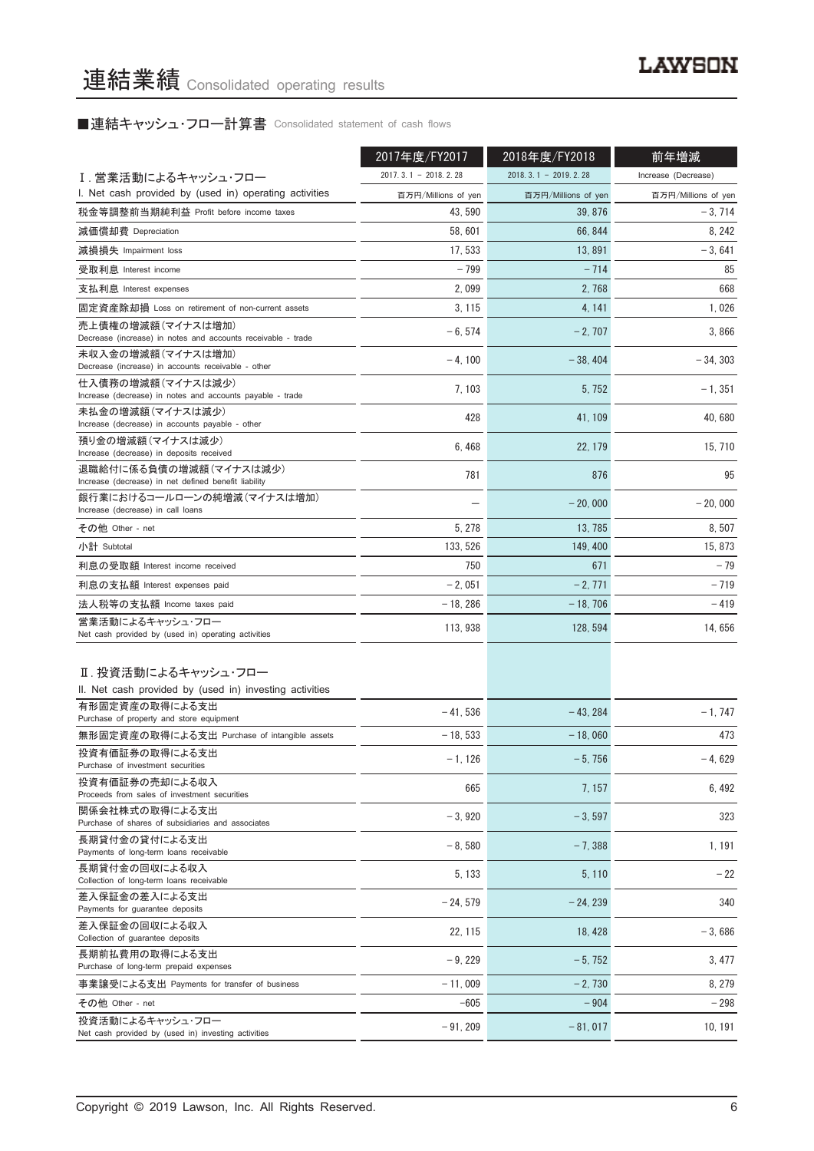■連結キャッシュ・フロー計算書 Consolidated statement of cash flows

|                                                                                   | 2017年度/FY2017          | 2018年度/FY2018          | 前年増減                |
|-----------------------------------------------------------------------------------|------------------------|------------------------|---------------------|
| I.営業活動によるキャッシュ・フロー                                                                | $2017.3.1 - 2018.2.28$ | $2018.3.1 - 2019.2.28$ | Increase (Decrease) |
| I. Net cash provided by (used in) operating activities                            | 百万円/Millions of yen    | 百万円/Millions of yen    | 百万円/Millions of yen |
| 税金等調整前当期純利益 Profit before income taxes                                            | 43, 590                | 39, 876                | $-3,714$            |
| 減価償却費 Depreciation                                                                | 58,601                 | 66, 844                | 8.242               |
| 減損損失 Impairment loss                                                              | 17, 533                | 13,891                 | $-3,641$            |
| 受取利息 Interest income                                                              | $-799$                 | $-714$                 | 85                  |
| 支払利息 Interest expenses                                                            | 2,099                  | 2,768                  | 668                 |
| 固定資産除却損 Loss on retirement of non-current assets                                  | 3, 115                 | 4, 141                 | 1,026               |
| 売上債権の増減額(マイナスは増加)<br>Decrease (increase) in notes and accounts receivable - trade | $-6, 574$              | $-2,707$               | 3,866               |
| 未収入金の増減額(マイナスは増加)<br>Decrease (increase) in accounts receivable - other           | $-4,100$               | $-38,404$              | $-34,303$           |
| 仕入債務の増減額(マイナスは減少)<br>Increase (decrease) in notes and accounts payable - trade    | 7, 103                 | 5, 752                 | $-1, 351$           |
| 未払金の増減額(マイナスは減少)<br>Increase (decrease) in accounts payable - other               | 428                    | 41, 109                | 40,680              |
| 預り金の増減額(マイナスは減少)<br>Increase (decrease) in deposits received                      | 6, 468                 | 22, 179                | 15, 710             |
| 退職給付に係る負債の増減額(マイナスは減少)<br>Increase (decrease) in net defined benefit liability    | 781                    | 876                    | 95                  |
| 銀行業におけるコールローンの純増減(マイナスは増加)<br>Increase (decrease) in call loans                   |                        | $-20.000$              | $-20,000$           |
| その他 Other - net                                                                   | 5, 278                 | 13, 785                | 8,507               |
| 小計 Subtotal                                                                       | 133, 526               | 149, 400               | 15, 873             |
| 利息の受取額 Interest income received                                                   | 750                    | 671                    | $-79$               |
| 利息の支払額 Interest expenses paid                                                     | $-2,051$               | $-2,771$               | $-719$              |
| 法人税等の支払額 Income taxes paid                                                        | $-18,286$              | $-18,706$              | $-419$              |
| 営業活動によるキャッシュ・フロー<br>Net cash provided by (used in) operating activities           | 113, 938               | 128, 594               | 14,656              |
| Ⅱ. 投資活動によるキャッシュ・フロー<br>II. Net cash provided by (used in) investing activities    |                        |                        |                     |
| 有形固定資産の取得による支出<br>Purchase of property and store equipment                        | $-41,536$              | $-43,284$              | $-1,747$            |
| 無形固定資産の取得による支出 Purchase of intangible assets                                      | $-18,533$              | $-18,060$              | 473                 |
| 投資有価証券の取得による支出<br>Purchase of investment securities                               | $-1, 126$              | $-5,756$               | 4,629               |
| 投資有価証券の売却による収入<br>Proceeds from sales of investment securities                    | 665                    | 7, 157                 | 6, 492              |
| 関係会社株式の取得による支出<br>Purchase of shares of subsidiaries and associates               | $-3,920$               | $-3,597$               | 323                 |
| 長期貸付金の貸付による支出<br>Payments of long-term loans receivable                           | $-8,580$               | $-7,388$               | 1, 191              |
| 長期貸付金の回収による収入<br>Collection of long-term loans receivable                         | 5, 133                 | 5, 110                 | $-22$               |
| 差入保証金の差入による支出<br>Payments for guarantee deposits                                  | $-24,579$              | $-24, 239$             | 340                 |
| 差入保証金の回収による収入<br>Collection of guarantee deposits                                 | 22, 115                | 18, 428                | $-3,686$            |
| 長期前払費用の取得による支出<br>Purchase of long-term prepaid expenses                          | $-9,229$               | $-5,752$               | 3, 477              |
| 事業譲受による支出 Payments for transfer of business                                       | $-11,009$              | $-2,730$               | 8, 279              |
| その他 Other - net                                                                   | $-605$                 | $-904$                 | $-298$              |
| 投資活動によるキャッシュ・フロー<br>Net cash provided by (used in) investing activities           | $-91,209$              | $-81,017$              | 10, 191             |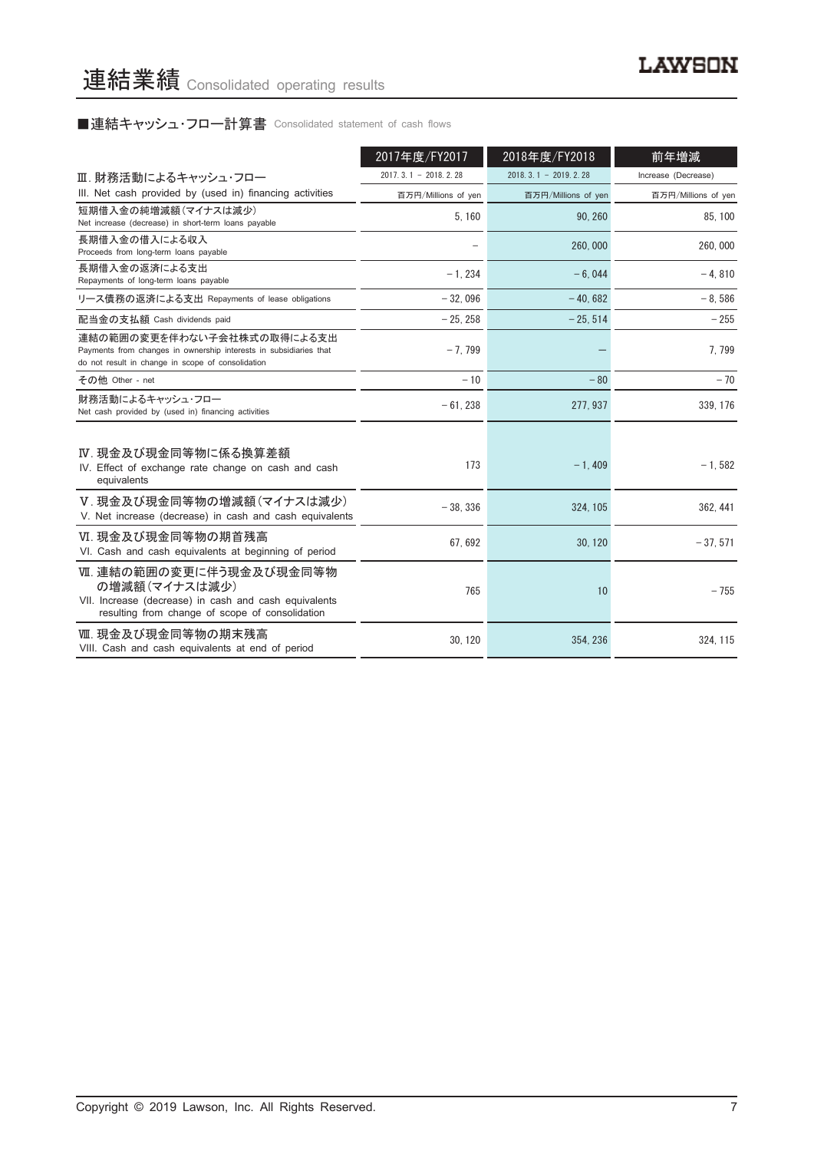# ■連結キャッシュ・フロー計算書 Consolidated statement of cash flows

|                                                                                                                                                      | 2017年度/FY2017          | 2018年度/FY2018              | 前年増減                |
|------------------------------------------------------------------------------------------------------------------------------------------------------|------------------------|----------------------------|---------------------|
| Ⅲ. 財務活動によるキャッシュ・フロー                                                                                                                                  | $2017.3.1 - 2018.2.28$ | $2018, 3, 1 - 2019, 2, 28$ | Increase (Decrease) |
| III. Net cash provided by (used in) financing activities                                                                                             | 百万円/Millions of yen    | 百万円/Millions of yen        | 百万円/Millions of yen |
| 短期借入金の純増減額(マイナスは減少)<br>Net increase (decrease) in short-term loans payable                                                                           | 5.160                  | 90.260                     | 85.100              |
| 長期借入金の借入による収入<br>Proceeds from long-term loans payable                                                                                               |                        | 260,000                    | 260,000             |
| 長期借入金の返済による支出<br>Repayments of long-term loans payable                                                                                               | $-1.234$               | $-6.044$                   | $-4.810$            |
| リース債務の返済による支出 Repayments of lease obligations                                                                                                        | $-32.096$              | $-40.682$                  | $-8.586$            |
| 配当金の支払額 Cash dividends paid                                                                                                                          | $-25, 258$             | $-25, 514$                 | $-255$              |
| 連結の範囲の変更を伴わない子会社株式の取得による支出<br>Payments from changes in ownership interests in subsidiaries that<br>do not result in change in scope of consolidation | $-7,799$               |                            | 7,799               |
| その他 Other - net                                                                                                                                      | $-10$                  | $-80$                      | $-70$               |
| 財務活動によるキャッシュ・フロー<br>Net cash provided by (used in) financing activities                                                                              | $-61, 238$             | 277, 937                   | 339, 176            |
| Ⅳ. 現金及び現金同等物に係る換算差額<br>IV. Effect of exchange rate change on cash and cash<br>equivalents                                                            | 173                    | $-1,409$                   | $-1,582$            |
| V. 現金及び現金同等物の増減額(マイナスは減少)<br>V. Net increase (decrease) in cash and cash equivalents                                                                 | $-38, 336$             | 324, 105                   | 362, 441            |
| VI. 現金及び現金同等物の期首残高<br>VI. Cash and cash equivalents at beginning of period                                                                           | 67, 692                | 30, 120                    | $-37,571$           |
| Ⅶ. 連結の範囲の変更に伴う現金及び現金同等物<br>の増減額(マイナスは減少)<br>VII. Increase (decrease) in cash and cash equivalents<br>resulting from change of scope of consolidation | 765                    | 10                         | $-755$              |
| Ⅷ. 現金及び現金同等物の期末残高<br>VIII. Cash and cash equivalents at end of period                                                                                | 30.120                 | 354.236                    | 324, 115            |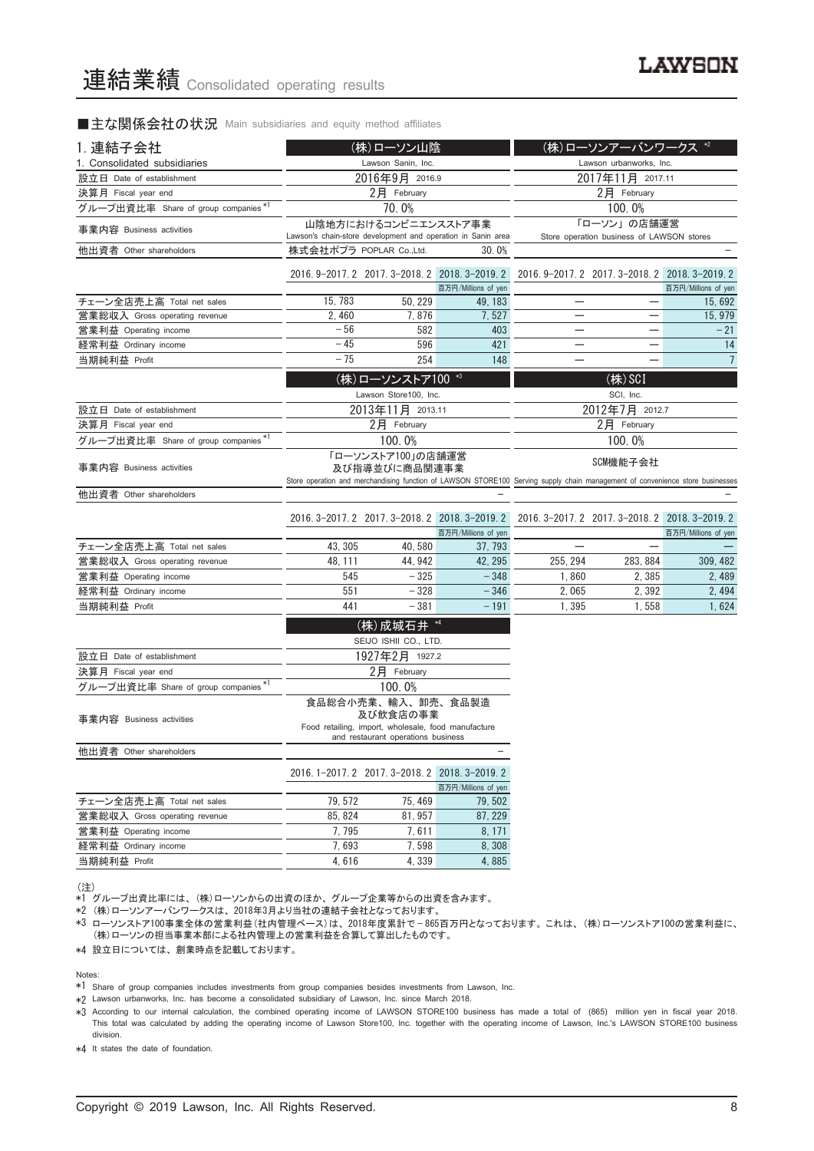■主な関係会社の状況 Main subsidiaries and equity method affiliates

| Lawson Sanin, Inc.<br>Lawson urbanworks, Inc.<br>1. Consolidated subsidiaries<br>2016年9月 2016.9<br>2017年11月 2017.11<br>設立日 Date of establishment<br>2月 February<br>決算月 Fiscal year end<br>2月 February<br>グループ出資比率 Share of group companies*1<br>70.0%<br>100.0%<br>山陰地方におけるコンビニエンスストア事業<br>「ローソン」の店舗運営<br>事業内容 Business activities<br>Lawson's chain-store development and operation in Sanin area<br>Store operation business of LAWSON stores<br>株式会社ポプラ POPLAR Co.,Ltd.<br>他出資者 Other shareholders<br>30.0%<br>2016. 9-2017. 2 2017. 3-2018. 2 2018. 3-2019. 2<br>2016. 9-2017. 2 2017. 3-2018. 2 2018. 3-2019. 2<br>百万円/Millions of yen<br>百万円/Millions of yen<br>15, 783<br>50, 229<br>チェーン全店売上高 Total net sales<br>49, 183<br>15, 692<br>2, 460<br>7,876<br>7,527<br>15, 979<br>営業総収入 Gross operating revenue<br>$-56$<br>582<br>403<br>$-21$<br>営業利益 Operating income<br>$-45$<br>596<br>421<br>経常利益 Ordinary income<br>14<br>$-75$<br>254<br>148<br>$7\overline{ }$<br>当期純利益 Profit<br>(株)ローソンストア100 *3<br>$(\n#)$ SCI<br>Lawson Store100, Inc.<br>SCI, Inc.<br>2012年7月 2012.7<br>2013年11月 2013.11<br>設立日 Date of establishment<br>2月 February<br>2月 February<br>決算月 Fiscal year end<br>グループ出資比率 Share of group companies *!<br>100.0%<br>100.0%<br>「ローソンストア100」の店舗運営<br>SCM機能子会社<br>事業内容 Business activities<br>及び指導並びに商品関連事業<br>Store operation and merchandising function of LAWSON STORE100 Serving supply chain management of convenience store businesses<br>他出資者 Other shareholders<br>2016. 3-2017. 2 2017. 3-2018. 2 2018. 3-2019. 2<br>2016. 3-2017. 2 2017. 3-2018. 2 2018. 3-2019. 2<br>百万円/Millions of yen<br>百万円/Millions of yen<br>43, 305<br>40,580<br>チェーン全店売上高 Total net sales<br>37, 793<br>営業総収入 Gross operating revenue<br>48, 111<br>44, 942<br>42, 295<br>255, 294<br>283, 884<br>309, 482<br>545<br>$-325$<br>$-348$<br>1,860<br>2, 385<br>2,489<br>営業利益 Operating income<br>551<br>$-328$<br>$-346$<br>2,065<br>2,392<br>経常利益 Ordinary income<br>2, 494<br>441<br>1,395<br>1,558<br>1,624<br>当期純利益 Profit<br>$-381$<br>$-191$<br>(株) 成城石井 *4<br>SEIJO ISHII CO., LTD.<br>1927年2月 1927.2<br>設立日 Date of establishment<br>2月 February<br>決算月 Fiscal year end<br>グループ出資比率 Share of group companies *1<br>100.0%<br>食品総合小売業、輸入、卸売、食品製造<br>及び飲食店の事業<br>事業内容 Business activities<br>Food retailing, import, wholesale, food manufacture<br>and restaurant operations business<br>他出資者 Other shareholders<br>2016. 1-2017. 2 2017. 3-2018. 2 2018. 3-2019. 2<br>百万円/Millions of yen<br>79, 572<br>75, 469<br>チェーン全店売上高 Total net sales<br>79, 502<br>85, 824<br>81, 957<br>87, 229<br>営業総収入 Gross operating revenue<br>7,795<br>8, 171<br>7,611<br>営業利益 Operating income<br>7,598<br>8,308<br>7,693<br>経常利益 Ordinary income<br>当期純利益 Profit<br>4,616<br>4, 339<br>4,885 | 1. 連結子会社 | (株)ローソン山陰 |  |  |  | (株)ローソンアーバンワークス *2 |  |
|---------------------------------------------------------------------------------------------------------------------------------------------------------------------------------------------------------------------------------------------------------------------------------------------------------------------------------------------------------------------------------------------------------------------------------------------------------------------------------------------------------------------------------------------------------------------------------------------------------------------------------------------------------------------------------------------------------------------------------------------------------------------------------------------------------------------------------------------------------------------------------------------------------------------------------------------------------------------------------------------------------------------------------------------------------------------------------------------------------------------------------------------------------------------------------------------------------------------------------------------------------------------------------------------------------------------------------------------------------------------------------------------------------------------------------------------------------------------------------------------------------------------------------------------------------------------------------------------------------------------------------------------------------------------------------------------------------------------------------------------------------------------------------------------------------------------------------------------------------------------------------------------------------------------------------------------------------------------------------------------------------------------------------------------------------------------------------------------------------------------------------------------------------------------------------------------------------------------------------------------------------------------------------------------------------------------------------------------------------------------------------------------------------------------------------------------------------------------------------------------------------------------------------------------------------------------------------------------------------------------------------------------------------------------------------------------------------------------------------------------------------------------------------------------------|----------|-----------|--|--|--|--------------------|--|
|                                                                                                                                                                                                                                                                                                                                                                                                                                                                                                                                                                                                                                                                                                                                                                                                                                                                                                                                                                                                                                                                                                                                                                                                                                                                                                                                                                                                                                                                                                                                                                                                                                                                                                                                                                                                                                                                                                                                                                                                                                                                                                                                                                                                                                                                                                                                                                                                                                                                                                                                                                                                                                                                                                                                                                                                   |          |           |  |  |  |                    |  |
|                                                                                                                                                                                                                                                                                                                                                                                                                                                                                                                                                                                                                                                                                                                                                                                                                                                                                                                                                                                                                                                                                                                                                                                                                                                                                                                                                                                                                                                                                                                                                                                                                                                                                                                                                                                                                                                                                                                                                                                                                                                                                                                                                                                                                                                                                                                                                                                                                                                                                                                                                                                                                                                                                                                                                                                                   |          |           |  |  |  |                    |  |
|                                                                                                                                                                                                                                                                                                                                                                                                                                                                                                                                                                                                                                                                                                                                                                                                                                                                                                                                                                                                                                                                                                                                                                                                                                                                                                                                                                                                                                                                                                                                                                                                                                                                                                                                                                                                                                                                                                                                                                                                                                                                                                                                                                                                                                                                                                                                                                                                                                                                                                                                                                                                                                                                                                                                                                                                   |          |           |  |  |  |                    |  |
|                                                                                                                                                                                                                                                                                                                                                                                                                                                                                                                                                                                                                                                                                                                                                                                                                                                                                                                                                                                                                                                                                                                                                                                                                                                                                                                                                                                                                                                                                                                                                                                                                                                                                                                                                                                                                                                                                                                                                                                                                                                                                                                                                                                                                                                                                                                                                                                                                                                                                                                                                                                                                                                                                                                                                                                                   |          |           |  |  |  |                    |  |
|                                                                                                                                                                                                                                                                                                                                                                                                                                                                                                                                                                                                                                                                                                                                                                                                                                                                                                                                                                                                                                                                                                                                                                                                                                                                                                                                                                                                                                                                                                                                                                                                                                                                                                                                                                                                                                                                                                                                                                                                                                                                                                                                                                                                                                                                                                                                                                                                                                                                                                                                                                                                                                                                                                                                                                                                   |          |           |  |  |  |                    |  |
|                                                                                                                                                                                                                                                                                                                                                                                                                                                                                                                                                                                                                                                                                                                                                                                                                                                                                                                                                                                                                                                                                                                                                                                                                                                                                                                                                                                                                                                                                                                                                                                                                                                                                                                                                                                                                                                                                                                                                                                                                                                                                                                                                                                                                                                                                                                                                                                                                                                                                                                                                                                                                                                                                                                                                                                                   |          |           |  |  |  |                    |  |
|                                                                                                                                                                                                                                                                                                                                                                                                                                                                                                                                                                                                                                                                                                                                                                                                                                                                                                                                                                                                                                                                                                                                                                                                                                                                                                                                                                                                                                                                                                                                                                                                                                                                                                                                                                                                                                                                                                                                                                                                                                                                                                                                                                                                                                                                                                                                                                                                                                                                                                                                                                                                                                                                                                                                                                                                   |          |           |  |  |  |                    |  |
|                                                                                                                                                                                                                                                                                                                                                                                                                                                                                                                                                                                                                                                                                                                                                                                                                                                                                                                                                                                                                                                                                                                                                                                                                                                                                                                                                                                                                                                                                                                                                                                                                                                                                                                                                                                                                                                                                                                                                                                                                                                                                                                                                                                                                                                                                                                                                                                                                                                                                                                                                                                                                                                                                                                                                                                                   |          |           |  |  |  |                    |  |
|                                                                                                                                                                                                                                                                                                                                                                                                                                                                                                                                                                                                                                                                                                                                                                                                                                                                                                                                                                                                                                                                                                                                                                                                                                                                                                                                                                                                                                                                                                                                                                                                                                                                                                                                                                                                                                                                                                                                                                                                                                                                                                                                                                                                                                                                                                                                                                                                                                                                                                                                                                                                                                                                                                                                                                                                   |          |           |  |  |  |                    |  |
|                                                                                                                                                                                                                                                                                                                                                                                                                                                                                                                                                                                                                                                                                                                                                                                                                                                                                                                                                                                                                                                                                                                                                                                                                                                                                                                                                                                                                                                                                                                                                                                                                                                                                                                                                                                                                                                                                                                                                                                                                                                                                                                                                                                                                                                                                                                                                                                                                                                                                                                                                                                                                                                                                                                                                                                                   |          |           |  |  |  |                    |  |
|                                                                                                                                                                                                                                                                                                                                                                                                                                                                                                                                                                                                                                                                                                                                                                                                                                                                                                                                                                                                                                                                                                                                                                                                                                                                                                                                                                                                                                                                                                                                                                                                                                                                                                                                                                                                                                                                                                                                                                                                                                                                                                                                                                                                                                                                                                                                                                                                                                                                                                                                                                                                                                                                                                                                                                                                   |          |           |  |  |  |                    |  |
|                                                                                                                                                                                                                                                                                                                                                                                                                                                                                                                                                                                                                                                                                                                                                                                                                                                                                                                                                                                                                                                                                                                                                                                                                                                                                                                                                                                                                                                                                                                                                                                                                                                                                                                                                                                                                                                                                                                                                                                                                                                                                                                                                                                                                                                                                                                                                                                                                                                                                                                                                                                                                                                                                                                                                                                                   |          |           |  |  |  |                    |  |
|                                                                                                                                                                                                                                                                                                                                                                                                                                                                                                                                                                                                                                                                                                                                                                                                                                                                                                                                                                                                                                                                                                                                                                                                                                                                                                                                                                                                                                                                                                                                                                                                                                                                                                                                                                                                                                                                                                                                                                                                                                                                                                                                                                                                                                                                                                                                                                                                                                                                                                                                                                                                                                                                                                                                                                                                   |          |           |  |  |  |                    |  |
|                                                                                                                                                                                                                                                                                                                                                                                                                                                                                                                                                                                                                                                                                                                                                                                                                                                                                                                                                                                                                                                                                                                                                                                                                                                                                                                                                                                                                                                                                                                                                                                                                                                                                                                                                                                                                                                                                                                                                                                                                                                                                                                                                                                                                                                                                                                                                                                                                                                                                                                                                                                                                                                                                                                                                                                                   |          |           |  |  |  |                    |  |
|                                                                                                                                                                                                                                                                                                                                                                                                                                                                                                                                                                                                                                                                                                                                                                                                                                                                                                                                                                                                                                                                                                                                                                                                                                                                                                                                                                                                                                                                                                                                                                                                                                                                                                                                                                                                                                                                                                                                                                                                                                                                                                                                                                                                                                                                                                                                                                                                                                                                                                                                                                                                                                                                                                                                                                                                   |          |           |  |  |  |                    |  |
|                                                                                                                                                                                                                                                                                                                                                                                                                                                                                                                                                                                                                                                                                                                                                                                                                                                                                                                                                                                                                                                                                                                                                                                                                                                                                                                                                                                                                                                                                                                                                                                                                                                                                                                                                                                                                                                                                                                                                                                                                                                                                                                                                                                                                                                                                                                                                                                                                                                                                                                                                                                                                                                                                                                                                                                                   |          |           |  |  |  |                    |  |
|                                                                                                                                                                                                                                                                                                                                                                                                                                                                                                                                                                                                                                                                                                                                                                                                                                                                                                                                                                                                                                                                                                                                                                                                                                                                                                                                                                                                                                                                                                                                                                                                                                                                                                                                                                                                                                                                                                                                                                                                                                                                                                                                                                                                                                                                                                                                                                                                                                                                                                                                                                                                                                                                                                                                                                                                   |          |           |  |  |  |                    |  |
|                                                                                                                                                                                                                                                                                                                                                                                                                                                                                                                                                                                                                                                                                                                                                                                                                                                                                                                                                                                                                                                                                                                                                                                                                                                                                                                                                                                                                                                                                                                                                                                                                                                                                                                                                                                                                                                                                                                                                                                                                                                                                                                                                                                                                                                                                                                                                                                                                                                                                                                                                                                                                                                                                                                                                                                                   |          |           |  |  |  |                    |  |
|                                                                                                                                                                                                                                                                                                                                                                                                                                                                                                                                                                                                                                                                                                                                                                                                                                                                                                                                                                                                                                                                                                                                                                                                                                                                                                                                                                                                                                                                                                                                                                                                                                                                                                                                                                                                                                                                                                                                                                                                                                                                                                                                                                                                                                                                                                                                                                                                                                                                                                                                                                                                                                                                                                                                                                                                   |          |           |  |  |  |                    |  |
|                                                                                                                                                                                                                                                                                                                                                                                                                                                                                                                                                                                                                                                                                                                                                                                                                                                                                                                                                                                                                                                                                                                                                                                                                                                                                                                                                                                                                                                                                                                                                                                                                                                                                                                                                                                                                                                                                                                                                                                                                                                                                                                                                                                                                                                                                                                                                                                                                                                                                                                                                                                                                                                                                                                                                                                                   |          |           |  |  |  |                    |  |
|                                                                                                                                                                                                                                                                                                                                                                                                                                                                                                                                                                                                                                                                                                                                                                                                                                                                                                                                                                                                                                                                                                                                                                                                                                                                                                                                                                                                                                                                                                                                                                                                                                                                                                                                                                                                                                                                                                                                                                                                                                                                                                                                                                                                                                                                                                                                                                                                                                                                                                                                                                                                                                                                                                                                                                                                   |          |           |  |  |  |                    |  |
|                                                                                                                                                                                                                                                                                                                                                                                                                                                                                                                                                                                                                                                                                                                                                                                                                                                                                                                                                                                                                                                                                                                                                                                                                                                                                                                                                                                                                                                                                                                                                                                                                                                                                                                                                                                                                                                                                                                                                                                                                                                                                                                                                                                                                                                                                                                                                                                                                                                                                                                                                                                                                                                                                                                                                                                                   |          |           |  |  |  |                    |  |
|                                                                                                                                                                                                                                                                                                                                                                                                                                                                                                                                                                                                                                                                                                                                                                                                                                                                                                                                                                                                                                                                                                                                                                                                                                                                                                                                                                                                                                                                                                                                                                                                                                                                                                                                                                                                                                                                                                                                                                                                                                                                                                                                                                                                                                                                                                                                                                                                                                                                                                                                                                                                                                                                                                                                                                                                   |          |           |  |  |  |                    |  |
|                                                                                                                                                                                                                                                                                                                                                                                                                                                                                                                                                                                                                                                                                                                                                                                                                                                                                                                                                                                                                                                                                                                                                                                                                                                                                                                                                                                                                                                                                                                                                                                                                                                                                                                                                                                                                                                                                                                                                                                                                                                                                                                                                                                                                                                                                                                                                                                                                                                                                                                                                                                                                                                                                                                                                                                                   |          |           |  |  |  |                    |  |
|                                                                                                                                                                                                                                                                                                                                                                                                                                                                                                                                                                                                                                                                                                                                                                                                                                                                                                                                                                                                                                                                                                                                                                                                                                                                                                                                                                                                                                                                                                                                                                                                                                                                                                                                                                                                                                                                                                                                                                                                                                                                                                                                                                                                                                                                                                                                                                                                                                                                                                                                                                                                                                                                                                                                                                                                   |          |           |  |  |  |                    |  |
|                                                                                                                                                                                                                                                                                                                                                                                                                                                                                                                                                                                                                                                                                                                                                                                                                                                                                                                                                                                                                                                                                                                                                                                                                                                                                                                                                                                                                                                                                                                                                                                                                                                                                                                                                                                                                                                                                                                                                                                                                                                                                                                                                                                                                                                                                                                                                                                                                                                                                                                                                                                                                                                                                                                                                                                                   |          |           |  |  |  |                    |  |
|                                                                                                                                                                                                                                                                                                                                                                                                                                                                                                                                                                                                                                                                                                                                                                                                                                                                                                                                                                                                                                                                                                                                                                                                                                                                                                                                                                                                                                                                                                                                                                                                                                                                                                                                                                                                                                                                                                                                                                                                                                                                                                                                                                                                                                                                                                                                                                                                                                                                                                                                                                                                                                                                                                                                                                                                   |          |           |  |  |  |                    |  |
|                                                                                                                                                                                                                                                                                                                                                                                                                                                                                                                                                                                                                                                                                                                                                                                                                                                                                                                                                                                                                                                                                                                                                                                                                                                                                                                                                                                                                                                                                                                                                                                                                                                                                                                                                                                                                                                                                                                                                                                                                                                                                                                                                                                                                                                                                                                                                                                                                                                                                                                                                                                                                                                                                                                                                                                                   |          |           |  |  |  |                    |  |
|                                                                                                                                                                                                                                                                                                                                                                                                                                                                                                                                                                                                                                                                                                                                                                                                                                                                                                                                                                                                                                                                                                                                                                                                                                                                                                                                                                                                                                                                                                                                                                                                                                                                                                                                                                                                                                                                                                                                                                                                                                                                                                                                                                                                                                                                                                                                                                                                                                                                                                                                                                                                                                                                                                                                                                                                   |          |           |  |  |  |                    |  |
|                                                                                                                                                                                                                                                                                                                                                                                                                                                                                                                                                                                                                                                                                                                                                                                                                                                                                                                                                                                                                                                                                                                                                                                                                                                                                                                                                                                                                                                                                                                                                                                                                                                                                                                                                                                                                                                                                                                                                                                                                                                                                                                                                                                                                                                                                                                                                                                                                                                                                                                                                                                                                                                                                                                                                                                                   |          |           |  |  |  |                    |  |
|                                                                                                                                                                                                                                                                                                                                                                                                                                                                                                                                                                                                                                                                                                                                                                                                                                                                                                                                                                                                                                                                                                                                                                                                                                                                                                                                                                                                                                                                                                                                                                                                                                                                                                                                                                                                                                                                                                                                                                                                                                                                                                                                                                                                                                                                                                                                                                                                                                                                                                                                                                                                                                                                                                                                                                                                   |          |           |  |  |  |                    |  |
|                                                                                                                                                                                                                                                                                                                                                                                                                                                                                                                                                                                                                                                                                                                                                                                                                                                                                                                                                                                                                                                                                                                                                                                                                                                                                                                                                                                                                                                                                                                                                                                                                                                                                                                                                                                                                                                                                                                                                                                                                                                                                                                                                                                                                                                                                                                                                                                                                                                                                                                                                                                                                                                                                                                                                                                                   |          |           |  |  |  |                    |  |
|                                                                                                                                                                                                                                                                                                                                                                                                                                                                                                                                                                                                                                                                                                                                                                                                                                                                                                                                                                                                                                                                                                                                                                                                                                                                                                                                                                                                                                                                                                                                                                                                                                                                                                                                                                                                                                                                                                                                                                                                                                                                                                                                                                                                                                                                                                                                                                                                                                                                                                                                                                                                                                                                                                                                                                                                   |          |           |  |  |  |                    |  |
|                                                                                                                                                                                                                                                                                                                                                                                                                                                                                                                                                                                                                                                                                                                                                                                                                                                                                                                                                                                                                                                                                                                                                                                                                                                                                                                                                                                                                                                                                                                                                                                                                                                                                                                                                                                                                                                                                                                                                                                                                                                                                                                                                                                                                                                                                                                                                                                                                                                                                                                                                                                                                                                                                                                                                                                                   |          |           |  |  |  |                    |  |
|                                                                                                                                                                                                                                                                                                                                                                                                                                                                                                                                                                                                                                                                                                                                                                                                                                                                                                                                                                                                                                                                                                                                                                                                                                                                                                                                                                                                                                                                                                                                                                                                                                                                                                                                                                                                                                                                                                                                                                                                                                                                                                                                                                                                                                                                                                                                                                                                                                                                                                                                                                                                                                                                                                                                                                                                   |          |           |  |  |  |                    |  |
|                                                                                                                                                                                                                                                                                                                                                                                                                                                                                                                                                                                                                                                                                                                                                                                                                                                                                                                                                                                                                                                                                                                                                                                                                                                                                                                                                                                                                                                                                                                                                                                                                                                                                                                                                                                                                                                                                                                                                                                                                                                                                                                                                                                                                                                                                                                                                                                                                                                                                                                                                                                                                                                                                                                                                                                                   |          |           |  |  |  |                    |  |
|                                                                                                                                                                                                                                                                                                                                                                                                                                                                                                                                                                                                                                                                                                                                                                                                                                                                                                                                                                                                                                                                                                                                                                                                                                                                                                                                                                                                                                                                                                                                                                                                                                                                                                                                                                                                                                                                                                                                                                                                                                                                                                                                                                                                                                                                                                                                                                                                                                                                                                                                                                                                                                                                                                                                                                                                   |          |           |  |  |  |                    |  |
|                                                                                                                                                                                                                                                                                                                                                                                                                                                                                                                                                                                                                                                                                                                                                                                                                                                                                                                                                                                                                                                                                                                                                                                                                                                                                                                                                                                                                                                                                                                                                                                                                                                                                                                                                                                                                                                                                                                                                                                                                                                                                                                                                                                                                                                                                                                                                                                                                                                                                                                                                                                                                                                                                                                                                                                                   |          |           |  |  |  |                    |  |

(注)

\*1 グループ出資比率には、 (株)ローソンからの出資のほか、 グループ企業等からの出資を含みます。

\*2 (株)ローソンアーバンワークスは、 2018年3月より当社の連結子会社となっております。

\*3 ローソンストア100事業全体の営業利益(社内管理ベース)は、 2018年度累計で — 865百万円となっております。 これは、 (株)ローソンストア100の営業利益に、 (株)ローソンの担当事業本部による社内管理上の営業利益を合算して算出したものです。

\*4 設立日については、 創業時点を記載しております。

Notes:

\*1 Share of group companies includes investments from group companies besides investments from Lawson, Inc.

\*2 Lawson urbanworks, Inc. has become a consolidated subsidiary of Lawson, Inc. since March 2018.

\*3 According to our internal calculation, the combined operating income of LAWSON STORE100 business has made a total of (865) million yen in fiscal year 2018. This total was calculated by adding the operating income of Lawson Store100, Inc. together with the operating income of Lawson, Inc.'s LAWSON STORE100 business division.

\*4 It states the date of foundation.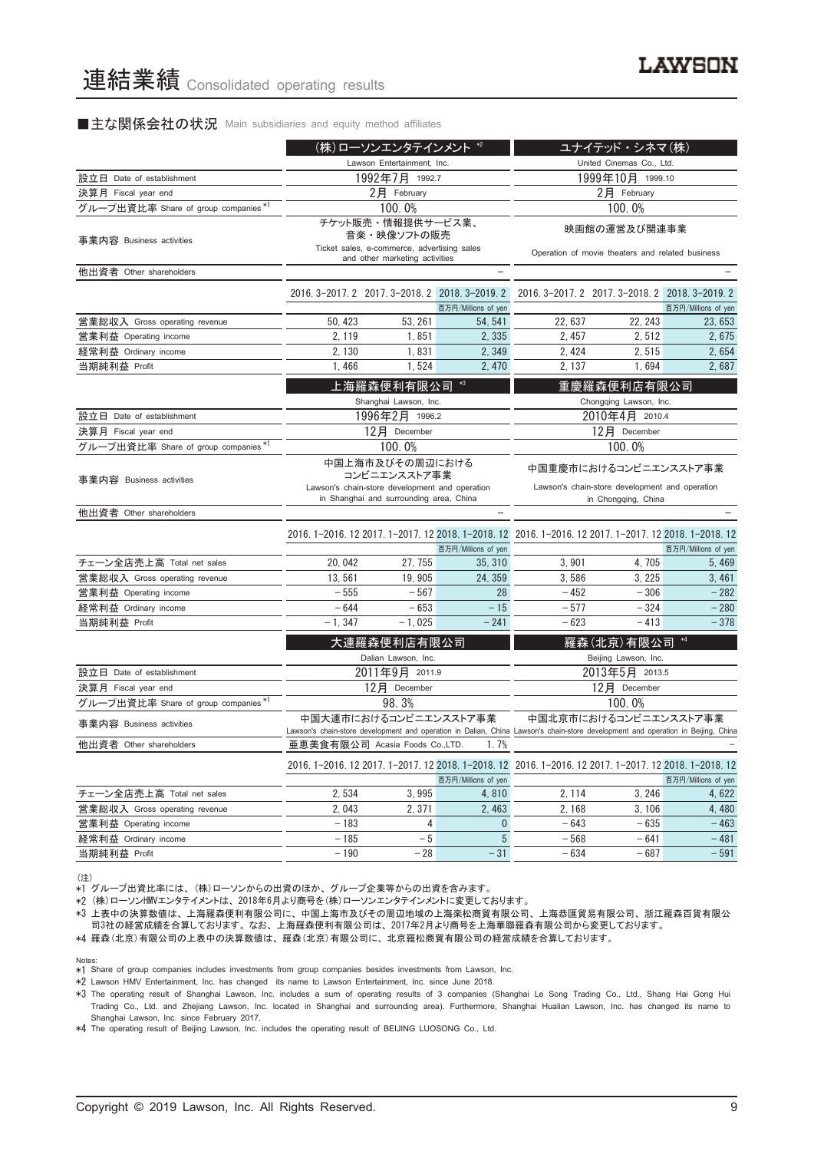#### ■主な関係会社の状況 Main subsidiaries and equity method affiliates

|                                      | (株)ローソンエンタテインメント *2                                                                                                          |                                                                                                                              |                          |                                                                                                                                  | ユナイテッド・シネマ(株)                                                    |                     |
|--------------------------------------|------------------------------------------------------------------------------------------------------------------------------|------------------------------------------------------------------------------------------------------------------------------|--------------------------|----------------------------------------------------------------------------------------------------------------------------------|------------------------------------------------------------------|---------------------|
|                                      | Lawson Entertainment, Inc.                                                                                                   |                                                                                                                              |                          |                                                                                                                                  | United Cinemas Co., Ltd.                                         |                     |
| 設立日 Date of establishment            | 1992年7月 1992.7                                                                                                               |                                                                                                                              |                          |                                                                                                                                  | 1999年10月 1999.10                                                 |                     |
| 決算月 Fiscal year end                  |                                                                                                                              | $2$ 月 February                                                                                                               |                          |                                                                                                                                  | 2月 February                                                      |                     |
| グループ出資比率 Share of group companies *1 |                                                                                                                              | 100.0%                                                                                                                       |                          |                                                                                                                                  | 100.0%                                                           |                     |
| 事業内容 Business activities             |                                                                                                                              | チケット販売・情報提供サービス業、<br>音楽・映像ソフトの販売<br>Ticket sales, e-commerce, advertising sales<br>and other marketing activities            |                          |                                                                                                                                  | 映画館の運営及び関連事業<br>Operation of movie theaters and related business |                     |
| 他出資者 Other shareholders              |                                                                                                                              |                                                                                                                              | $\overline{\phantom{0}}$ |                                                                                                                                  |                                                                  |                     |
|                                      |                                                                                                                              | 2016. 3-2017. 2 2017. 3-2018. 2 2018. 3-2019. 2                                                                              | 百万円/Millions of yen      |                                                                                                                                  | 2016. 3-2017. 2 2017. 3-2018. 2 2018. 3-2019. 2                  | 百万円/Millions of yen |
| 営業総収入 Gross operating revenue        | 50, 423                                                                                                                      | 53, 261                                                                                                                      | 54, 541                  | 22, 637                                                                                                                          | 22, 243                                                          | 23.653              |
| 営業利益 Operating income                | 2, 119                                                                                                                       | 1,851                                                                                                                        | 2, 335                   | 2, 457                                                                                                                           | 2,512                                                            | 2,675               |
| 経常利益 Ordinary income                 | 2, 130                                                                                                                       | 1,831                                                                                                                        | 2, 349                   | 2, 424                                                                                                                           | 2,515                                                            | 2,654               |
| 当期純利益 Profit                         | 1,466                                                                                                                        | 1,524                                                                                                                        | 2,470                    | 2, 137                                                                                                                           | 1,694                                                            | 2,687               |
|                                      |                                                                                                                              | 上海羅森便利有限公司<br>Shanghai Lawson, Inc.                                                                                          | *3                       |                                                                                                                                  | 重慶羅森便利店有限公司<br>Chongqing Lawson, Inc.                            |                     |
| 設立日 Date of establishment            | 1996年2月 1996.2                                                                                                               |                                                                                                                              |                          |                                                                                                                                  | 2010年4月 2010.4                                                   |                     |
| 決算月 Fiscal year end                  |                                                                                                                              | 12月 December                                                                                                                 |                          | 12月 December                                                                                                                     |                                                                  |                     |
| グループ出資比率 Share of group companies*1  |                                                                                                                              | 100.0%                                                                                                                       |                          | 100.0%                                                                                                                           |                                                                  |                     |
| 事業内容 Business activities             |                                                                                                                              | 中国上海市及びその周辺における<br>コンビニエンスストア事業<br>Lawson's chain-store development and operation<br>in Shanghai and surrounding area, China |                          | 中国重慶市におけるコンビニエンスストア事業<br>Lawson's chain-store development and operation<br>in Chongqing, China                                   |                                                                  |                     |
| 他出資者 Other shareholders              |                                                                                                                              |                                                                                                                              |                          |                                                                                                                                  |                                                                  |                     |
|                                      |                                                                                                                              |                                                                                                                              | 百万円/Millions of yen      | 2016. 1-2016. 12 2017. 1-2017. 12 2018. 1-2018. 12 2016. 1-2016. 12 2017. 1-2017. 12 2018. 1-2018. 12                            |                                                                  | 百万円/Millions of yen |
| チェーン全店売上高 Total net sales            | 20, 042                                                                                                                      | 27, 755                                                                                                                      | 35, 310                  | 3,901                                                                                                                            | 4,705                                                            | 5, 469              |
| 営業総収入 Gross operating revenue        | 13,561                                                                                                                       | 19, 905                                                                                                                      | 24, 359                  | 3,586                                                                                                                            | 3, 225                                                           | 3,461               |
| 営業利益 Operating income                | $-555$                                                                                                                       | $-567$                                                                                                                       | 28                       | $-452$                                                                                                                           | $-306$                                                           | $-282$              |
| 経常利益 Ordinary income                 | $-644$                                                                                                                       | $-653$                                                                                                                       | $-15$                    | $-577$                                                                                                                           | $-324$                                                           | $-280$              |
| 当期純利益 Profit                         | $-1, 347$                                                                                                                    | $-1,025$                                                                                                                     | $-241$                   | $-623$                                                                                                                           | $-413$                                                           | $-378$              |
|                                      |                                                                                                                              | 大連羅森便利店有限公司<br>Dalian Lawson, Inc.                                                                                           |                          |                                                                                                                                  | 羅森(北京)有限公司<br>Beijing Lawson, Inc.                               |                     |
| 設立日 Date of establishment            |                                                                                                                              | 2011年9月 2011.9                                                                                                               |                          |                                                                                                                                  | 2013年5月 2013.5                                                   |                     |
| 決算月 Fiscal year end                  |                                                                                                                              | 12月 December                                                                                                                 |                          |                                                                                                                                  | 12月 December                                                     |                     |
| グループ出資比率 Share of group companies*1  |                                                                                                                              | 98.3%                                                                                                                        |                          |                                                                                                                                  | 100.0%                                                           |                     |
| 事業内容 Business activities             |                                                                                                                              | 中国大連市におけるコンビニエンスストア事業                                                                                                        |                          | Lawson's chain-store development and operation in Dalian, China Lawson's chain-store development and operation in Beijing, China | 中国北京市におけるコンビニエンスストア事業                                            |                     |
| 他出資者 Other shareholders              |                                                                                                                              | 亜恵美食有限公司 Acasia Foods Co.,LTD.                                                                                               | 1.7%                     |                                                                                                                                  |                                                                  |                     |
|                                      | 2016. 1-2016. 12 2017. 1-2017. 12 2018. 1-2018. 12 2016. 1-2016. 12 2017. 1-2017. 12 2018. 1-2018. 12<br>百万円/Millions of yen |                                                                                                                              |                          |                                                                                                                                  | 百万円/Millions of yen                                              |                     |
| チェーン全店売上高 Total net sales            | 2,534                                                                                                                        | 3,995                                                                                                                        | 4,810                    | 2, 114                                                                                                                           | 3, 246                                                           | 4,622               |
| 営業総収入 Gross operating revenue        | 2,043                                                                                                                        | 2,371                                                                                                                        | 2,463                    | 2, 168                                                                                                                           | 3,106                                                            | 4,480               |
| 営業利益 Operating income                | $-183$                                                                                                                       | 4                                                                                                                            | $\mathbf{0}$             | $-643$                                                                                                                           | $-635$                                                           | $-463$              |
| 経常利益 Ordinary income                 | $-185$                                                                                                                       | $-5$                                                                                                                         | $5\phantom{.0}$          | $-568$                                                                                                                           | $-641$                                                           | $-481$              |
| 当期純利益 Profit                         | $-190$                                                                                                                       | $-28$                                                                                                                        | $-31$                    | $-634$                                                                                                                           | $-687$                                                           | $-591$              |

(注) \*1 グループ出資比率には、 (株)ローソンからの出資のほか、 グループ企業等からの出資を含みます。

\*2 (株)ローソンHMVエンタテイメントは、 2018年6月より商号を(株)ローソンエンタテインメントに変更しております。

\*3 上表中の決算数値は、 上海羅森便利有限公司に、 中国上海市及びその周辺地域の上海楽松商貿有限公司、 上海恭匯貿易有限公司、 浙江羅森百貨有限公 司3社の経営成績を合算しております。 なお、 上海羅森便利有限公司は、 2017年2月より商号を上海華聯羅森有限公司から変更しております。

\*4 羅森(北京)有限公司の上表中の決算数値は、 羅森(北京)有限公司に、 北京羅松商貿有限公司の経営成績を合算しております。

Notes:

\*1 Share of group companies includes investments from group companies besides investments from Lawson, Inc.

\*2 Lawson HMV Entertainment, Inc. has changed its name to Lawson Entertainment, Inc. since June 2018.

\*3 The operating result of Shanghai Lawson, Inc. includes a sum of operating results of 3 companies (Shanghai Le Song Trading Co., Ltd., Shang Hai Gong Hui Trading Co., Ltd. and Zhejiang Lawson, Inc. located in Shanghai and surrounding area). Furthermore, Shanghai Hualian Lawson, Inc. has changed its name to Shanghai Lawson, Inc. since February 2017.

\*4 The operating result of Beijing Lawson, Inc. includes the operating result of BEIJING LUOSONG Co., Ltd.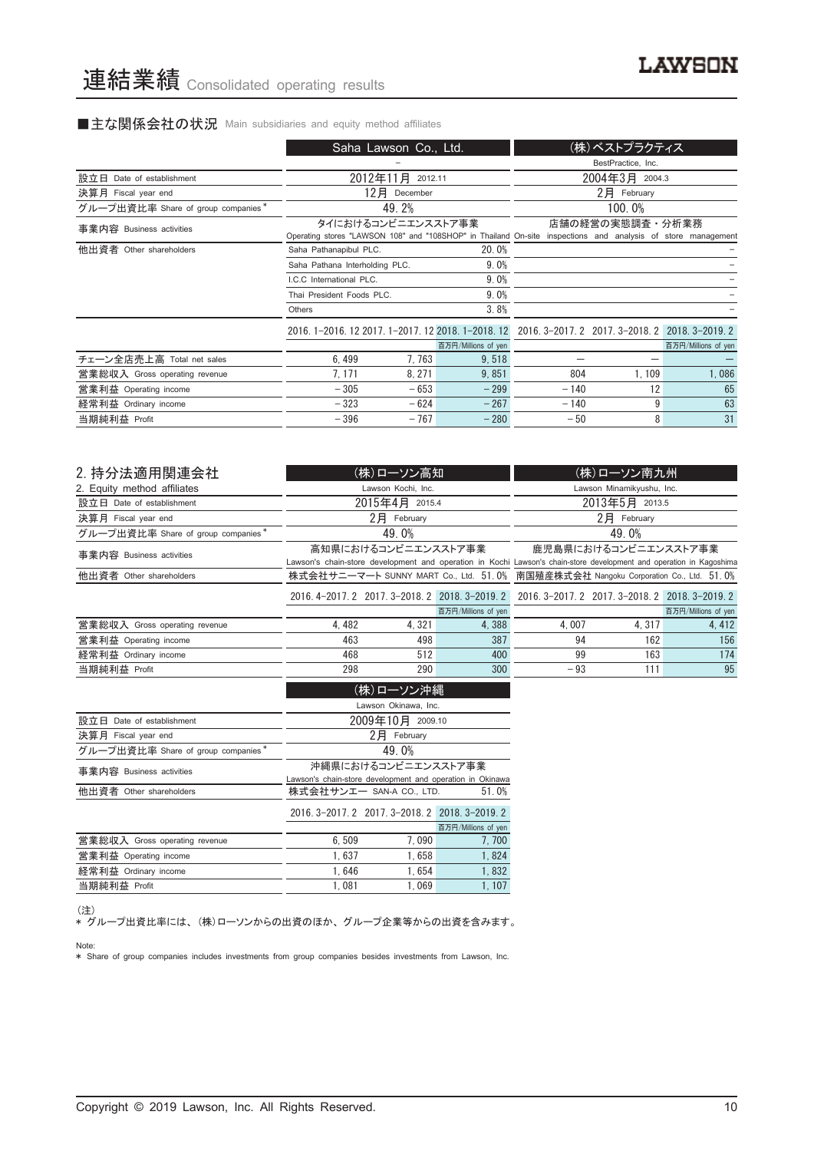### ■主な関係会社の状況 Main subsidiaries and equity method affiliates

| BestPractice, Inc.<br>2012年11月 2012.11<br>2004年3月 2004.3<br>設立日 Date of establishment                                                                                             |                     |
|-----------------------------------------------------------------------------------------------------------------------------------------------------------------------------------|---------------------|
|                                                                                                                                                                                   |                     |
|                                                                                                                                                                                   |                     |
| $2$ $\overline{P}$ February<br>12月<br>決算月 Fiscal year end<br>December                                                                                                             |                     |
| 49.2%<br>100.0%<br>グループ出資比率 Share of group companies*                                                                                                                             |                     |
| タイにおけるコンビニエンスストア事業<br>店舗の経営の実態調査・分析業務<br>事業内容 Business activities<br>Operating stores "LAWSON 108" and "108SHOP" in Thailand On-site inspections and analysis of store management |                     |
| 他出資者 Other shareholders<br>20.0%<br>Saha Pathanapibul PLC.                                                                                                                        |                     |
| 9.0%<br>Saha Pathana Interholding PLC.                                                                                                                                            |                     |
| 9.0%<br>LC.C. International PLC.                                                                                                                                                  |                     |
| 9.0%<br>Thai President Foods PLC.                                                                                                                                                 |                     |
| 3.8%<br>Others                                                                                                                                                                    |                     |
| 2016. 1-2016. 12 2017. 1-2017. 12 2018. 1-2018. 12 2016. 3-2017. 2 2017. 3-2018. 2 2018. 3-2019. 2                                                                                |                     |
| 百万円/Millions of yen                                                                                                                                                               | 百万円/Millions of yen |
| チェーン全店売上高 Total net sales<br>6.499<br>7, 763<br>9,518                                                                                                                             |                     |
| 7.171<br>9.851<br>1, 109<br>8.271<br>804<br>営業総収入 Gross operating revenue                                                                                                         | 1,086               |
| 12<br>$-305$<br>$-653$<br>$-299$<br>$-140$<br>営業利益 Operating income                                                                                                               | 65                  |
| 9<br>$-624$<br>$-267$<br>$-323$<br>$-140$<br>経常利益 Ordinary income                                                                                                                 | 63                  |
| 8<br>$-280$<br>$-396$<br>$-767$<br>当期純利益 Profit<br>$-50$                                                                                                                          | 31                  |

| 2. 持分法適用関連会社                       |       | (株)ローソン高知            |                                                 |                                                                                                                     | (株)ローソン南九州                                      |                     |
|------------------------------------|-------|----------------------|-------------------------------------------------|---------------------------------------------------------------------------------------------------------------------|-------------------------------------------------|---------------------|
| 2. Equity method affiliates        |       | Lawson Kochi, Inc.   |                                                 |                                                                                                                     | Lawson Minamikyushu, Inc.                       |                     |
| 設立日 Date of establishment          |       | 2015年4月 2015.4       |                                                 |                                                                                                                     | 2013年5月 2013.5                                  |                     |
| 決算月 Fiscal year end                |       | $2$ $H$ February     |                                                 |                                                                                                                     | $2$ 月 February                                  |                     |
| グループ出資比率 Share of group companies* |       | 49.0%                |                                                 |                                                                                                                     | 49.0%                                           |                     |
| 事業内容 Business activities           |       | 高知県におけるコンビニエンスストア事業  |                                                 |                                                                                                                     | 鹿児島県におけるコンビニエンスストア事業                            |                     |
|                                    |       |                      |                                                 | Lawson's chain-store development and operation in Kochi Lawson's chain-store development and operation in Kagoshima |                                                 |                     |
| 他出資者 Other shareholders            |       |                      |                                                 | 株式会社サニーマート SUNNY MART Co., Ltd. 51.0% 南国殖産株式会社 Nangoku Corporation Co., Ltd. 51.0%                                  |                                                 |                     |
|                                    |       |                      | 2016. 4-2017. 2 2017. 3-2018. 2 2018. 3-2019. 2 |                                                                                                                     | 2016. 3-2017. 2 2017. 3-2018. 2 2018. 3-2019. 2 |                     |
|                                    |       |                      | 百万円/Millions of yen                             |                                                                                                                     |                                                 | 百万円/Millions of yen |
| 営業総収入 Gross operating revenue      | 4.482 | 4.321                | 4,388                                           | 4.007                                                                                                               | 4.317                                           | 4, 412              |
| 営業利益 Operating income              | 463   | 498                  | 387                                             | 94                                                                                                                  | 162                                             | 156                 |
| 経常利益 Ordinary income               | 468   | 512                  | 400                                             | 99                                                                                                                  | 163                                             | 174                 |
| 当期純利益 Profit                       | 298   | 290                  | 300                                             | $-93$                                                                                                               | 111                                             | 95                  |
|                                    |       | (株)ローソン沖縄            |                                                 |                                                                                                                     |                                                 |                     |
|                                    |       | Lawson Okinawa, Inc. |                                                 |                                                                                                                     |                                                 |                     |
| 設立日<br>Date of establishment       |       | 2009年10月 2009.10     |                                                 |                                                                                                                     |                                                 |                     |
| 決算日 Fiscal vear end                |       | 2日 February          |                                                 |                                                                                                                     |                                                 |                     |

| 決算月 Fiscal year end                |                                                                                  | 2月<br>February                                  |                     |  |  |
|------------------------------------|----------------------------------------------------------------------------------|-------------------------------------------------|---------------------|--|--|
| グループ出資比率 Share of group companies* |                                                                                  | 49.0%                                           |                     |  |  |
| 事業内容 Business activities           | 沖縄県におけるコンビニエンスストア事業<br>Lawson's chain-store development and operation in Okinawa |                                                 |                     |  |  |
| 他出資者 Other shareholders            |                                                                                  | 株式会社サンエー SAN-A CO., LTD.                        | 51.0%               |  |  |
|                                    |                                                                                  | 2016. 3-2017. 2 2017. 3-2018. 2 2018. 3-2019. 2 |                     |  |  |
|                                    |                                                                                  |                                                 | 百万円/Millions of yen |  |  |
| 営業総収入 Gross operating revenue      | 6.509                                                                            | 7.090                                           | 7,700               |  |  |
| 営業利益 Operating income              | 1.637                                                                            | 1.658                                           | 1.824               |  |  |
| 経常利益 Ordinary income               | 1.646                                                                            | 1.654                                           | 1.832               |  |  |
| 当期純利益 Profit                       | 1.081                                                                            | 1.069                                           | 1.107               |  |  |

<sup>(</sup>注)

、<sup>、・・。</sup><br>\* グループ出資比率には、 (株)ローソンからの出資のほか、グループ企業等からの出資を含みます。 Note:

\* Share of group companies includes investments from group companies besides investments from Lawson, Inc.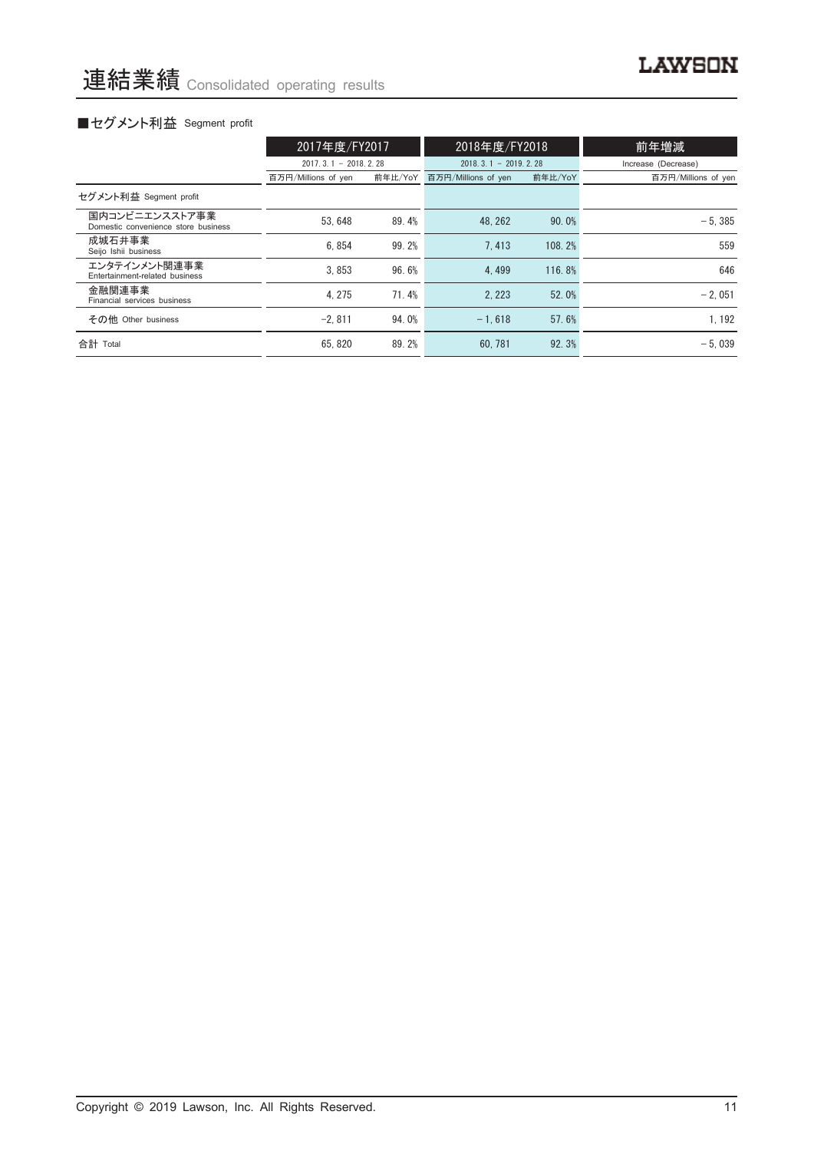# ■セグメント利益 Segment profit

|                                                       | 2017年度/FY2017          |         | 2018年度/FY2018          |         | 前年増減                |
|-------------------------------------------------------|------------------------|---------|------------------------|---------|---------------------|
|                                                       | $2017.3.1 - 2018.2.28$ |         | $2018.3.1 - 2019.2.28$ |         | Increase (Decrease) |
|                                                       | 百万円/Millions of yen    | 前年比/YoY | 百万円/Millions of yen    | 前年比/YoY | 百万円/Millions of yen |
| セグメント利益 Segment profit                                |                        |         |                        |         |                     |
| 国内コンビニエンスストア事業<br>Domestic convenience store business | 53.648                 | 89.4%   | 48.262                 | 90.0%   | $-5.385$            |
| 成城石井事業<br>Seijo Ishii business                        | 6.854                  | 99.2%   | 7.413                  | 108.2%  | 559                 |
| エンタテインメント関連事業<br>Entertainment-related business       | 3.853                  | 96.6%   | 4.499                  | 116.8%  | 646                 |
| 金融関連事業<br>Financial services business                 | 4.275                  | 71.4%   | 2.223                  | 52.0%   | $-2.051$            |
| その他 Other business                                    | $-2.811$               | 94.0%   | $-1.618$               | 57.6%   | 1, 192              |
| 合計 Total                                              | 65.820                 | 89.2%   | 60.781                 | 92.3%   | $-5.039$            |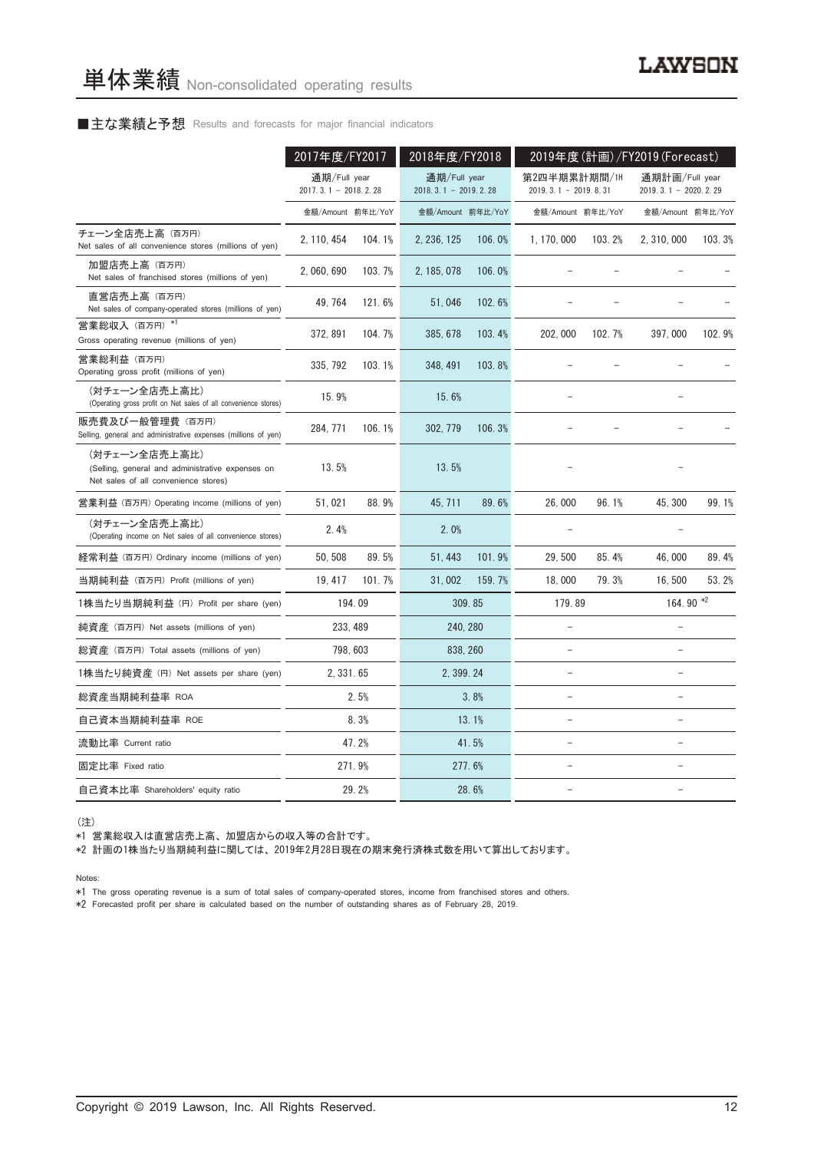#### ■主な業績と予想 Results and forecasts for major financial indicators

|                                                                                                           | 2017年度/FY2017                            |        | 2018年度/FY2018                            |        | 2019年度(計画)/FY2019(Forecast)            |        |                                            |        |
|-----------------------------------------------------------------------------------------------------------|------------------------------------------|--------|------------------------------------------|--------|----------------------------------------|--------|--------------------------------------------|--------|
|                                                                                                           | 通期/Full year<br>2017. 3. 1 - 2018. 2. 28 |        | 通期/Full year<br>2018. 3. 1 - 2019. 2. 28 |        | 第2四半期累計期間/1H<br>$2019.3.1 - 2019.8.31$ |        | 通期計画/Full year<br>2019. 3. 1 - 2020. 2. 29 |        |
|                                                                                                           | 金額/Amount 前年比/YoY                        |        | 金額/Amount 前年比/YoY                        |        | 金額/Amount 前年比/YoY                      |        | 金額/Amount 前年比/YoY                          |        |
| チェーン全店売上高(百万円)<br>Net sales of all convenience stores (millions of yen)                                   | 2, 110, 454                              | 104.1% | 2, 236, 125                              | 106.0% | 1, 170, 000                            | 103.2% | 2, 310, 000                                | 103.3% |
| 加盟店売上高(百万円)<br>Net sales of franchised stores (millions of yen)                                           | 2, 060, 690                              | 103.7% | 2, 185, 078                              | 106.0% |                                        |        |                                            |        |
| 直営店売上高(百万円)<br>Net sales of company-operated stores (millions of yen)                                     | 49, 764                                  | 121.6% | 51,046                                   | 102.6% |                                        |        |                                            |        |
| 営業総収入 (百万円) *1<br>Gross operating revenue (millions of yen)                                               | 372, 891                                 | 104.7% | 385, 678                                 | 103.4% | 202, 000                               | 102.7% | 397,000                                    | 102.9% |
| 営業総利益 (百万円)<br>Operating gross profit (millions of yen)                                                   | 335, 792                                 | 103.1% | 348, 491                                 | 103.8% |                                        |        |                                            |        |
| (対チェーン全店売上高比)<br>(Operating gross profit on Net sales of all convenience stores)                          | 15.9%                                    |        | 15.6%                                    |        |                                        |        |                                            |        |
| 販売費及び一般管理費 (百万円)<br>Selling, general and administrative expenses (millions of yen)                        | 284, 771                                 | 106.1% | 302, 779                                 | 106.3% |                                        |        |                                            |        |
| (対チェーン全店売上高比)<br>(Selling, general and administrative expenses on<br>Net sales of all convenience stores) | 13.5%                                    |        | 13.5%                                    |        |                                        |        |                                            |        |
| 営業利益 (百万円) Operating income (millions of yen)                                                             | 51,021                                   | 88.9%  | 45, 711                                  | 89.6%  | 26,000                                 | 96.1%  | 45, 300                                    | 99.1%  |
| (対チェーン全店売上高比)<br>(Operating income on Net sales of all convenience stores)                                | 2.4%                                     |        | 2.0%                                     |        |                                        |        |                                            |        |
| 経常利益 (百万円) Ordinary income (millions of yen)                                                              | 50, 508                                  | 89.5%  | 51, 443                                  | 101.9% | 29, 500                                | 85.4%  | 46,000                                     | 89.4%  |
| 当期純利益 (百万円) Profit (millions of yen)                                                                      | 19.417                                   | 101.7% | 31,002                                   | 159.7% | 18,000                                 | 79.3%  | 16,500                                     | 53.2%  |
| 1株当たり当期純利益 (円) Profit per share (yen)                                                                     |                                          | 194.09 |                                          | 309.85 | 179.89                                 |        | 164.90 *2                                  |        |
| 純資産 (百万円) Net assets (millions of yen)                                                                    | 233, 489                                 |        | 240, 280                                 |        |                                        |        |                                            |        |
| 総資産 (百万円) Total assets (millions of yen)                                                                  | 798, 603                                 |        | 838, 260                                 |        |                                        |        |                                            |        |
| 1株当たり純資産 (円) Net assets per share (yen)                                                                   | 2, 331, 65                               |        | 2, 399, 24                               |        | ۳                                      |        | ۳                                          |        |
| 総資産当期純利益率 ROA                                                                                             |                                          | 2.5%   |                                          | 3.8%   |                                        |        | $\overline{\phantom{0}}$                   |        |
| 自己資本当期純利益率 ROE                                                                                            |                                          | 8.3%   |                                          | 13.1%  | L.                                     |        | $\overline{a}$                             |        |
| 流動比率 Current ratio                                                                                        |                                          | 47.2%  |                                          | 41.5%  | $\overline{\phantom{0}}$               |        | $\overline{\phantom{0}}$                   |        |
| 固定比率 Fixed ratio                                                                                          |                                          | 271.9% |                                          | 277.6% |                                        |        |                                            |        |
| 自己資本比率 Shareholders' equity ratio                                                                         |                                          | 29.2%  |                                          | 28.6%  | $\overline{\phantom{0}}$               |        | $\overline{a}$                             |        |

(注)

\*1 営業総収入は直営店売上高、 加盟店からの収入等の合計です。

\*2 計画の1株当たり当期純利益に関しては、 2019年2月28日現在の期末発行済株式数を用いて算出しております。

Notes:

\*1 The gross operating revenue is a sum of total sales of company-operated stores, income from franchised stores and others.

\*2 Forecasted profit per share is calculated based on the number of outstanding shares as of February 28, 2019.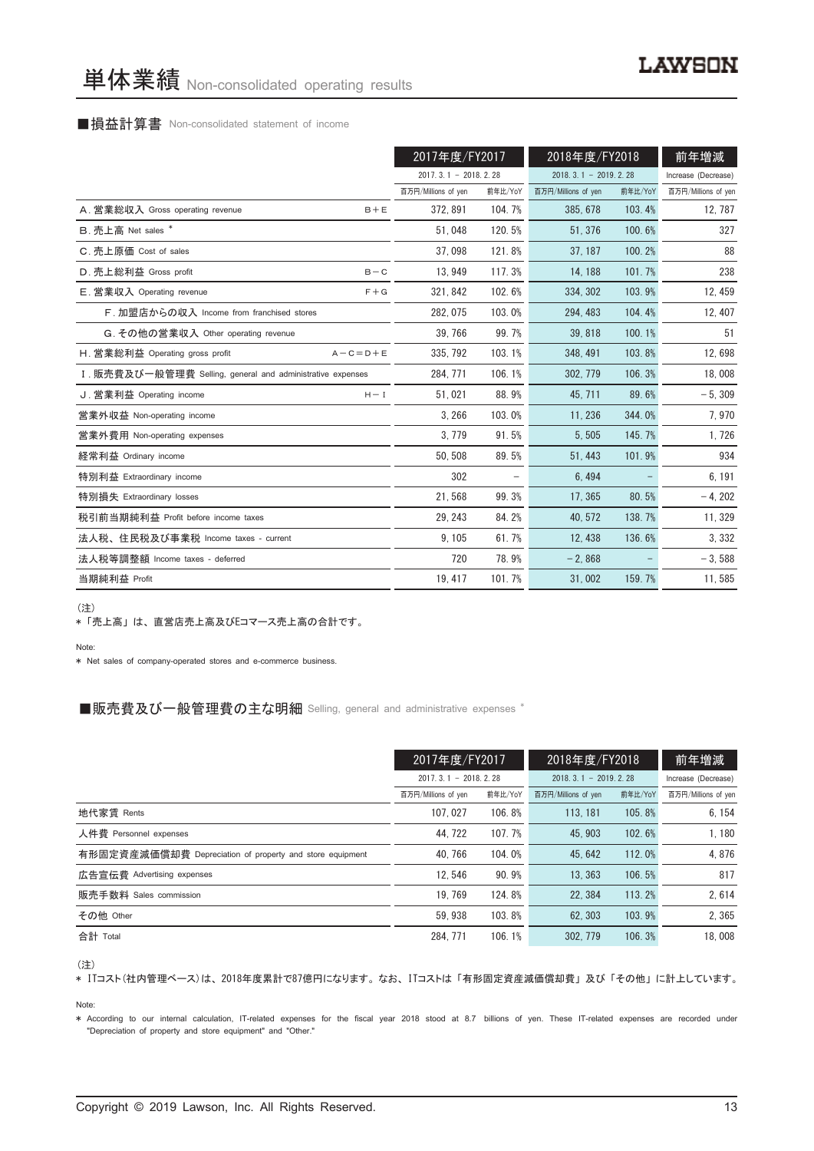#### ■損益計算書 Non-consolidated statement of income

|                                                            | 2017年度/FY2017          |         | 2018年度/FY2018          |         | 前年増減                |
|------------------------------------------------------------|------------------------|---------|------------------------|---------|---------------------|
|                                                            | $2017.3.1 - 2018.2.28$ |         | $2018.3.1 - 2019.2.28$ |         | Increase (Decrease) |
|                                                            | 百万円/Millions of yen    | 前年比/YoY | 百万円/Millions of yen    | 前年比/YoY | 百万円/Millions of yen |
| A. 営業総収入 Gross operating revenue<br>$B + E$                | 372.891                | 104.7%  | 385, 678               | 103.4%  | 12, 787             |
| B. 売上高 Net sales *                                         | 51.048                 | 120.5%  | 51.376                 | 100.6%  | 327                 |
| C. 売上原価 Cost of sales                                      | 37.098                 | 121.8%  | 37.187                 | 100.2%  | 88                  |
| D. 売上総利益 Gross profit<br>$B - C$                           | 13, 949                | 117.3%  | 14, 188                | 101.7%  | 238                 |
| E. 営業収入 Operating revenue<br>$F + G$                       | 321, 842               | 102.6%  | 334, 302               | 103.9%  | 12, 459             |
| F. 加盟店からの収入 Income from franchised stores                  | 282, 075               | 103.0%  | 294, 483               | 104.4%  | 12, 407             |
| G. その他の営業収入 Other operating revenue                        | 39, 766                | 99.7%   | 39.818                 | 100.1%  | 51                  |
| H. 営業総利益 Operating gross profit<br>$A - C = D + E$         | 335, 792               | 103.1%  | 348, 491               | 103.8%  | 12,698              |
| I. 販売費及び一般管理費 Selling, general and administrative expenses | 284.771                | 106.1%  | 302, 779               | 106.3%  | 18,008              |
| J. 営業利益 Operating income<br>$H - I$                        | 51,021                 | 88.9%   | 45, 711                | 89.6%   | $-5,309$            |
| 営業外収益 Non-operating income                                 | 3,266                  | 103.0%  | 11, 236                | 344.0%  | 7,970               |
| 営業外費用 Non-operating expenses                               | 3, 779                 | 91.5%   | 5,505                  | 145.7%  | 1,726               |
| 経常利益 Ordinary income                                       | 50.508                 | 89.5%   | 51.443                 | 101.9%  | 934                 |
| 特別利益 Extraordinary income                                  | 302                    |         | 6,494                  |         | 6, 191              |
| 特別損失 Extraordinary losses                                  | 21,568                 | 99.3%   | 17, 365                | 80.5%   | $-4, 202$           |
| 税引前当期純利益 Profit before income taxes                        | 29, 243                | 84.2%   | 40, 572                | 138.7%  | 11, 329             |
| 法人税、住民税及び事業税 Income taxes - current                        | 9, 105                 | 61.7%   | 12, 438                | 136.6%  | 3,332               |
| 法人税等調整額 Income taxes - deferred                            | 720                    | 78.9%   | $-2.868$               |         | $-3.588$            |
| 当期純利益 Profit                                               | 19, 417                | 101.7%  | 31,002                 | 159.7%  | 11,585              |

(注)

\* 「売上高」 は、 直営店売上高及びEコマース売上高の合計です。

Note:

\* Net sales of company-operated stores and e-commerce business.

#### ■販売費及び一般管理費の主な明細 Selling, general and administrative expenses \*

|                                                          | 2017年度/FY2017       |                        | 2018年度/FY2018       |                        | 前年増減                |
|----------------------------------------------------------|---------------------|------------------------|---------------------|------------------------|---------------------|
|                                                          |                     | $2017.3.1 - 2018.2.28$ |                     | $2018.3.1 - 2019.2.28$ |                     |
|                                                          | 百万円/Millions of yen | 前年比/YoY                | 百万円/Millions of yen | 前年比/YoY                | 百万円/Millions of yen |
| 地代家賃 Rents                                               | 107.027             | 106.8%                 | 113, 181            | 105.8%                 | 6, 154              |
| 人件費 Personnel expenses                                   | 44.722              | 107.7%                 | 45.903              | 102.6%                 | 1.180               |
| 有形固定資産減価償却費 Depreciation of property and store equipment | 40.766              | 104.0%                 | 45.642              | 112.0%                 | 4.876               |
| 広告宣伝費 Advertising expenses                               | 12.546              | 90.9%                  | 13.363              | 106.5%                 | 817                 |
| 販売手数料 Sales commission                                   | 19.769              | 124.8%                 | 22.384              | 113.2%                 | 2.614               |
| その他 Other                                                | 59.938              | 103.8%                 | 62.303              | 103.9%                 | 2.365               |
| 合計 Total                                                 | 284, 771            | 106.1%                 | 302.779             | 106.3%                 | 18,008              |

(注)

\* ITコスト(社内管理ベース)は、 2018年度累計で87億円になります。 なお、 ITコストは 「有形固定資産減価償却費」 及び 「その他」 に計上しています。

Note:

\* According to our internal calculation, IT-related expenses for the fiscal year 2018 stood at 8.7 billions of yen. These IT-related expenses are recorded under "Depreciation of property and store equipment" and "Other."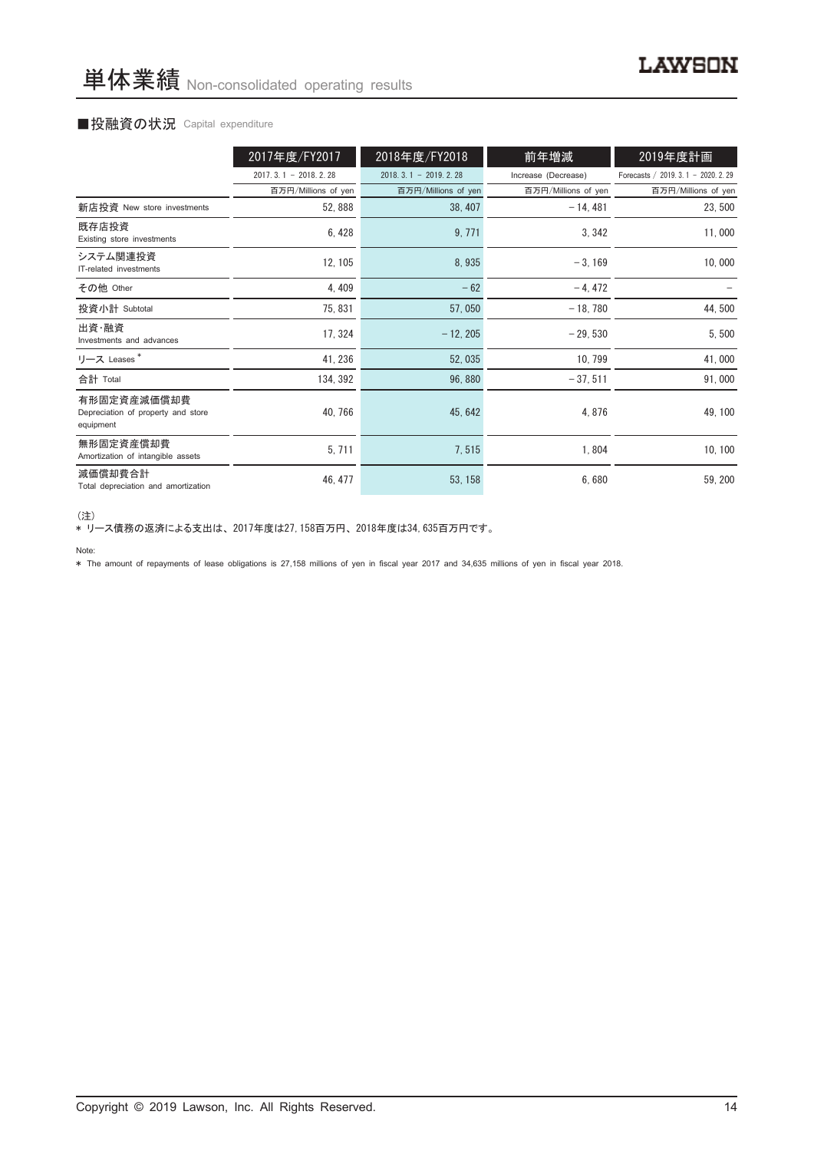#### ■投融資の状況 Capital expenditure

|                                                                | 2017年度/FY2017          | 2018年度/FY2018          | 前年増減                | 2019年度計画                             |
|----------------------------------------------------------------|------------------------|------------------------|---------------------|--------------------------------------|
|                                                                | $2017.3.1 - 2018.2.28$ | $2018.3.1 - 2019.2.28$ | Increase (Decrease) | Forecasts / 2019. 3. 1 - 2020. 2. 29 |
|                                                                | 百万円/Millions of yen    | 百万円/Millions of yen    | 百万円/Millions of yen | 百万円/Millions of yen                  |
| 新店投資 New store investments                                     | 52,888                 | 38, 407                | $-14, 481$          | 23,500                               |
| 既存店投資<br>Existing store investments                            | 6, 428                 | 9,771                  | 3, 342              | 11,000                               |
| システム関連投資<br>IT-related investments                             | 12, 105                | 8,935                  | $-3, 169$           | 10,000                               |
| その他 Other                                                      | 4,409                  | $-62$                  | $-4,472$            |                                      |
| 投資小計 Subtotal                                                  | 75, 831                | 57,050                 | $-18,780$           | 44,500                               |
| 出資・融資<br>Investments and advances                              | 17, 324                | $-12, 205$             | $-29,530$           | 5,500                                |
| リース Leases*                                                    | 41, 236                | 52,035                 | 10, 799             | 41,000                               |
| 合計 Total                                                       | 134, 392               | 96,880                 | $-37,511$           | 91,000                               |
| 有形固定資産減価償却費<br>Depreciation of property and store<br>equipment | 40, 766                | 45, 642                | 4,876               | 49, 100                              |
| 無形固定資産償却費<br>Amortization of intangible assets                 | 5,711                  | 7,515                  | 1,804               | 10, 100                              |
| 減価償却費合計<br>Total depreciation and amortization                 | 46, 477                | 53, 158                | 6,680               | 59, 200                              |

<sup>(</sup>注)

\* リース債務の返済による支出は、 2017年度は27,158百万円、 2018年度は34,635百万円です。

#### Note:

\* The amount of repayments of lease obligations is 27,158 millions of yen in fiscal year 2017 and 34,635 millions of yen in fiscal year 2018.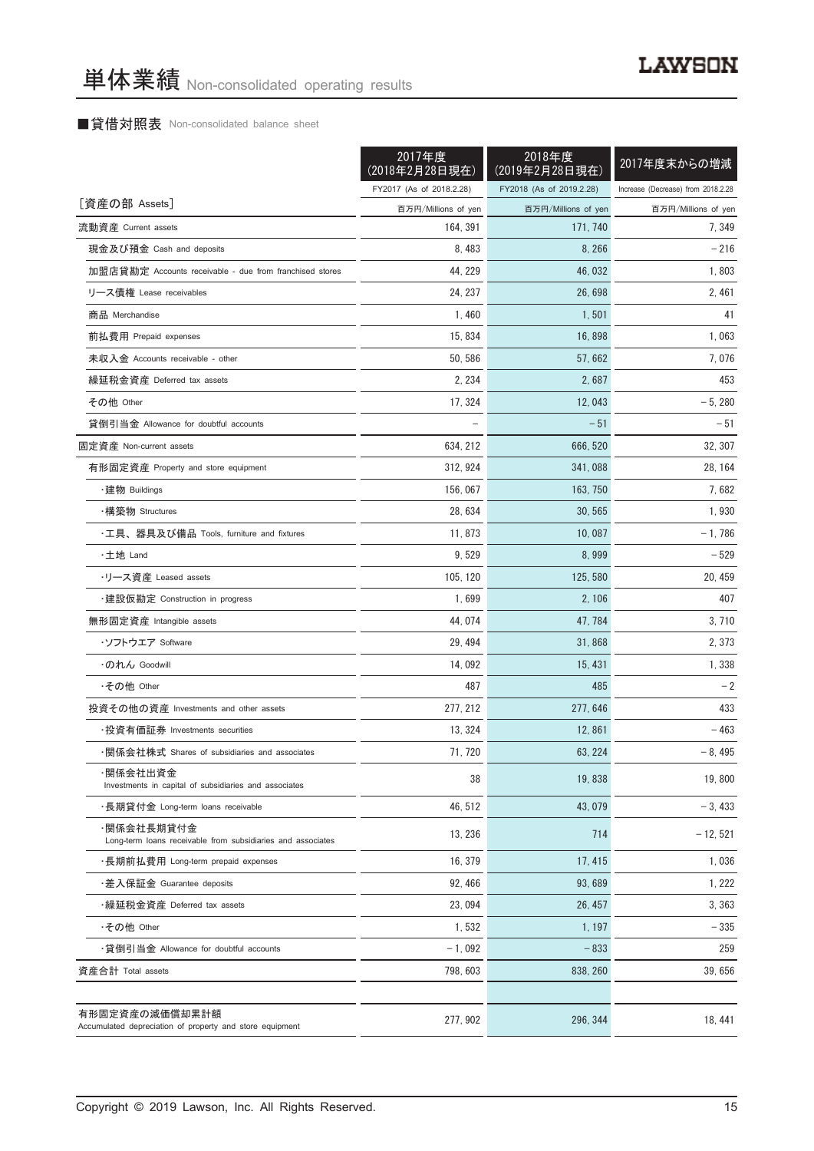### ■貸借対照表 Non-consolidated balance sheet

|                                                                            | 2017年度<br>(2018年2月28日現在) | 2018年度<br>(2019年2月28日現在) | 2017年度末からの増減                       |
|----------------------------------------------------------------------------|--------------------------|--------------------------|------------------------------------|
|                                                                            | FY2017 (As of 2018.2.28) | FY2018 (As of 2019.2.28) | Increase (Decrease) from 2018.2.28 |
| [資産の部 Assets]                                                              | 百万円/Millions of yen      | 百万円/Millions of yen      | 百万円/Millions of yen                |
| 流動資産 Current assets                                                        | 164, 391                 | 171, 740                 | 7,349                              |
| 現金及び預金 Cash and deposits                                                   | 8,483                    | 8,266                    | $-216$                             |
| 加盟店貸勘定 Accounts receivable - due from franchised stores                    | 44, 229                  | 46, 032                  | 1,803                              |
| リース債権 Lease receivables                                                    | 24, 237                  | 26,698                   | 2, 461                             |
| 商品 Merchandise                                                             | 1,460                    | 1,501                    | 41                                 |
| 前払費用 Prepaid expenses                                                      | 15, 834                  | 16,898                   | 1,063                              |
| 未収入金 Accounts receivable - other                                           | 50, 586                  | 57, 662                  | 7,076                              |
| 繰延税金資産 Deferred tax assets                                                 | 2, 234                   | 2,687                    | 453                                |
| その他 Other                                                                  | 17, 324                  | 12,043                   | $-5,280$                           |
| 貸倒引当金 Allowance for doubtful accounts                                      |                          | $-51$                    | $-51$                              |
| 固定資産 Non-current assets                                                    | 634, 212                 | 666, 520                 | 32, 307                            |
| 有形固定資産 Property and store equipment                                        | 312, 924                 | 341.088                  | 28, 164                            |
| ・建物 Buildings                                                              | 156,067                  | 163, 750                 | 7,682                              |
| ・構築物 Structures                                                            | 28, 634                  | 30, 565                  | 1,930                              |
| ・工具、器具及び備品 Tools, furniture and fixtures                                   | 11, 873                  | 10,087                   | $-1,786$                           |
| ・土地 Land                                                                   | 9,529                    | 8,999                    | - 529                              |
| ・リース資産 Leased assets                                                       | 105, 120                 | 125, 580                 | 20, 459                            |
| ・建設仮勘定 Construction in progress                                            | 1,699                    | 2, 106                   | 407                                |
| 無形固定資産 Intangible assets                                                   | 44, 074                  | 47, 784                  | 3, 710                             |
| ・ソフトウエア Software                                                           | 29, 494                  | 31,868                   | 2,373                              |
| ・のれん Goodwill                                                              | 14,092                   | 15, 431                  | 1,338                              |
| ・その他 Other                                                                 | 487                      | 485                      | $-2$                               |
| 投資その他の資産 Investments and other assets                                      | 277, 212                 | 277, 646                 | 433                                |
| ・投資有価証券 Investments securities                                             | 13, 324                  | 12,861                   | - 463                              |
| ・関係会社株式 Shares of subsidiaries and associates                              | 71, 720                  | 63, 224                  | $-8,495$                           |
| ·関係会社出資金<br>Investments in capital of subsidiaries and associates          | 38                       | 19,838                   | 19,800                             |
| ・長期貸付金 Long-term loans receivable                                          | 46, 512                  | 43,079                   | $-3,433$                           |
| ·関係会社長期貸付金<br>Long-term loans receivable from subsidiaries and associates  | 13, 236                  | 714                      | $-12,521$                          |
| ・長期前払費用 Long-term prepaid expenses                                         | 16, 379                  | 17, 415                  | 1,036                              |
| ・差入保証金 Guarantee deposits                                                  | 92, 466                  | 93,689                   | 1, 222                             |
| ・繰延税金資産 Deferred tax assets                                                | 23,094                   | 26.457                   | 3,363                              |
| ・その他 Other                                                                 | 1,532                    | 1, 197                   | $-335$                             |
| ・貸倒引当金 Allowance for doubtful accounts                                     | $-1,092$                 | $-833$                   | 259                                |
| 資産合計 Total assets                                                          | 798, 603                 | 838, 260                 | 39,656                             |
| 有形固定資産の減価償却累計額<br>Accumulated depreciation of property and store equipment | 277, 902                 | 296, 344                 | 18, 441                            |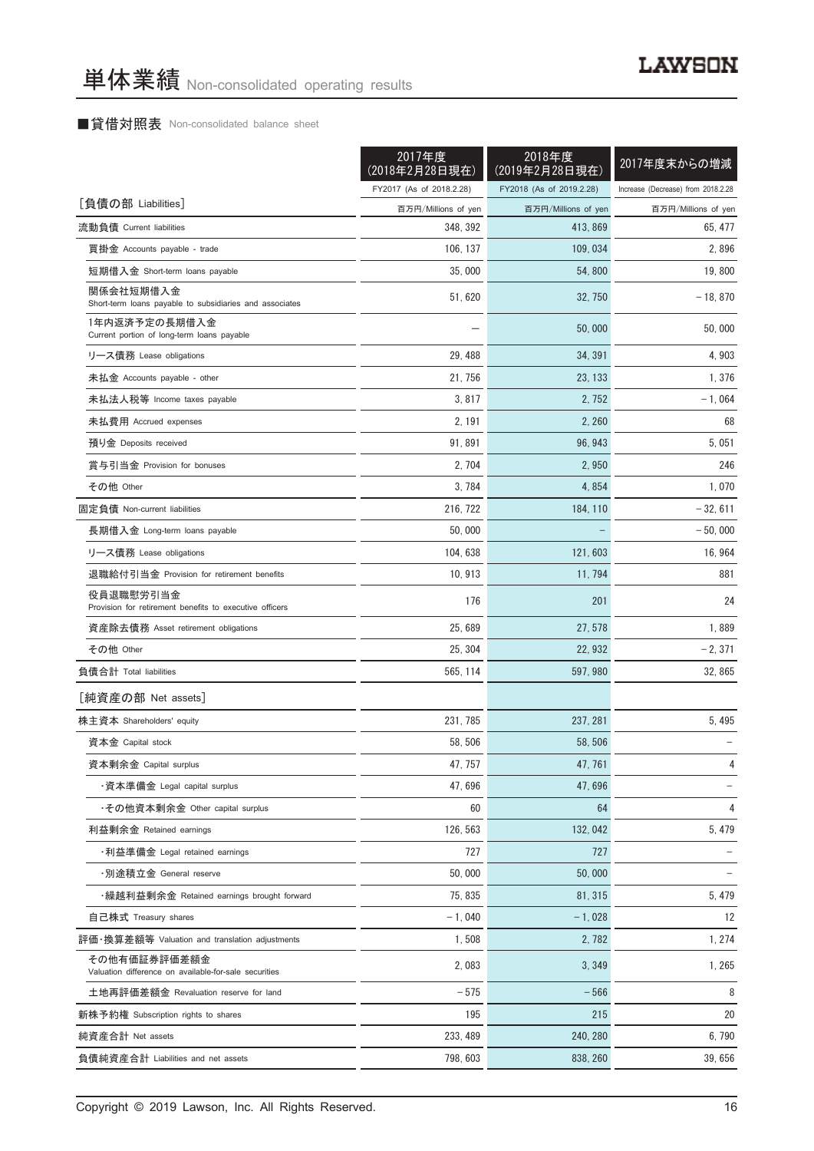### ■貸借対照表 Non-consolidated balance sheet

|                                                                       | 2017年度<br>(2018年2月28日現在) | 2018年度<br>(2019年2月28日現在) | 2017年度末からの増減                       |
|-----------------------------------------------------------------------|--------------------------|--------------------------|------------------------------------|
|                                                                       | FY2017 (As of 2018.2.28) | FY2018 (As of 2019.2.28) | Increase (Decrease) from 2018.2.28 |
| [負債の部 Liabilities]                                                    | 百万円/Millions of yen      | 百万円/Millions of yen      | 百万円/Millions of yen                |
| 流動負債 Current liabilities                                              | 348, 392                 | 413, 869                 | 65, 477                            |
| 買掛金 Accounts payable - trade                                          | 106, 137                 | 109, 034                 | 2,896                              |
| 短期借入金 Short-term loans payable                                        | 35,000                   | 54,800                   | 19,800                             |
| 関係会社短期借入金<br>Short-term loans payable to subsidiaries and associates  | 51, 620                  | 32, 750                  | $-18, 870$                         |
| 1年内返済予定の長期借入金<br>Current portion of long-term loans payable           |                          | 50,000                   | 50,000                             |
| リース債務 Lease obligations                                               | 29, 488                  | 34, 391                  | 4,903                              |
| 未払金 Accounts payable - other                                          | 21, 756                  | 23, 133                  | 1,376                              |
| 未払法人税等 Income taxes payable                                           | 3, 817                   | 2, 752                   | $-1,064$                           |
| 未払費用 Accrued expenses                                                 | 2, 191                   | 2,260                    | 68                                 |
| 預り金 Deposits received                                                 | 91, 891                  | 96, 943                  | 5,051                              |
| 賞与引当金 Provision for bonuses                                           | 2, 704                   | 2,950                    | 246                                |
| その他 Other                                                             | 3,784                    | 4,854                    | 1,070                              |
| 固定負債 Non-current liabilities                                          | 216, 722                 | 184, 110                 | $-32,611$                          |
| 長期借入金 Long-term loans payable                                         | 50,000                   |                          | $-50,000$                          |
| リース債務 Lease obligations                                               | 104, 638                 | 121, 603                 | 16, 964                            |
| 退職給付引当金 Provision for retirement benefits                             | 10, 913                  | 11, 794                  | 881                                |
| 役員退職慰労引当金                                                             |                          |                          |                                    |
| Provision for retirement benefits to executive officers               | 176                      | 201                      | 24                                 |
| 資産除去債務 Asset retirement obligations                                   | 25,689                   | 27, 578                  | 1,889                              |
| その他 Other                                                             | 25, 304                  | 22, 932                  | $-2,371$                           |
| 負債合計 Total liabilities                                                | 565, 114                 | 597, 980                 | 32,865                             |
| [純資産の部 Net assets]                                                    |                          |                          |                                    |
| 株主資本 Shareholders' equity                                             | 231, 785                 | 237, 281                 | 5,495                              |
| 資本金 Capital stock                                                     | 58, 506                  | 58, 506                  |                                    |
| 資本剰余金 Capital surplus                                                 | 47, 757                  | 47, 761                  | 4                                  |
| ・資本準備金 Legal capital surplus                                          | 47,696                   | 47,696                   |                                    |
| ・その他資本剰余金 Other capital surplus                                       | 60                       | 64                       | 4                                  |
| 利益剰余金 Retained earnings                                               | 126, 563                 | 132, 042                 | 5,479                              |
| ・利益準備金 Legal retained earnings                                        | 727                      | 727                      |                                    |
| ·別途積立金 General reserve                                                | 50,000                   | 50,000                   |                                    |
| ・繰越利益剰余金 Retained earnings brought forward                            | 75, 835                  | 81, 315                  | 5,479                              |
| 自己株式 Treasury shares                                                  | $-1,040$                 | $-1,028$                 | 12                                 |
| 評価・換算差額等 Valuation and translation adjustments                        | 1,508                    | 2,782                    | 1, 274                             |
| その他有価証券評価差額金<br>Valuation difference on available-for-sale securities | 2,083                    | 3,349                    | 1,265                              |
| 土地再評価差額金 Revaluation reserve for land                                 | $-575$                   | $-566$                   | 8                                  |
| 新株予約権 Subscription rights to shares                                   | 195                      | 215                      | 20                                 |
| 純資産合計 Net assets                                                      | 233, 489                 | 240, 280                 | 6,790                              |
| 負債純資産合計 Liabilities and net assets                                    | 798, 603                 | 838, 260                 | 39,656                             |

Copyright © 2019 Lawson, Inc. All Rights Reserved. 16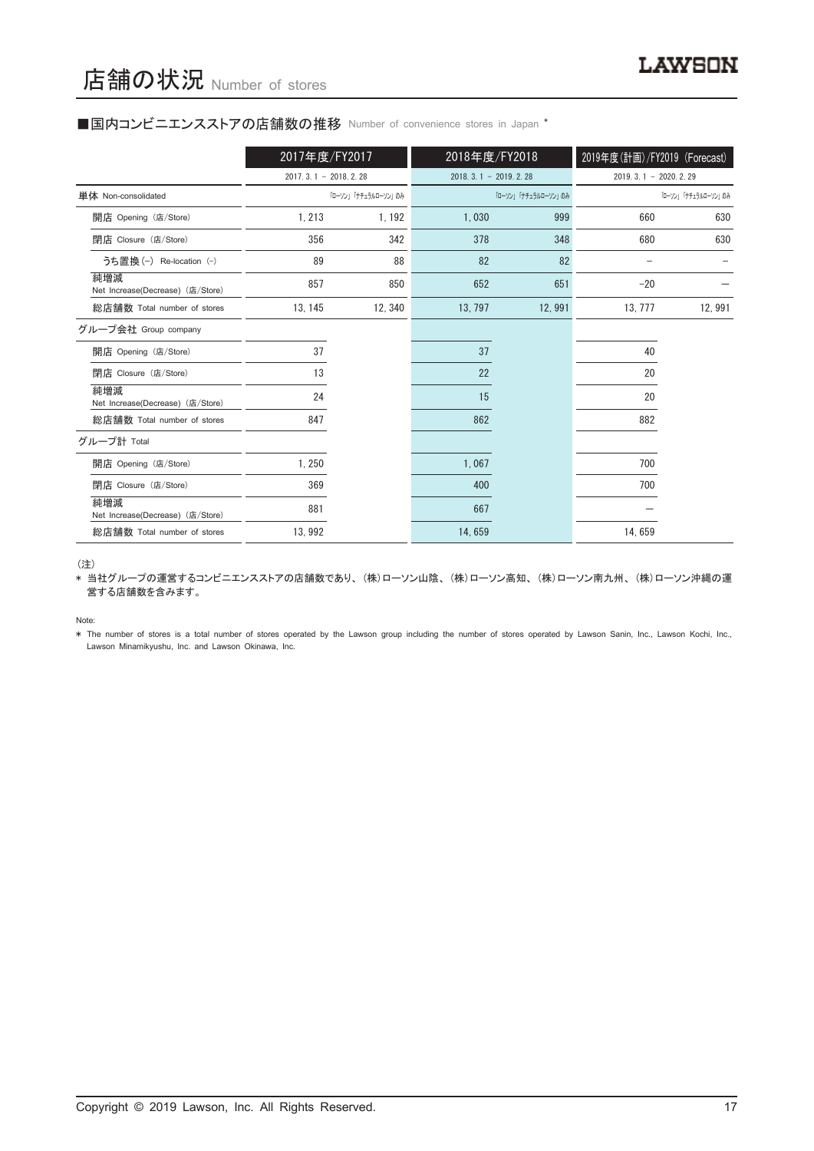#### ■国内コンビニエンスストアの店舗数の推移 Number of convenience stores in Japan \*

|                                         | 2017年度/FY2017          |                     | 2018年度/FY2018       |                        | 2019年度(計画)/FY2019 (Forecast) |                        |  |
|-----------------------------------------|------------------------|---------------------|---------------------|------------------------|------------------------------|------------------------|--|
|                                         | $2017.3.1 - 2018.2.28$ |                     |                     | $2018.3.1 - 2019.2.28$ |                              | $2019.3.1 - 2020.2.29$ |  |
| 単体 Non-consolidated                     |                        | 「ローソン」「ナチュラルローソン」のみ | 「ローソン」「ナチュラルローソン」のみ |                        | 「ローソン」「ナチュラルローソン」のみ          |                        |  |
| 開店 Opening (店/Store)                    | 1, 213                 | 1, 192              | 1.030               | 999                    | 660                          | 630                    |  |
| 閉店 Closure (店/Store)                    | 356                    | 342                 | 378                 | 348                    | 680                          | 630                    |  |
| うち置換 (-) Re-location (-)                | 89                     | 88                  | 82                  | 82                     |                              |                        |  |
| 純増減<br>Net Increase(Decrease) (店/Store) | 857                    | 850                 | 652                 | 651                    | $-20$                        |                        |  |
| 総店舗数 Total number of stores             | 13, 145                | 12, 340             | 13, 797             | 12,991                 | 13, 777                      | 12,991                 |  |
| グループ会社 Group company                    |                        |                     |                     |                        |                              |                        |  |
| 開店 Opening (店/Store)                    | 37                     |                     | 37                  |                        | 40                           |                        |  |
| 閉店 Closure (店/Store)                    | 13                     |                     | 22                  |                        | 20                           |                        |  |
| 純増減<br>Net Increase(Decrease) (店/Store) | 24                     |                     | 15                  |                        | 20                           |                        |  |
| 総店舗数 Total number of stores             | 847                    |                     | 862                 |                        | 882                          |                        |  |
| グループ計 Total                             |                        |                     |                     |                        |                              |                        |  |
| 開店 Opening (店/Store)                    | 1,250                  |                     | 1,067               |                        | 700                          |                        |  |
| 閉店 Closure (店/Store)                    | 369                    |                     | 400                 |                        | 700                          |                        |  |
| 純増減<br>Net Increase(Decrease) (店/Store) | 881                    |                     | 667                 |                        |                              |                        |  |
| 総店舗数 Total number of stores             | 13, 992                |                     | 14,659              |                        | 14,659                       |                        |  |

(注)

\* 当社グループの運営するコンビニエンスストアの店舗数であり、 (株)ローソン山陰、 (株)ローソン高知、 (株)ローソン南九州、 (株)ローソン沖縄の運 営する店舗数を含みます。

Note:

\* The number of stores is a total number of stores operated by the Lawson group including the number of stores operated by Lawson Sanin, Inc., Lawson Kochi, Inc., Lawson Minamikyushu, Inc. and Lawson Okinawa, Inc.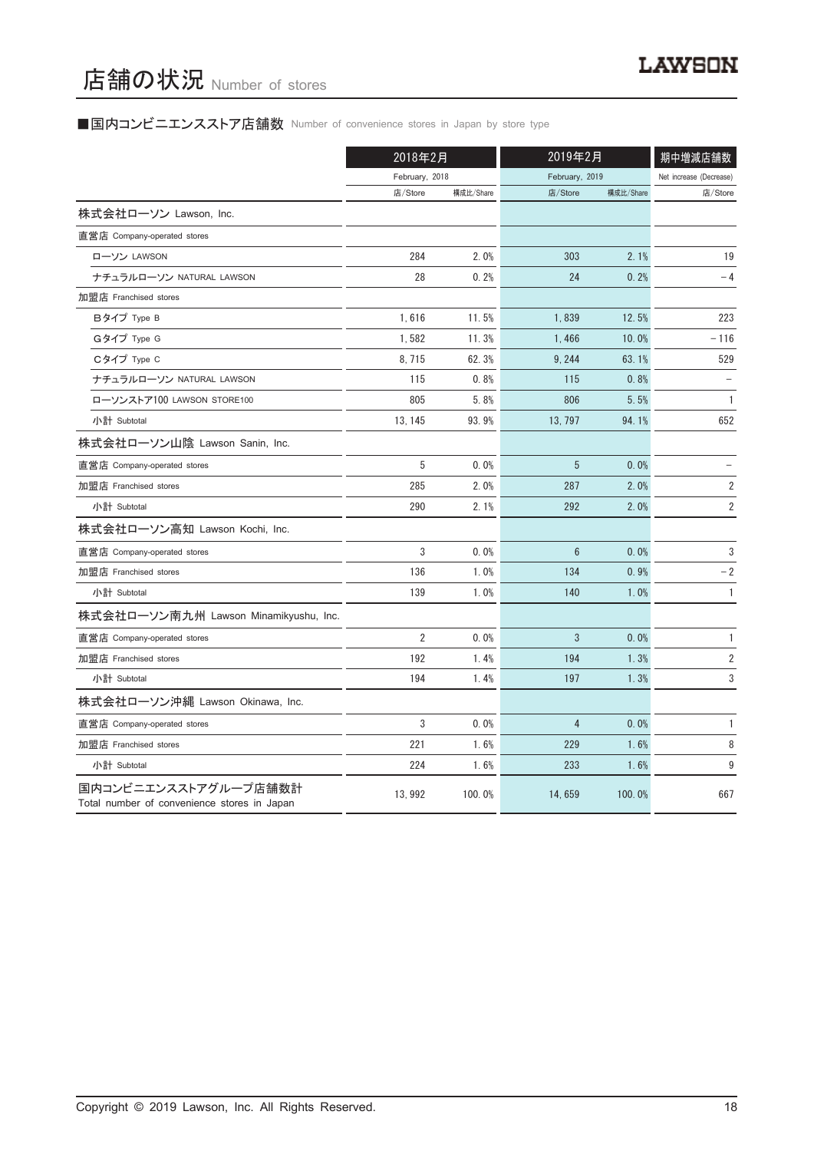## ■国内コンビニエンスストア店舗数 Number of convenience stores in Japan by store type

|                                                                     | 2018年2月        |           |                 | 2019年2月   |                        |
|---------------------------------------------------------------------|----------------|-----------|-----------------|-----------|------------------------|
|                                                                     | February, 2018 |           | February, 2019  |           | Net increase (Decrease |
|                                                                     | 店/Store        | 構成比/Share | 店/Store         | 構成比/Share | 店/Store                |
| 株式会社ローソン Lawson, Inc.                                               |                |           |                 |           |                        |
| 直営店 Company-operated stores                                         |                |           |                 |           |                        |
| ローソン LAWSON                                                         | 284            | 2.0%      | 303             | 2.1%      | 19                     |
| ナチュラルローソン NATURAL LAWSON                                            | 28             | 0.2%      | 24              | 0.2%      | $-4$                   |
| 加盟店 Franchised stores                                               |                |           |                 |           |                        |
| Bタイプ Type B                                                         | 1,616          | 11.5%     | 1,839           | 12.5%     | 223                    |
| Gタイプ Type G                                                         | 1,582          | 11.3%     | 1,466           | 10.0%     | $-116$                 |
| Cタイプ Type C                                                         | 8, 715         | 62.3%     | 9, 244          | 63.1%     | 529                    |
| ナチュラルローソン NATURAL LAWSON                                            | 115            | 0.8%      | 115             | 0.8%      |                        |
| ローソンストア100 LAWSON STORE100                                          | 805            | 5.8%      | 806             | 5.5%      | $\mathbf{1}$           |
| 小計 Subtotal                                                         | 13, 145        | 93.9%     | 13, 797         | 94.1%     | 652                    |
| 株式会社ローソン山陰 Lawson Sanin, Inc.                                       |                |           |                 |           |                        |
| 直営店 Company-operated stores                                         | 5              | 0.0%      | 5               | 0.0%      |                        |
| 加盟店 Franchised stores                                               | 285            | 2.0%      | 287             | 2.0%      | 2                      |
| 小計 Subtotal                                                         | 290            | 2.1%      | 292             | 2.0%      | 2                      |
| 株式会社ローソン高知 Lawson Kochi, Inc.                                       |                |           |                 |           |                        |
| 直営店 Company-operated stores                                         | 3              | 0.0%      | $6\phantom{1}6$ | 0.0%      | 3                      |
| 加盟店 Franchised stores                                               | 136            | 1.0%      | 134             | 0.9%      | $-2$                   |
| 小計 Subtotal                                                         | 139            | 1.0%      | 140             | 1.0%      | $\mathbf{1}$           |
| 株式会社ローソン南九州 Lawson Minamikyushu, Inc.                               |                |           |                 |           |                        |
| 直営店 Company-operated stores                                         | $\overline{2}$ | 0.0%      | 3               | 0.0%      | 1                      |
| 加盟店 Franchised stores                                               | 192            | 1.4%      | 194             | 1.3%      | $\overline{2}$         |
| 小計 Subtotal                                                         | 194            | 1.4%      | 197             | 1.3%      | 3                      |
| 株式会社ローソン沖縄 Lawson Okinawa, Inc.                                     |                |           |                 |           |                        |
| 直営店 Company-operated stores                                         | 3              | 0.0%      | $\overline{4}$  | 0.0%      | $\mathbf{1}$           |
| 加盟店 Franchised stores                                               | 221            | 1.6%      | 229             | 1.6%      | 8                      |
| 小計 Subtotal                                                         | 224            | 1.6%      | 233             | 1.6%      | 9                      |
| 国内コンビニエンスストアグループ店舗数計<br>Total number of convenience stores in Japan | 13, 992        | 100.0%    | 14, 659         | 100.0%    | 667                    |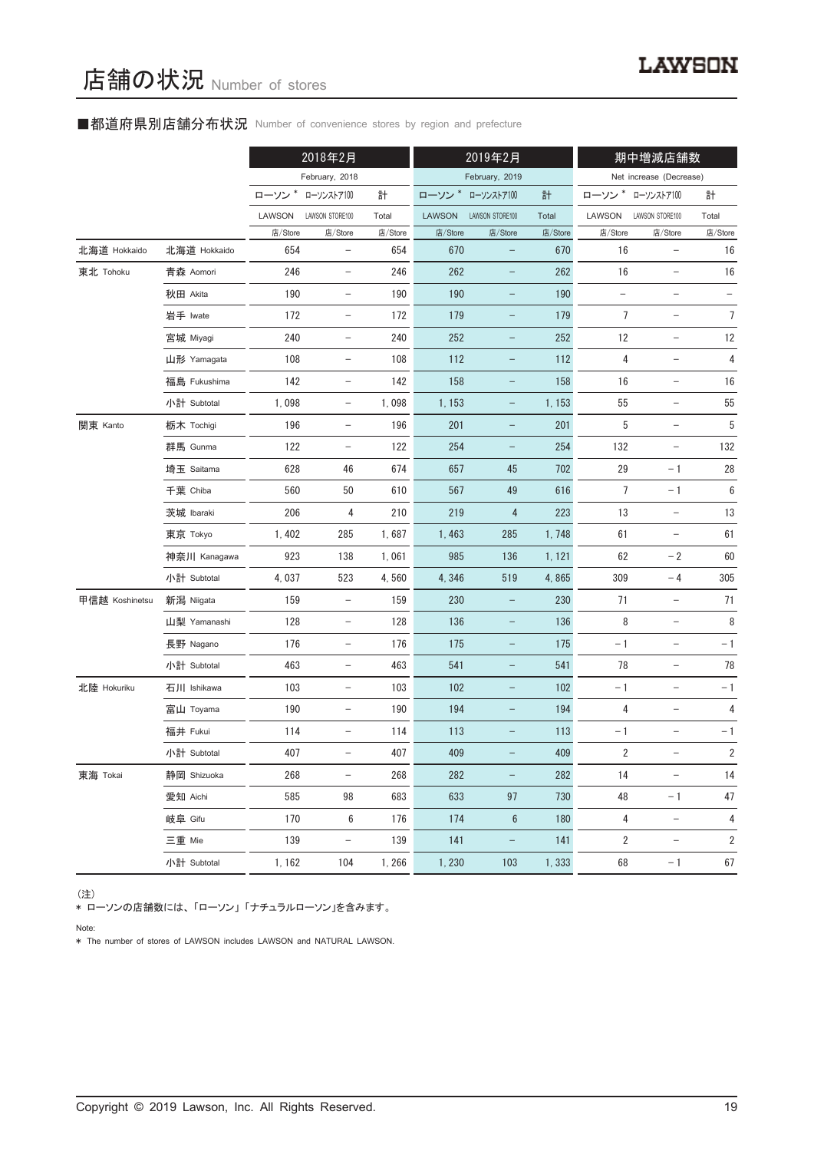### ■都道府県別店舗分布状況 Number of convenience stores by region and prefecture

|                |              | 2018年2月 |                          | 2019年2月 |               |                          | 期中増減店舗数 |                          |                          |                |
|----------------|--------------|---------|--------------------------|---------|---------------|--------------------------|---------|--------------------------|--------------------------|----------------|
|                |              |         | February, 2018           |         |               | February, 2019           |         |                          | Net increase (Decrease)  |                |
|                |              | ローソン*   | ローソンストア100               | 計       | ローソン*         | ローソンストア100               | 計       |                          | ローソン * ローソンストア100        | 計              |
|                |              | LAWSON  | LAWSON STORE100          | Total   | <b>LAWSON</b> | LAWSON STORE100          | Total   | LAWSON                   | LAWSON STORE100          | Total          |
|                |              | 店/Store | 店/Store                  | 店/Store | 店/Store       | 店/Store                  | 店/Store | 店/Store                  | 店/Store                  | 店/Store        |
| 北海道 Hokkaido   | 北海道 Hokkaido | 654     | $\qquad \qquad -$        | 654     | 670           | $\overline{\phantom{0}}$ | 670     | 16                       | -                        | 16             |
| 東北 Tohoku      | 青森 Aomori    | 246     | $\qquad \qquad -$        | 246     | 262           |                          | 262     | 16                       | $\overline{\phantom{0}}$ | $16\,$         |
|                | 秋田 Akita     | 190     | $\overline{\phantom{a}}$ | 190     | 190           | -                        | 190     | $\overline{\phantom{a}}$ | $\overline{\phantom{a}}$ |                |
|                | 岩手 Iwate     | 172     | $\qquad \qquad -$        | 172     | 179           | $\overline{\phantom{0}}$ | 179     | 7                        | $\qquad \qquad -$        | $\overline{7}$ |
|                | 宮城 Miyagi    | 240     | $\qquad \qquad -$        | 240     | 252           | -                        | 252     | 12                       | $\overline{\phantom{0}}$ | 12             |
|                | 山形 Yamagata  | 108     | $\overline{\phantom{a}}$ | 108     | 112           | -                        | 112     | 4                        | $\overline{\phantom{a}}$ | 4              |
|                | 福島 Fukushima | 142     | $\qquad \qquad -$        | 142     | 158           | -                        | 158     | 16                       |                          | 16             |
|                | 小計 Subtotal  | 1,098   | $\qquad \qquad -$        | 1,098   | 1, 153        | -                        | 1, 153  | 55                       | $\qquad \qquad -$        | 55             |
| 関東 Kanto       | 栃木 Tochigi   | 196     | $\overline{\phantom{m}}$ | 196     | 201           | -                        | 201     | 5                        | $\overline{\phantom{a}}$ | 5              |
|                | 群馬 Gunma     | 122     | $\qquad \qquad -$        | 122     | 254           | $\qquad \qquad -$        | 254     | 132                      | $\qquad \qquad -$        | 132            |
|                | 埼玉 Saitama   | 628     | 46                       | 674     | 657           | 45                       | 702     | 29                       | $-1$                     | 28             |
|                | 千葉 Chiba     | 560     | 50                       | 610     | 567           | 49                       | 616     | 7                        | $-1$                     | 6              |
|                | 茨城 Ibaraki   | 206     | 4                        | 210     | 219           | $\overline{4}$           | 223     | $13$                     |                          | 13             |
|                | 東京 Tokyo     | 1,402   | 285                      | 1,687   | 1,463         | 285                      | 1,748   | 61                       |                          | 61             |
|                | 神奈川 Kanagawa | 923     | 138                      | 1,061   | 985           | 136                      | 1, 121  | 62                       | $-2$                     | 60             |
|                | 小計 Subtotal  | 4,037   | 523                      | 4,560   | 4,346         | 519                      | 4,865   | 309                      | $-4$                     | 305            |
| 甲信越 Koshinetsu | 新潟 Niigata   | 159     | $\qquad \qquad -$        | 159     | 230           |                          | 230     | 71                       | $\qquad \qquad -$        | 71             |
|                | 山梨 Yamanashi | 128     | $\overline{\phantom{a}}$ | 128     | 136           | -                        | 136     | 8                        | $\overline{\phantom{a}}$ | 8              |
|                | 長野 Nagano    | 176     | $\qquad \qquad -$        | 176     | 175           | $\overline{\phantom{0}}$ | 175     | $-1$                     | $\qquad \qquad -$        | $-1$           |
|                | 小計 Subtotal  | 463     | $\qquad \qquad -$        | 463     | 541           | -                        | 541     | 78                       | $\qquad \qquad -$        | 78             |
| 北陸 Hokuriku    | 石川 Ishikawa  | 103     | $\overline{\phantom{a}}$ | 103     | 102           | -                        | 102     | $-1$                     | $\overline{\phantom{a}}$ | $-1$           |
|                | 富山 Toyama    | 190     |                          | 190     | 194           | -                        | 194     | 4                        |                          | 4              |
|                | 福井 Fukui     | 114     |                          | 114     | 113           |                          | 113     | $-1$                     |                          | $-1$           |
|                | 小計 Subtotal  | 407     | $\overline{\phantom{0}}$ | 407     | 409           |                          | 409     | 2                        | -                        | $\overline{2}$ |
| 東海 Tokai       | 静岡 Shizuoka  | 268     | $\qquad \qquad -$        | 268     | 282           | $\overline{\phantom{0}}$ | 282     | 14                       | $\overline{\phantom{0}}$ | 14             |
|                | 愛知 Aichi     | 585     | 98                       | 683     | 633           | 97                       | 730     | 48                       | $-1$                     | 47             |
|                | 岐阜 Gifu      | 170     | 6                        | 176     | 174           | $6\phantom{1}6$          | 180     | 4                        | $\qquad \qquad -$        | 4              |
|                | 三重 Mie       | 139     | $\qquad \qquad -$        | 139     | 141           | $\overline{\phantom{0}}$ | 141     | $\overline{2}$           | $\qquad \qquad -$        | 2              |
|                | 小計 Subtotal  | 1, 162  | 104                      | 1,266   | 1,230         | 103                      | 1,333   | 68                       | $-1$                     | 67             |

#### (注)

、----<br>\* ローソンの店舗数には、 「ローソン」 「ナチュラルローソン」を含みます。

Note:

\* The number of stores of LAWSON includes LAWSON and NATURAL LAWSON.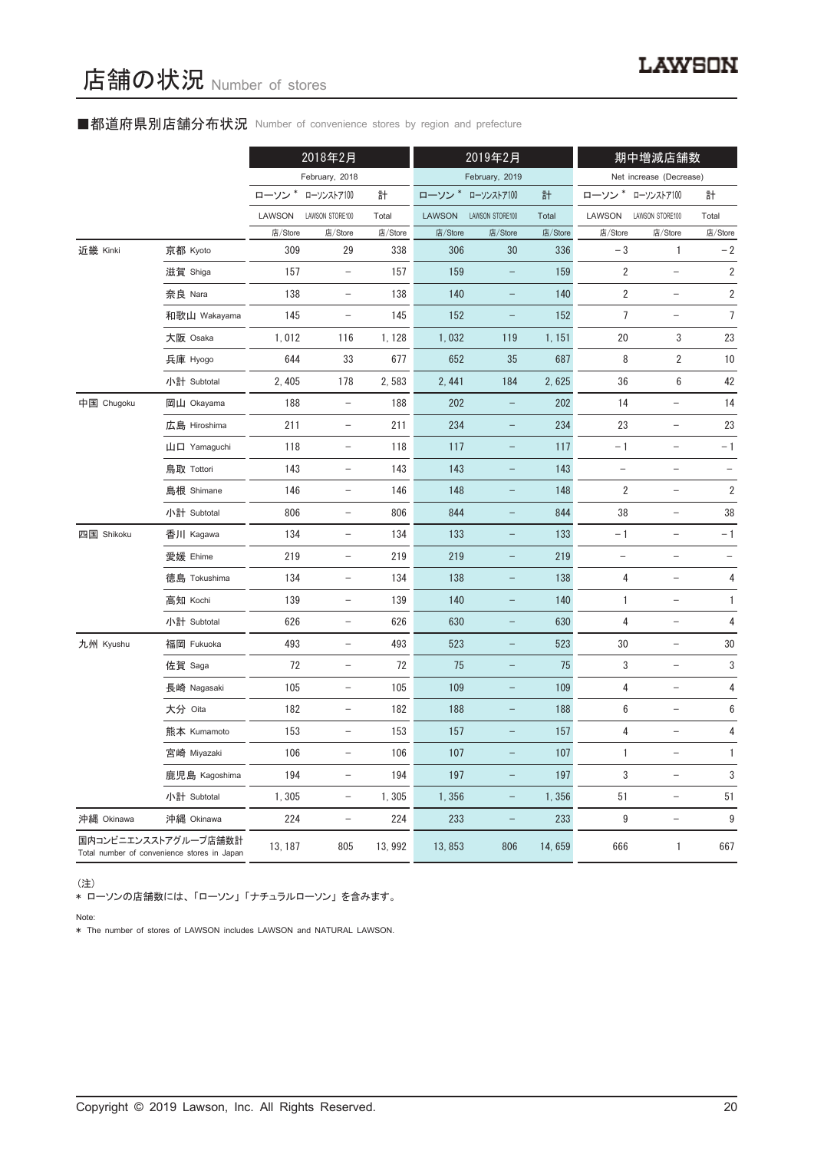### ■都道府県別店舗分布状況 Number of convenience stores by region and prefecture

|            |                                                                     | 2018年2月 |                          | 2019年2月 |         |                          | 期中増減店舗数 |                          |                          |                          |
|------------|---------------------------------------------------------------------|---------|--------------------------|---------|---------|--------------------------|---------|--------------------------|--------------------------|--------------------------|
|            |                                                                     |         | February, 2018           |         |         | February, 2019           |         |                          | Net increase (Decrease)  |                          |
|            |                                                                     | ローソン*   | ローソンストア100               | 計       | ローソン*   | ローソンストア100               | 計       | ローソン *                   | ローソンストア100               | 計                        |
|            |                                                                     | LAWSON  | LAWSON STORE100          | Total   | LAWSON  | LAWSON STORE100          | Total   | LAWSON                   | LAWSON STORE100          | Total                    |
|            |                                                                     | 店/Store | 店/Store                  | 店/Store | 店/Store | 店/Store                  | 店/Store | 店/Store                  | 店/Store                  | 店/Store                  |
| 近畿 Kinki   | 京都 Kyoto                                                            | 309     | 29                       | 338     | 306     | 30                       | 336     | $-3$                     | 1                        | $-2$                     |
|            | 滋賀 Shiga                                                            | 157     | $\overline{\phantom{a}}$ | 157     | 159     | $\qquad \qquad -$        | 159     | 2                        | $\overline{\phantom{a}}$ | $\sqrt{2}$               |
|            | 奈良 Nara                                                             | 138     | $\overline{\phantom{0}}$ | 138     | 140     |                          | 140     | 2                        |                          | $\sqrt{2}$               |
|            | 和歌山 Wakayama                                                        | 145     | $\qquad \qquad -$        | 145     | 152     | $\overline{a}$           | 152     | $\overline{7}$           | $\overline{\phantom{0}}$ | $\overline{7}$           |
|            | 大阪 Osaka                                                            | 1,012   | 116                      | 1, 128  | 1,032   | 119                      | 1, 151  | 20                       | 3                        | 23                       |
|            | 兵庫 Hyogo                                                            | 644     | 33                       | 677     | 652     | 35                       | 687     | 8                        | $\overline{2}$           | 10                       |
|            | 小計 Subtotal                                                         | 2, 405  | 178                      | 2,583   | 2, 441  | 184                      | 2,625   | 36                       | $\,6\,$                  | 42                       |
| 中国 Chugoku | 岡山 Okayama                                                          | 188     |                          | 188     | 202     |                          | 202     | 14                       |                          | 14                       |
|            | 広島 Hiroshima                                                        | 211     | $\overline{\phantom{a}}$ | 211     | 234     | -                        | 234     | 23                       | $\qquad \qquad -$        | 23                       |
|            | 山口 Yamaguchi                                                        | 118     | $\qquad \qquad -$        | 118     | 117     |                          | 117     | $-1$                     | $\overline{\phantom{0}}$ | $-1$                     |
|            | 鳥取 Tottori                                                          | 143     | $\qquad \qquad -$        | 143     | 143     |                          | 143     |                          | $\overline{\phantom{0}}$ |                          |
|            | 島根 Shimane                                                          | 146     | $\overline{\phantom{a}}$ | 146     | 148     | $\overline{\phantom{0}}$ | 148     | 2                        | $\overline{\phantom{0}}$ | $\sqrt{2}$               |
|            | 小計 Subtotal                                                         | 806     | $\sim$                   | 806     | 844     |                          | 844     | 38                       | $\equiv$                 | 38                       |
| 四国 Shikoku | 香川 Kagawa                                                           | 134     | $\qquad \qquad -$        | 134     | 133     | $\overline{\phantom{0}}$ | 133     | $-1$                     | $\overline{a}$           | $-1$                     |
|            | 愛媛 Ehime                                                            | 219     |                          | 219     | 219     |                          | 219     | $\overline{\phantom{0}}$ | $\overline{\phantom{0}}$ | $\overline{\phantom{a}}$ |
|            | 徳島 Tokushima                                                        | 134     | $\qquad \qquad -$        | 134     | 138     | $\qquad \qquad -$        | 138     | 4                        | $\qquad \qquad -$        | 4                        |
|            | 高知 Kochi                                                            | 139     | $\qquad \qquad -$        | 139     | 140     |                          | 140     | $\mathbf{1}$             | $\qquad \qquad -$        | $\mathbf{1}$             |
|            | 小計 Subtotal                                                         | 626     | $\overline{\phantom{0}}$ | 626     | 630     |                          | 630     | 4                        |                          | 4                        |
| 九州 Kyushu  | 福岡 Fukuoka                                                          | 493     | $\overline{\phantom{a}}$ | 493     | 523     | -                        | 523     | 30                       | $\overline{\phantom{0}}$ | 30                       |
|            | 佐賀 Saga                                                             | 72      | $\qquad \qquad -$        | 72      | 75      | $\overline{\phantom{0}}$ | 75      | 3                        | $\overline{\phantom{0}}$ | 3                        |
|            | 長崎 Nagasaki                                                         | 105     | $\qquad \qquad -$        | 105     | 109     |                          | 109     | 4                        | $\overline{\phantom{0}}$ | $\overline{\mathbf{4}}$  |
|            | 大分 Oita                                                             | 182     |                          | 182     | 188     |                          | 188     | 6                        |                          | $\boldsymbol{6}$         |
|            | 熊本 Kumamoto                                                         | 153     | $\qquad \qquad -$        | 153     | 157     | -                        | 157     | 4                        | $\qquad \qquad -$        | 4                        |
|            | 宮崎 Miyazaki                                                         | 106     | $\qquad \qquad -$        | 106     | 107     |                          | 107     | 1                        | $\overline{\phantom{0}}$ | $\mathbf{1}$             |
|            | 鹿児島 Kagoshima                                                       | 194     | $\qquad \qquad -$        | 194     | 197     |                          | 197     | 3                        | $\overline{\phantom{0}}$ | 3                        |
|            | 小計 Subtotal                                                         | 1,305   | $\overline{\phantom{a}}$ | 1,305   | 1,356   | $\qquad \qquad -$        | 1,356   | 51                       | $\overline{\phantom{a}}$ | 51                       |
| 沖縄 Okinawa | 沖縄 Okinawa                                                          | 224     | $\qquad \qquad -$        | 224     | 233     | $\qquad \qquad -$        | 233     | 9                        | $\overline{\phantom{0}}$ | $\boldsymbol{9}$         |
|            | 国内コンビニエンスストアグループ店舗数計<br>Total number of convenience stores in Japan | 13, 187 | 805                      | 13, 992 | 13,853  | 806                      | 14,659  | 666                      | $\mathbf{1}$             | 667                      |

(注)

\* ローソンの店舗数には、 「ローソン」 「ナチュラルローソン」 を含みます。

Note:

\* The number of stores of LAWSON includes LAWSON and NATURAL LAWSON.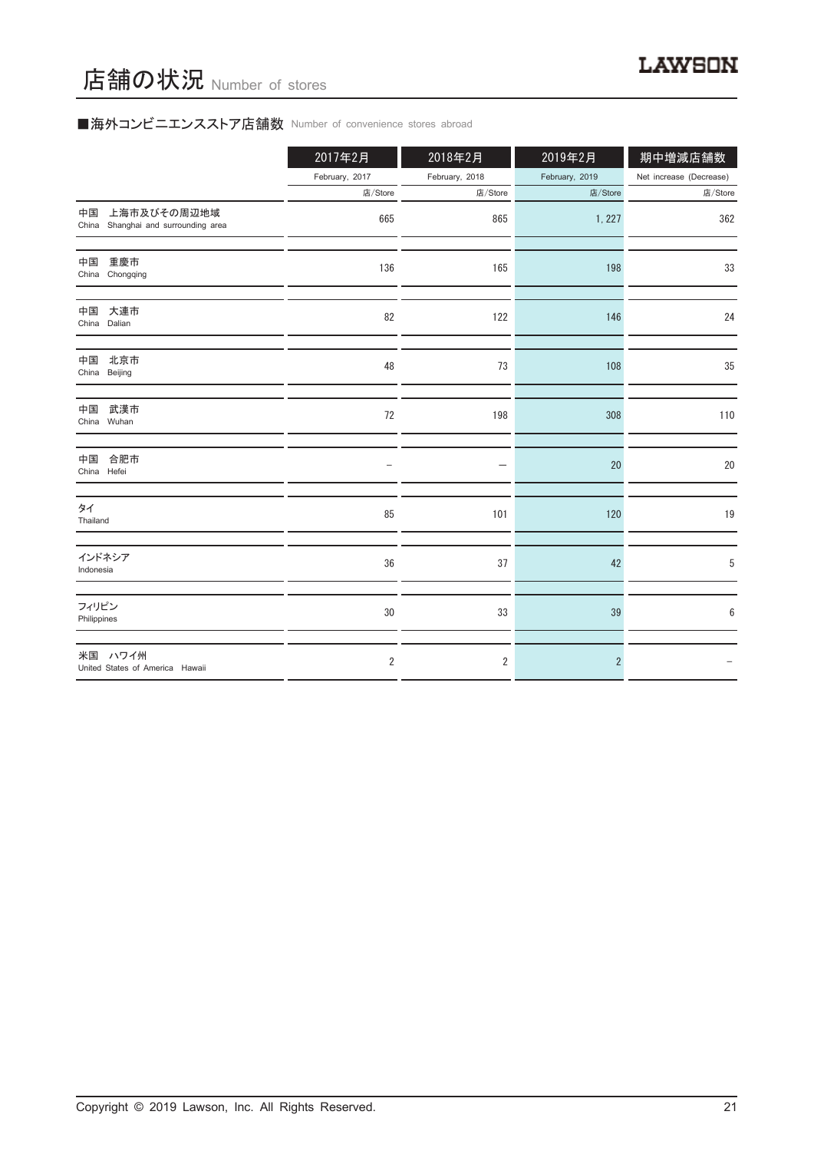# ■海外コンビニエンスストア店舗数 Number of convenience stores abroad

|                                                          | 2017年2月        | 2018年2月        | 2019年2月        | 期中増減店舗数                 |
|----------------------------------------------------------|----------------|----------------|----------------|-------------------------|
|                                                          | February, 2017 | February, 2018 | February, 2019 | Net increase (Decrease) |
|                                                          | 店/Store        | 店/Store        | 店/Store        | 店/Store                 |
| 上海市及びその周辺地域<br>中国<br>China Shanghai and surrounding area | 665            | 865            | 1, 227         | 362                     |
| 中国<br>重慶市<br>China Chongqing                             | 136            | 165            | 198            | 33                      |
| 大連市<br>中国<br>China Dalian                                | 82             | 122            | 146            | 24                      |
| 中国<br>北京市<br>China Beijing                               | 48             | 73             | 108            | 35                      |
| 武漢市<br>中国<br>China Wuhan                                 | 72             | 198            | 308            | 110                     |
| 合肥市<br>中国<br>China Hefei                                 |                |                | 20             | 20                      |
| タイ<br>Thailand                                           | 85             | 101            | 120            | 19                      |
| インドネシア<br>Indonesia                                      | 36             | 37             | 42             | 5                       |
| フィリピン<br>Philippines                                     | 30             | 33             | 39             | 6                       |
| 米国 ハワイ州<br>United States of America Hawaii               | $\overline{2}$ | $\overline{2}$ | $\overline{2}$ |                         |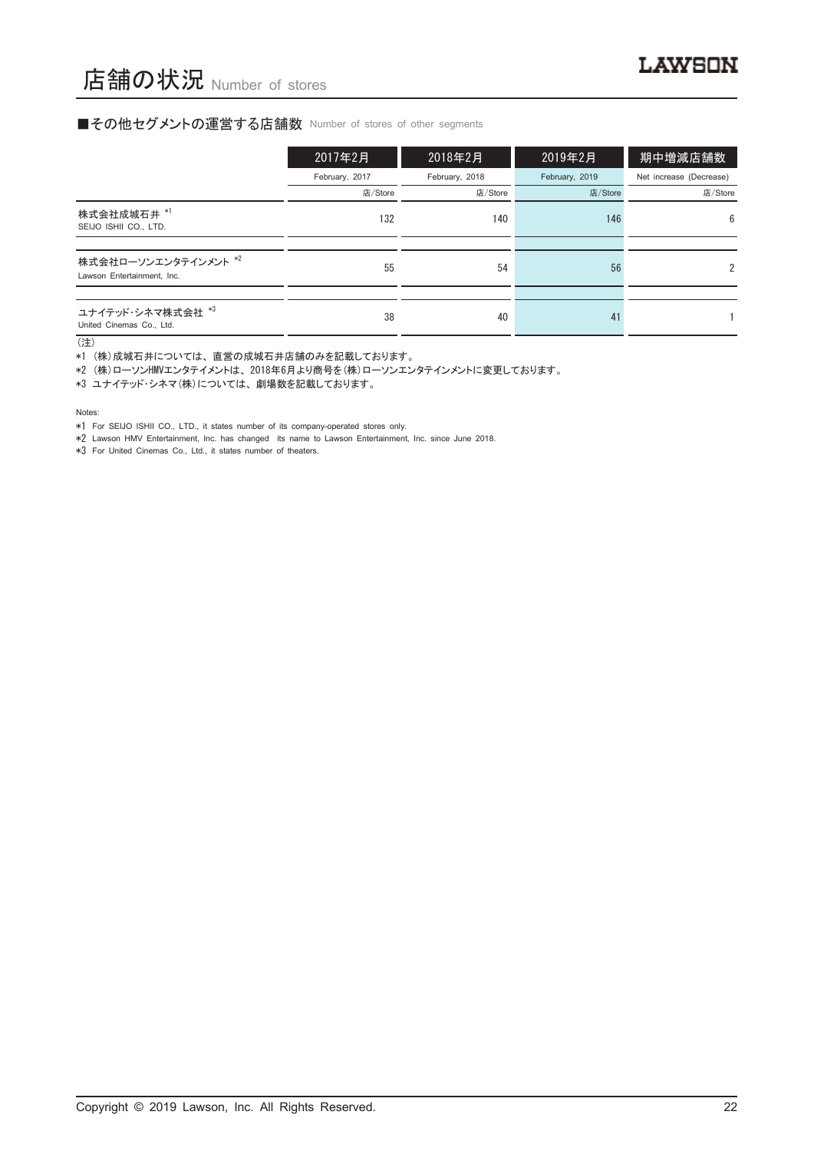#### ■その他セグメントの運営する店舗数 Number of stores of other segments

|                                                    | 2017年2月        | 2018年2月        | 2019年2月        | 期中増減店舗数                 |
|----------------------------------------------------|----------------|----------------|----------------|-------------------------|
|                                                    | February, 2017 | February, 2018 | February, 2019 | Net increase (Decrease) |
|                                                    | 店/Store        | 店/Store        | 店/Store        | 店/Store                 |
| 株式会社成城石井 *1<br>SEIJO ISHII CO., LTD.               | 132            | 140            | 146            | 6                       |
|                                                    |                |                |                |                         |
| 株式会社ローソンエンタテインメント *2<br>Lawson Entertainment, Inc. | 55             | 54             | 56             | $\mathfrak{p}$          |
|                                                    |                |                |                |                         |
| ユナイテッド·シネマ株式会社 *3<br>United Cinemas Co., Ltd.      | 38             | 40             | 41             |                         |

(注)

\*1 (株)成城石井については、 直営の成城石井店舗のみを記載しております。

\*2 (株)ローソンHMVエンタテイメントは、 2018年6月より商号を(株)ローソンエンタテインメントに変更しております。

\*3 ユナイテッド・シネマ(株)については、 劇場数を記載しております。

Notes:

\*1 For SEIJO ISHII CO., LTD., it states number of its company-operated stores only.

\*2 Lawson HMV Entertainment, Inc. has changed its name to Lawson Entertainment, Inc. since June 2018.

\*3 For United Cinemas Co., Ltd., it states number of theaters.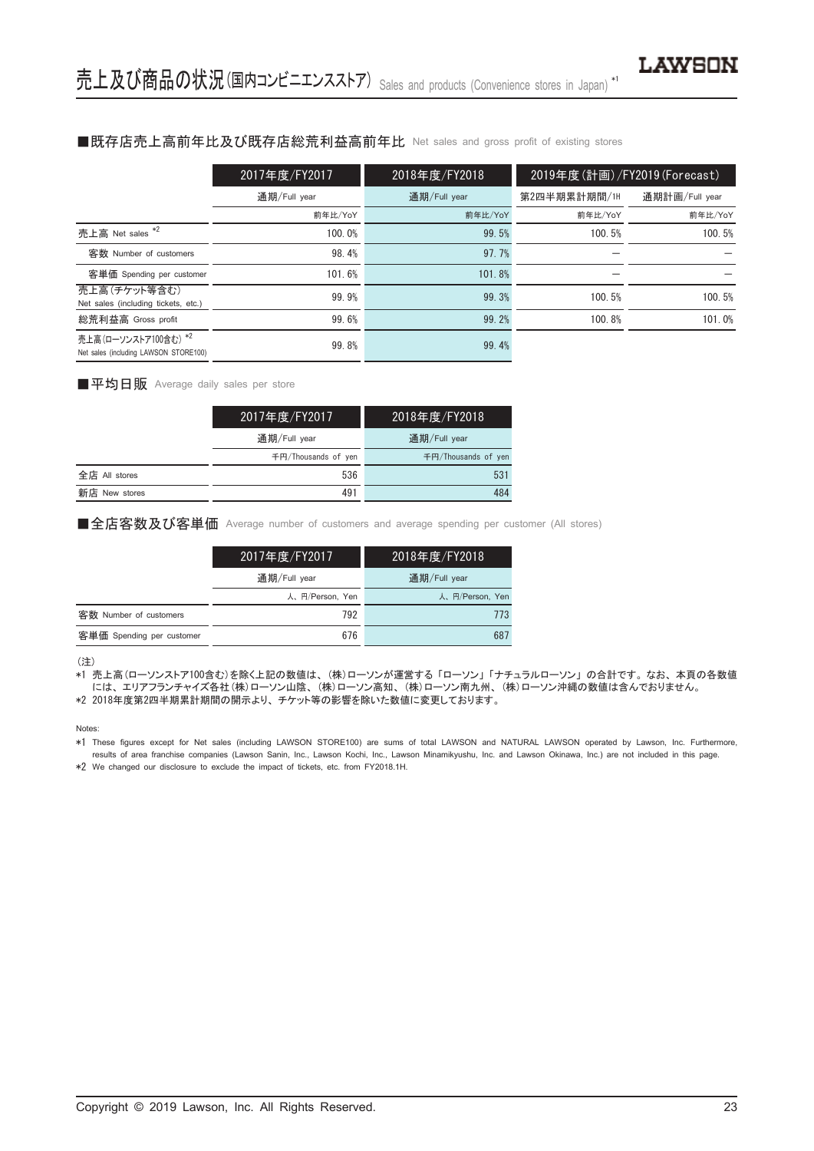#### ■既存店売上高前年比及び既存店総荒利益高前年比 Net sales and gross profit of existing stores

|                                                               | 2017年度/FY2017 | 2018年度/FY2018 | 2019年度(計画)/FY2019(Forecast) |                |
|---------------------------------------------------------------|---------------|---------------|-----------------------------|----------------|
|                                                               | 通期/Full year  | 通期/Full year  | 第2四半期累計期間/1H                | 通期計画/Full year |
|                                                               | 前年比/YoY       | 前年比/YoY       | 前年比/YoY                     | 前年比/YoY        |
| 売上高 Net sales *2                                              | 100.0%        | 99.5%         | 100.5%                      | 100.5%         |
| 客数 Number of customers                                        | 98.4%         | 97.7%         |                             |                |
| 客単価 Spending per customer                                     | 101.6%        | 101.8%        |                             |                |
| 売上高(チケット等含む)<br>Net sales (including tickets, etc.)           | 99.9%         | 99.3%         | 100.5%                      | 100.5%         |
| 総荒利益高 Gross profit                                            | 99.6%         | 99.2%         | 100.8%                      | 101.0%         |
| 売上高(ローソンストア100含む) *2<br>Net sales (including LAWSON STORE100) | 99.8%         | 99.4%         |                             |                |

#### ■平均日販 Average daily sales per store

|               | 2017年度/FY2017       | 2018年度/FY2018       |
|---------------|---------------------|---------------------|
|               | 通期/Full year        | 通期/Full year        |
|               | 千円/Thousands of ven | 千円/Thousands of yen |
| 全店 All stores | 536                 | 531                 |
| 新店 New stores | 491                 | 484                 |

■全店客数及び客単価 Average number of customers and average spending per customer (All stores)

|                           | 2017年度/FY2017   | 2018年度/FY2018   |
|---------------------------|-----------------|-----------------|
|                           | 通期/Full year    | 通期/Full year    |
|                           | 人、円/Person, Yen | 人、円/Person, Yen |
| 客数 Number of customers    | 792             | 773             |
| 客単価 Spending per customer | 676             | 687             |

(注)

\*1 売上高(ローソンストア100含む)を除く上記の数値は、 (株)ローソンが運営する 「ローソン」 「ナチュラルローソン」 の合計です。 なお、 本頁の各数値 には、 エリアフランチャイズ各社(株)ローソン山陰、 (株)ローソン高知、 (株)ローソン南九州、 (株)ローソン沖縄の数値は含んでおりません。

\*2 2018年度第2四半期累計期間の開示より、 チケット等の影響を除いた数値に変更しております。

Notes:

\*1 These figures except for Net sales (including LAWSON STORE100) are sums of total LAWSON and NATURAL LAWSON operated by Lawson, Inc. Furthermore, results of area franchise companies (Lawson Sanin, Inc., Lawson Kochi, Inc., Lawson Minamikyushu, Inc. and Lawson Okinawa, Inc.) are not included in this page.

\*2 We changed our disclosure to exclude the impact of tickets, etc. from FY2018.1H.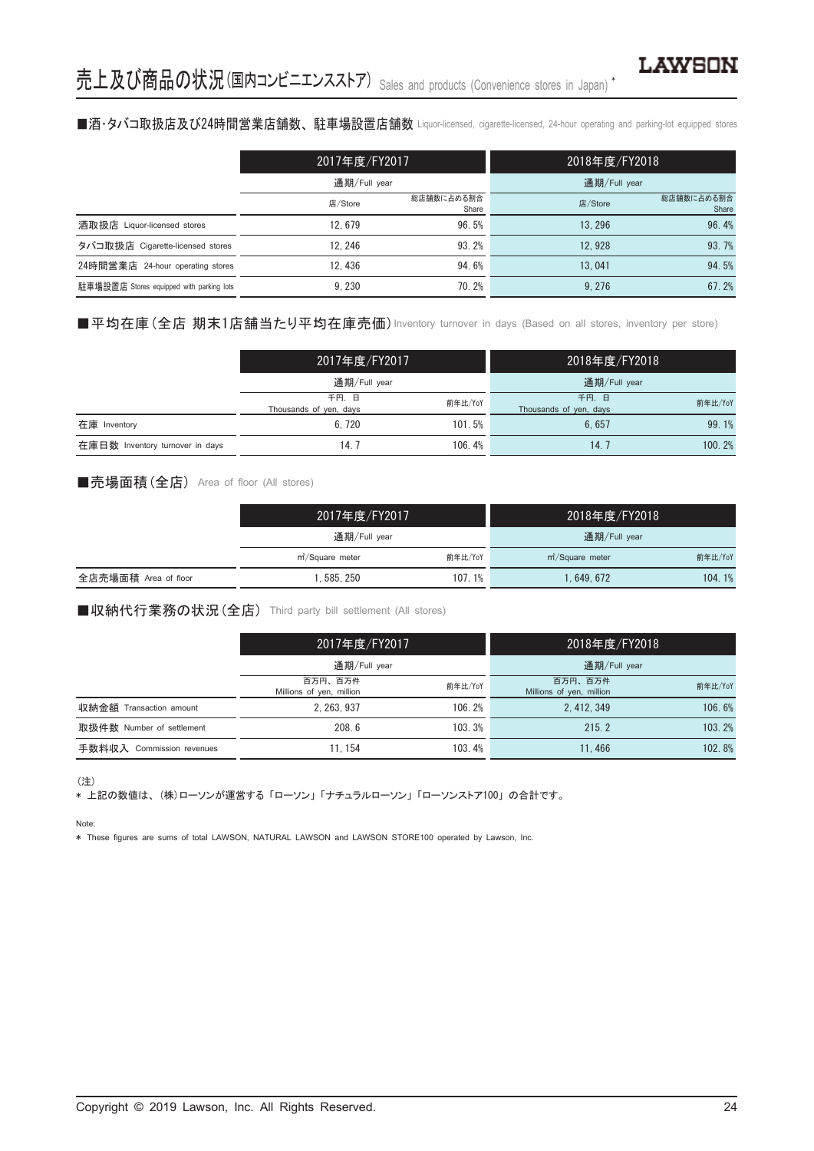## ■酒·タバコ取扱店及び24時間営業店舗数、駐車場設置店舗数 Liquor-licensed, cigarette-licensed, 24-hour operating and parking-lot equipped stores

|                                          | 2017年度/FY2017 |                     | 2018年度/FY2018 |                     |
|------------------------------------------|---------------|---------------------|---------------|---------------------|
|                                          | 通期/Full year  |                     | 通期/Full year  |                     |
|                                          | 店/Store       | 総店舗数に占める割合<br>Share | 店/Store       | 総店舗数に占める割合<br>Share |
| 酒取扱店 Liquor-licensed stores              | 12.679        | 96.5%               | 13.296        | 96.4%               |
| タバコ取扱店 Cigarette-licensed stores         | 12.246        | 93.2%               | 12.928        | 93.7%               |
| 24時間営業店 24-hour operating stores         | 12.436        | 94.6%               | 13.041        | 94.5%               |
| 駐車場設置店 Stores equipped with parking lots | 9.230         | 70.2%               | 9.276         | 67.2%               |

■平均在庫(全店 期末1店舗当たり平均在庫売価) Inventory turnover in days (Based on all stores, inventory per store)

|                                 | 2017年度/FY2017<br>通期/Full year  |         | 2018年度/FY2018                  |         |
|---------------------------------|--------------------------------|---------|--------------------------------|---------|
|                                 |                                |         | 通期/Full year                   |         |
|                                 | 千円、日<br>Thousands of yen, days | 前年比/YoY | 千円、日<br>Thousands of yen, days | 前年比/YoY |
| 在庫 Inventory                    | 6.720                          | 101.5%  | 6.657                          | 99.1%   |
| 在庫日数 Inventory turnover in days | 14. 7                          | 106.4%  | 14. '                          | 100.2%  |

#### ■売場面積(全店) Area of floor (All stores)

|                      | 2017年度/FY2017                           |        | 2018年度/FY2018       |         |  |
|----------------------|-----------------------------------------|--------|---------------------|---------|--|
|                      | 通期/Full year                            |        | 通期/Full year        |         |  |
|                      | 前年比/YoY<br>m <sup>2</sup> /Square meter |        | $m^2$ /Square meter | 前年比/YoY |  |
| 全店売場面積 Area of floor | . 585. 250                              | 107.1% | l. 649. 672         | 104.1%  |  |

■収納代行業務の状況(全店) Third party bill settlement (All stores)

|                              | 2017年度/FY2017                                  |        | 2018年度/FY2018                       |         |  |
|------------------------------|------------------------------------------------|--------|-------------------------------------|---------|--|
|                              | 通期/Full year                                   |        | 通期/Full year                        |         |  |
|                              | 百万円、百万件<br>前年比/YoY<br>Millions of yen, million |        | 百万円、百万件<br>Millions of yen, million | 前年比/YoY |  |
| 収納金額 Transaction amount      | 2.263.937                                      | 106.2% | 2.412.349                           | 106.6%  |  |
| 取扱件数 Number of settlement    | 208.6                                          | 103.3% | 215.2                               | 103.2%  |  |
| 手数料収入<br>Commission revenues | 11.154                                         | 103.4% | 11.466                              | 102.8%  |  |

(注)

\* 上記の数値は、 (株)ローソンが運営する 「ローソン」 「ナチュラルローソン」 「ローソンストア100」 の合計です。

Note:

\* These figures are sums of total LAWSON, NATURAL LAWSON and LAWSON STORE100 operated by Lawson, Inc.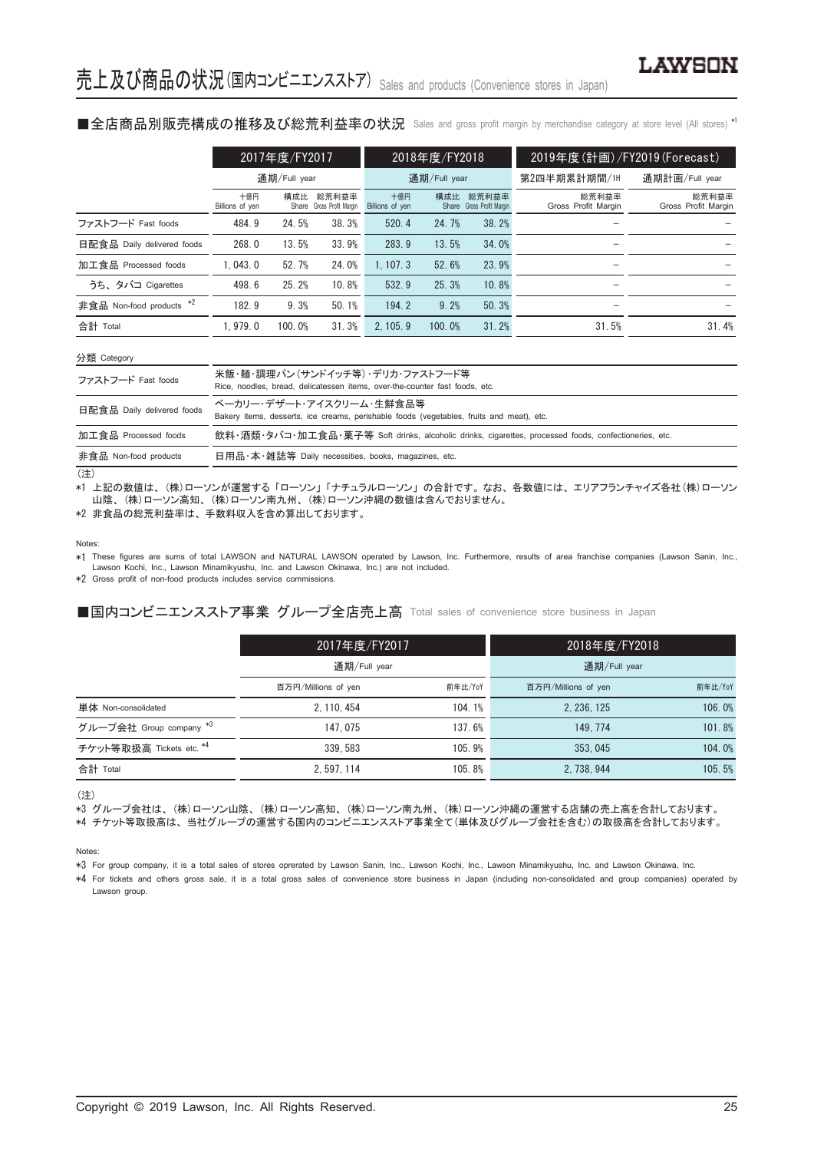■全店商品別販売構成の推移及び総荒利益率の状況 Sales and gross profit margin by merchandise category at store level (All stores) \*'

|                            |                        | 2017年度/FY2017 |                                    |                                 | 2018年度/FY2018 |                                    | 2019年度 (計画) / FY2019 (Forecast) |                              |
|----------------------------|------------------------|---------------|------------------------------------|---------------------------------|---------------|------------------------------------|---------------------------------|------------------------------|
|                            |                        | 通期/Full year  | 通期/Full year                       |                                 | 第2四半期累計期間/1H  | 通期計画/Full year                     |                                 |                              |
|                            | 十億円<br>Billions of yen | 構成比           | 総荒利益率<br>Share Gross Profit Margin | 十億円<br>Billions of yen          | 構成比           | 総荒利益率<br>Share Gross Profit Margin | 総荒利益率<br>Gross Profit Margin    | 総荒利益率<br>Gross Profit Margin |
| ファストフード Fast foods         | 484.9                  | 24.5%         | 38.3%                              | 520.4                           | 24.7%         | 38.2%                              |                                 |                              |
| 日配食品 Daily delivered foods | 268.0                  | 13.5%         | 33.9%                              | 283.9                           | 13.5%         | 34.0%                              |                                 |                              |
| 加工食品 Processed foods       | 1.043.0                | 52.7%         | 24.0%                              | 1, 107, 3                       | 52.6%         | 23.9%                              |                                 |                              |
| うち、タバコ Cigarettes          | 498.6                  | 25.2%         | 10.8%                              | 532.9                           | 25.3%         | 10.8%                              |                                 |                              |
| 非食品 Non-food products *2   | 182.9                  | 9.3%          | 50.1%                              | 194.2                           | 9.2%          | 50.3%                              |                                 |                              |
| 合計 Total                   | 1.979.0                | 100.0%        | 31.3%                              | 2.105.9                         | 100.0%        | 31.2%                              | 31.5%                           | 31.4%                        |
| 分類 Category                |                        |               |                                    |                                 |               |                                    |                                 |                              |
| ファフトフード Foot foods         |                        |               |                                    | 米飯・麺・調理パン(サンドイッチ等) デリカ・ファストフード等 |               |                                    |                                 |                              |

| ファストフード Fast foods         | ノI\WA 30™ ロ/WP=エバ・レイン ノー   ノノノ マイ/ ノ ノノノ ノ ノ / / / / ノ   マイ<br>Rice, noodles, bread, delicatessen items, over-the-counter fast foods, etc. |
|----------------------------|--------------------------------------------------------------------------------------------------------------------------------------------|
| 日配食品 Daily delivered foods | ベーカリー・デザート・アイスクリーム・生鮮食品等<br>Bakery items, desserts, ice creams, perishable foods (vegetables, fruits and meat), etc.                       |
| 加工食品 Processed foods       | 飲料・酒類・タバコ・加工食品・菓子等 Soft drinks, alcoholic drinks, cigarettes, processed foods, confectioneries, etc.                                       |
| 非食品 Non-food products      | 日用品·本·雑誌等 Daily necessities, books, magazines, etc.                                                                                        |

 $\overline{(\ddot{\pm})}$ 

\*1 上記の数値は、 (株)ローソンが運営する 「ローソン」 「ナチュラルローソン」 の合計です。 なお、 各数値には、 エリアフランチャイズ各社(株)ローソン 山陰、 (株)ローソン高知、 (株)ローソン南九州、 (株)ローソン沖縄の数値は含んでおりません。

\*2 非食品の総荒利益率は、 手数料収入を含め算出しております。

#### Notes:

\*1 These figures are sums of total LAWSON and NATURAL LAWSON operated by Lawson, Inc. Furthermore, results of area franchise companies (Lawson Sanin, Inc., Lawson Kochi, Inc., Lawson Minamikyushu, Inc. and Lawson Okinawa, Inc.) are not included.

\*2 Gross profit of non-food products includes service commissions.

#### ■国内コンビニエンスストア事業 グループ全店売上高 Total sales of convenience store business in Japan

|                          | 2017年度/FY2017                  |        | 2018年度/FY2018       |         |  |
|--------------------------|--------------------------------|--------|---------------------|---------|--|
|                          | 通期/Full year                   |        | 通期/Full year        |         |  |
|                          | 前年比/YoY<br>百万円/Millions of yen |        | 百万円/Millions of yen | 前年比/YoY |  |
| 単体 Non-consolidated      | 2.110.454                      | 104.1% | 2.236.125           | 106.0%  |  |
| グループ会社 Group company *3  | 147.075                        | 137.6% | 149.774             | 101.8%  |  |
| チケット等取扱高 Tickets etc. *4 | 339.583                        | 105.9% | 353, 045            | 104.0%  |  |
| 合計 Total                 | 2.597.114                      | 105.8% | 2.738.944           | 105.5%  |  |

(注)

\*3 グループ会社は、 (株)ローソン山陰、 (株)ローソン高知、 (株)ローソン南九州、 (株)ローソン沖縄の運営する店舗の売上高を合計しております。 \*4 チケット等取扱高は、 当社グループの運営する国内のコンビニエンスストア事業全て(単体及びグループ会社を含む)の取扱高を合計しております。

Notes:

\*3 For group company, it is a total sales of stores oprerated by Lawson Sanin, Inc., Lawson Kochi, Inc., Lawson Minamikyushu, Inc. and Lawson Okinawa, Inc.

\*4 For tickets and others gross sale, it is a total gross sales of convenience store business in Japan (including non-consolidated and group companies) operated by Lawson group.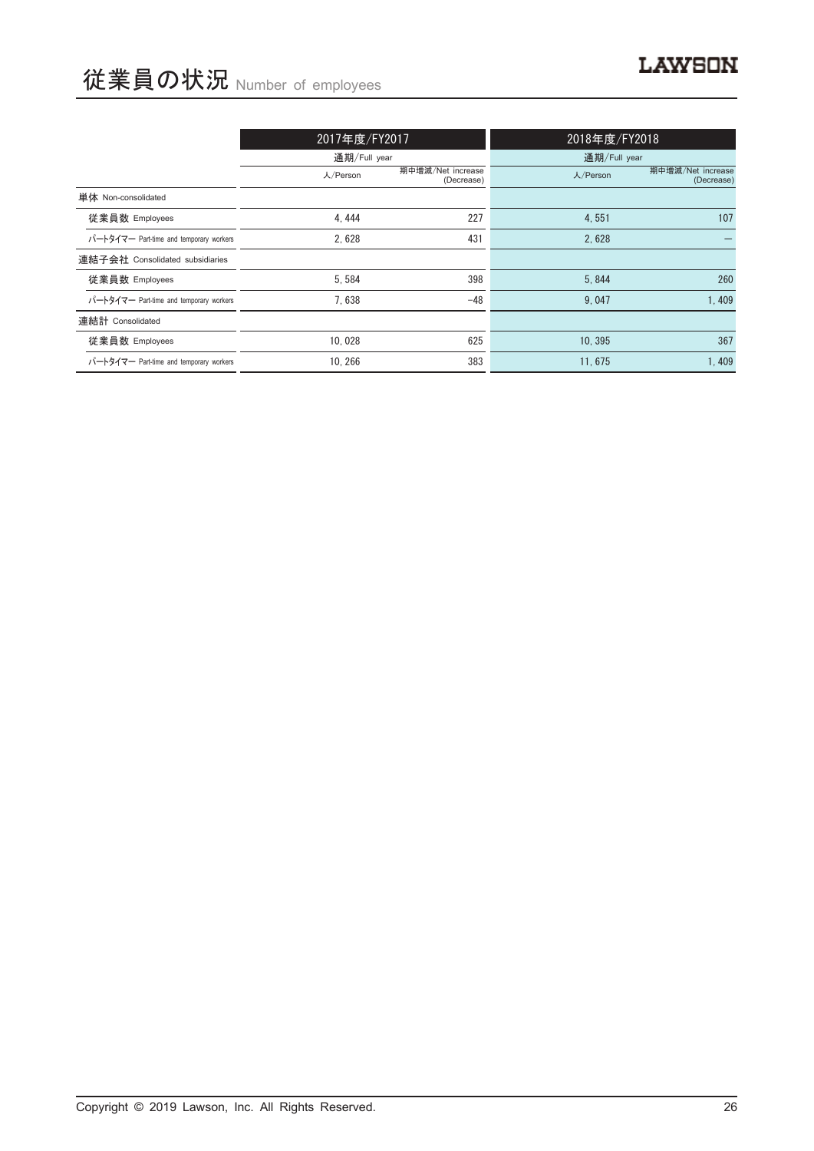# 従業員の状況 Number of employees

|                                         | 2017年度/FY2017 |                                 | 2018年度/FY2018 |                                 |  |
|-----------------------------------------|---------------|---------------------------------|---------------|---------------------------------|--|
|                                         | 通期/Full year  |                                 | 通期/Full year  |                                 |  |
|                                         | 人/Person      | 期中增減/Net increase<br>(Decrease) |               | 期中增減/Net increase<br>(Decrease) |  |
| 単体 Non-consolidated                     |               |                                 |               |                                 |  |
| 従業員数 Employees                          | 4,444         | 227                             | 4,551         | 107                             |  |
| パートタイマー Part-time and temporary workers | 2.628         | 431                             | 2.628         |                                 |  |
| 連結子会社 Consolidated subsidiaries         |               |                                 |               |                                 |  |
| 従業員数 Employees                          | 5,584         | 398                             | 5,844         | 260                             |  |
| パートタイマー Part-time and temporary workers | 7.638         | $-48$                           | 9.047         | 1,409                           |  |
| 連結計 Consolidated                        |               |                                 |               |                                 |  |
| 従業員数 Employees                          | 10.028        | 625                             | 10.395        | 367                             |  |
| パートタイマー Part-time and temporary workers | 10, 266       | 383                             | 11,675        | 1,409                           |  |